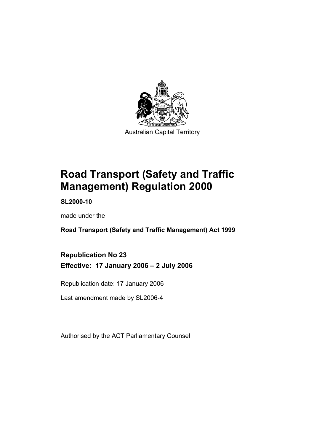

**Road Transport (Safety and Traffic Management) Regulation 2000** 

**SL2000-10** 

made under the

**Road Transport (Safety and Traffic Management) Act 1999** 

**Republication No 23 Effective: 17 January 2006 – 2 July 2006** 

Republication date: 17 January 2006

Last amendment made by SL2006-4

Authorised by the ACT Parliamentary Counsel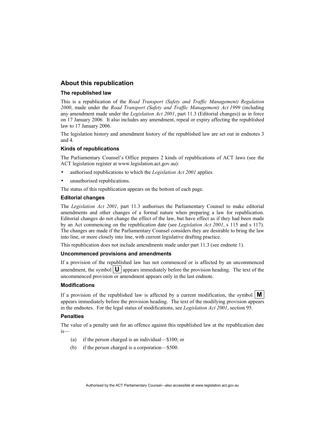#### **About this republication**

#### **The republished law**

This is a republication of the *Road Transport (Safety and Traffic Management) Regulation 2000*, made under the *Road Transport (Safety and Traffic Management) Act 1999* (including any amendment made under the *Legislation Act 2001*, part 11.3 (Editorial changes)) as in force on 17 January 2006*.* It also includes any amendment, repeal or expiry affecting the republished law to 17 January 2006.

The legislation history and amendment history of the republished law are set out in endnotes 3 and 4.

#### **Kinds of republications**

The Parliamentary Counsel's Office prepares 2 kinds of republications of ACT laws (see the ACT legislation register at www.legislation.act.gov.au):

- authorised republications to which the *Legislation Act 2001* applies
- unauthorised republications.

The status of this republication appears on the bottom of each page.

#### **Editorial changes**

The *Legislation Act 2001*, part 11.3 authorises the Parliamentary Counsel to make editorial amendments and other changes of a formal nature when preparing a law for republication. Editorial changes do not change the effect of the law, but have effect as if they had been made by an Act commencing on the republication date (see *Legislation Act 2001*, s 115 and s 117). The changes are made if the Parliamentary Counsel considers they are desirable to bring the law into line, or more closely into line, with current legislative drafting practice.

This republication does not include amendments made under part 11.3 (see endnote 1).

#### **Uncommenced provisions and amendments**

If a provision of the republished law has not commenced or is affected by an uncommenced amendment, the symbol  $\mathbf{U}$  appears immediately before the provision heading. The text of the uncommenced provision or amendment appears only in the last endnote.

#### **Modifications**

If a provision of the republished law is affected by a current modification, the symbol  $\mathbf{M}$ appears immediately before the provision heading. The text of the modifying provision appears in the endnotes. For the legal status of modifications, see *Legislation Act 2001*, section 95.

#### **Penalties**

The value of a penalty unit for an offence against this republished law at the republication date is—

- (a) if the person charged is an individual—\$100; or
- (b) if the person charged is a corporation—\$500.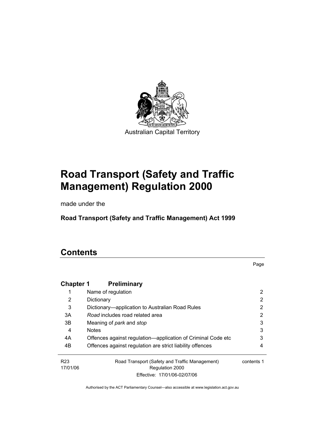

# **Road Transport (Safety and Traffic Management) Regulation 2000**

made under the

**Road Transport (Safety and Traffic Management) Act 1999** 

# **Contents**

Page

| <b>Chapter 1</b>            | <b>Preliminary</b>                                                |            |
|-----------------------------|-------------------------------------------------------------------|------------|
|                             | Name of regulation                                                | 2          |
| 2                           | Dictionary                                                        | 2          |
| 3                           | Dictionary—application to Australian Road Rules                   | 2          |
| 3A                          | Road includes road related area                                   | 2          |
| 3B                          | Meaning of park and stop                                          | 3          |
| 4                           | <b>Notes</b>                                                      | 3          |
| 4A                          | Offences against regulation-application of Criminal Code etc      | 3          |
| 4B                          | Offences against regulation are strict liability offences         | 4          |
| R <sub>23</sub><br>17/01/06 | Road Transport (Safety and Traffic Management)<br>Regulation 2000 | contents 1 |
|                             | Effective: 17/01/06-02/07/06                                      |            |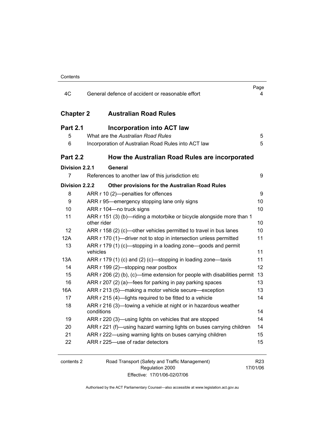| 4C               | General defence of accident or reasonable effort                                     | Page<br>4 |
|------------------|--------------------------------------------------------------------------------------|-----------|
| <b>Chapter 2</b> | <b>Australian Road Rules</b>                                                         |           |
| <b>Part 2.1</b>  | <b>Incorporation into ACT law</b>                                                    |           |
| 5                | What are the Australian Road Rules                                                   | 5         |
| 6                | Incorporation of Australian Road Rules into ACT law                                  | 5         |
| <b>Part 2.2</b>  | How the Australian Road Rules are incorporated                                       |           |
| Division 2.2.1   | General                                                                              |           |
| 7                | References to another law of this jurisdiction etc                                   | 9         |
| Division 2.2.2   | <b>Other provisions for the Australian Road Rules</b>                                |           |
| 8                | ARR r 10 (2)-penalties for offences                                                  | 9         |
| 9                | ARR r 95-emergency stopping lane only signs                                          | 10        |
| 10               | ARR r 104-no truck signs                                                             | 10        |
| 11               | ARR r 151 (3) (b)—riding a motorbike or bicycle alongside more than 1<br>other rider | 10        |
| 12               | ARR r 158 (2) (c)-other vehicles permitted to travel in bus lanes                    | 10        |
| 12A              | ARR r 170 (1)—driver not to stop in intersection unless permitted                    | 11        |
| 13               | ARR r 179 (1) (c)—stopping in a loading zone—goods and permit<br>vehicles            | 11        |
| 13A              | ARR r 179 (1) (c) and (2) (c)—stopping in loading zone—taxis                         | 11        |
| 14               | ARR r 199 (2)—stopping near postbox                                                  | 12        |
| 15               | ARR r 206 (2) (b), (c)—time extension for people with disabilities permit 13         |           |
| 16               | ARR r 207 (2) (a)—fees for parking in pay parking spaces                             | 13        |
| 16A              | ARR r 213 (5)—making a motor vehicle secure—exception                                | 13        |
| 17               | ARR r 215 (4)-lights required to be fitted to a vehicle                              | 14        |
| 18               | ARR r 216 (3)—towing a vehicle at night or in hazardous weather<br>conditions        | 14        |
| 19               | ARR r 220 (3)—using lights on vehicles that are stopped                              | 14        |
| 20               | ARR r 221 (f)—using hazard warning lights on buses carrying children                 | 14        |
| 21               | ARR r 222—using warning lights on buses carrying children                            | 15        |
| 22               | ARR r 225-use of radar detectors                                                     | 15        |
|                  |                                                                                      |           |

| contents : |  |  |
|------------|--|--|
|            |  |  |

2 Road Transport (Safety and Traffic Management) Regulation 2000 Effective: 17/01/06-02/07/06

R23 17/01/06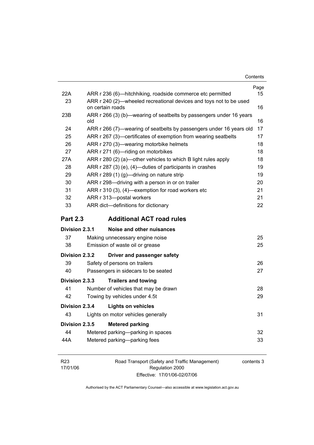| 22A             |                  | ARR r 236 (6)—hitchhiking, roadside commerce etc permitted          | Page<br>15 |
|-----------------|------------------|---------------------------------------------------------------------|------------|
| 23              | on certain roads | ARR r 240 (2)—wheeled recreational devices and toys not to be used  | 16         |
| 23B             | old              | ARR r 266 (3) (b)—wearing of seatbelts by passengers under 16 years | 16         |
| 24              |                  | ARR r 266 (7)—wearing of seatbelts by passengers under 16 years old | 17         |
| 25              |                  | ARR r 267 (3)—certificates of exemption from wearing seatbelts      | 17         |
| 26              |                  | ARR r 270 (3)-wearing motorbike helmets                             | 18         |
| 27              |                  | ARR r 271 (6)-riding on motorbikes                                  | 18         |
| 27A             |                  | ARR r 280 (2) (a)—other vehicles to which B light rules apply       | 18         |
| 28              |                  | ARR r 287 (3) (e), (4)—duties of participants in crashes            | 19         |
| 29              |                  | ARR r 289 (1) (g)-driving on nature strip                           | 19         |
| 30              |                  | ARR r 298-driving with a person in or on trailer                    | 20         |
| 31              |                  | ARR r 310 (3), (4)-exemption for road workers etc                   | 21         |
| 32              |                  | ARR r 313-postal workers                                            | 21         |
| 33              |                  | ARR dict-definitions for dictionary                                 | 22         |
| <b>Part 2.3</b> |                  | <b>Additional ACT road rules</b>                                    |            |
| Division 2.3.1  |                  | Noise and other nuisances                                           |            |
| 37              |                  | Making unnecessary engine noise                                     | 25         |
| 38              |                  | Emission of waste oil or grease                                     | 25         |
| Division 2.3.2  |                  | Driver and passenger safety                                         |            |
| 39              |                  | Safety of persons on trailers                                       | 26         |
| 40              |                  | Passengers in sidecars to be seated                                 | 27         |
| Division 2.3.3  |                  | <b>Trailers and towing</b>                                          |            |
| 41              |                  | Number of vehicles that may be drawn                                | 28         |
| 42              |                  |                                                                     |            |
|                 |                  | Towing by vehicles under 4.5t                                       | 29         |
| Division 2.3.4  |                  | <b>Lights on vehicles</b>                                           |            |
| 43              |                  | Lights on motor vehicles generally                                  | 31         |
| Division 2.3.5  |                  | <b>Metered parking</b>                                              |            |
| 44              |                  | Metered parking—parking in spaces                                   | 32         |
| 44A             |                  | Metered parking-parking fees                                        | 33         |

| R <sub>23</sub> | Road Transport (Safety and Traffic Management) | contents 3 |
|-----------------|------------------------------------------------|------------|
| 17/01/06        | Regulation 2000                                |            |
|                 | Effective: 17/01/06-02/07/06                   |            |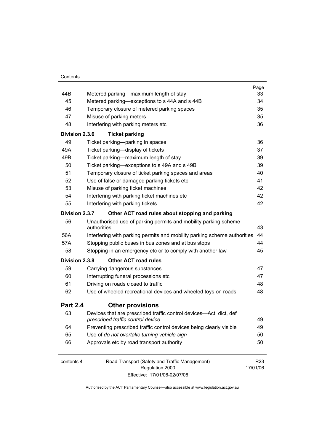|                 |                                                                          | Page            |  |
|-----------------|--------------------------------------------------------------------------|-----------------|--|
| 44B             | Metered parking—maximum length of stay                                   | 33              |  |
| 45              | Metered parking—exceptions to s 44A and s 44B                            | 34              |  |
| 46              | Temporary closure of metered parking spaces                              | 35              |  |
| 47              | Misuse of parking meters                                                 |                 |  |
| 48              | Interfering with parking meters etc                                      | 36              |  |
| Division 2.3.6  | <b>Ticket parking</b>                                                    |                 |  |
| 49              | Ticket parking-parking in spaces                                         | 36              |  |
| 49A             | Ticket parking-display of tickets                                        | 37              |  |
| 49B             | Ticket parking—maximum length of stay                                    | 39              |  |
| 50              | Ticket parking—exceptions to s 49A and s 49B                             | 39              |  |
| 51              | Temporary closure of ticket parking spaces and areas                     | 40              |  |
| 52              | Use of false or damaged parking tickets etc                              | 41              |  |
| 53              | Misuse of parking ticket machines                                        | 42              |  |
| 54              | Interfering with parking ticket machines etc                             | 42              |  |
| 55              | Interfering with parking tickets                                         | 42              |  |
| Division 2.3.7  | Other ACT road rules about stopping and parking                          |                 |  |
| 56              | Unauthorised use of parking permits and mobility parking scheme          |                 |  |
|                 | authorities                                                              | 43              |  |
| 56A             | Interfering with parking permits and mobility parking scheme authorities | 44              |  |
| 57A             | Stopping public buses in bus zones and at bus stops                      | 44              |  |
| 58              | Stopping in an emergency etc or to comply with another law               | 45              |  |
| Division 2.3.8  | <b>Other ACT road rules</b>                                              |                 |  |
| 59              | Carrying dangerous substances                                            | 47              |  |
| 60              | Interrupting funeral processions etc                                     | 47              |  |
| 61              | Driving on roads closed to traffic                                       | 48              |  |
| 62              | Use of wheeled recreational devices and wheeled toys on roads            | 48              |  |
| <b>Part 2.4</b> | <b>Other provisions</b>                                                  |                 |  |
| 63              | Devices that are prescribed traffic control devices—Act, dict, def       |                 |  |
|                 | prescribed traffic control device                                        | 49              |  |
| 64              | Preventing prescribed traffic control devices being clearly visible      | 49              |  |
| 65              | Use of do not overtake turning vehicle sign                              | 50              |  |
| 66              | Approvals etc by road transport authority                                | 50              |  |
| contents 4      |                                                                          | R <sub>23</sub> |  |
|                 | Road Transport (Safety and Traffic Management)<br>Regulation 2000        | 17/01/06        |  |
|                 | Effective: 17/01/06-02/07/06                                             |                 |  |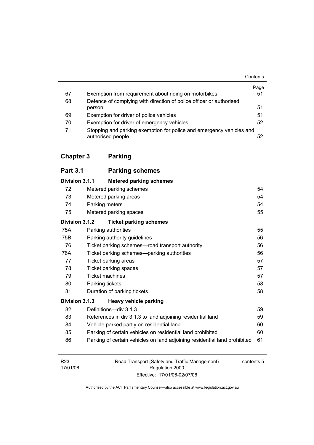|    |                                                                                           | Contents |
|----|-------------------------------------------------------------------------------------------|----------|
|    |                                                                                           | Page     |
| 67 | Exemption from requirement about riding on motorbikes                                     | 51       |
| 68 | Defence of complying with direction of police officer or authorised                       |          |
|    | person                                                                                    | 51       |
| 69 | Exemption for driver of police vehicles                                                   | 51       |
| 70 | Exemption for driver of emergency vehicles                                                | 52       |
| 71 | Stopping and parking exemption for police and emergency vehicles and<br>authorised people | 52       |

# **Chapter 3 Parking**

| <b>Part 3.1</b> |                              | <b>Parking schemes</b>                                                    |    |
|-----------------|------------------------------|---------------------------------------------------------------------------|----|
| Division 3.1.1  |                              | <b>Metered parking schemes</b>                                            |    |
| 72              |                              | Metered parking schemes                                                   | 54 |
| 73              |                              | Metered parking areas                                                     | 54 |
| 74              | Parking meters               |                                                                           | 54 |
| 75              | 55<br>Metered parking spaces |                                                                           |    |
| Division 3.1.2  |                              | <b>Ticket parking schemes</b>                                             |    |
| 75A             |                              | Parking authorities                                                       | 55 |
| 75B             |                              | Parking authority guidelines                                              | 56 |
| 76              |                              | Ticket parking schemes—road transport authority                           | 56 |
| 76A             |                              | Ticket parking schemes—parking authorities                                | 56 |
| 77              |                              | Ticket parking areas                                                      | 57 |
| 78              |                              | Ticket parking spaces                                                     | 57 |
| 79              | <b>Ticket machines</b>       |                                                                           | 57 |
| 80              | Parking tickets              |                                                                           | 58 |
| 81              |                              | Duration of parking tickets                                               | 58 |
| Division 3.1.3  |                              | Heavy vehicle parking                                                     |    |
| 82              |                              | Definitions-div 3.1.3                                                     | 59 |
| 83              |                              | References in div 3.1.3 to land adjoining residential land                | 59 |
| 84              |                              | Vehicle parked partly on residential land                                 | 60 |
| 85              |                              | Parking of certain vehicles on residential land prohibited                | 60 |
| 86              |                              | Parking of certain vehicles on land adjoining residential land prohibited | 61 |

| R <sub>23</sub> | Road Transport (Safety and Traffic Management) | contents 5 |
|-----------------|------------------------------------------------|------------|
| 17/01/06        | Regulation 2000                                |            |
|                 | Effective: 17/01/06-02/07/06                   |            |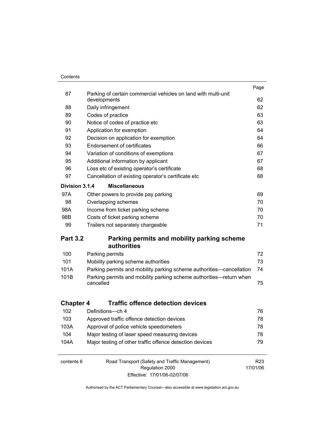#### **Contents**

|                  |                                                                                | Page            |
|------------------|--------------------------------------------------------------------------------|-----------------|
| 87               | Parking of certain commercial vehicles on land with multi-unit<br>developments | 62              |
| 88               | Daily infringement                                                             | 62              |
| 89               | Codes of practice                                                              | 63              |
| 90               |                                                                                | 63              |
|                  | Notice of codes of practice etc                                                | 64              |
| 91               | Application for exemption                                                      | 64              |
| 92               | Decision on application for exemption                                          |                 |
| 93               | <b>Endorsement of certificates</b>                                             | 66              |
| 94               | Variation of conditions of exemptions                                          | 67              |
| 95               | Additional information by applicant                                            | 67              |
| 96               | Loss etc of existing operator's certificate                                    | 68              |
| 97               | Cancellation of existing operator's certificate etc                            | 68              |
| Division 3.1.4   | <b>Miscellaneous</b>                                                           |                 |
| 97A              | Other powers to provide pay parking                                            | 69              |
| 98               | Overlapping schemes                                                            | 70              |
| 98A              | Income from ticket parking scheme                                              | 70              |
| 98B              | Costs of ticket parking scheme                                                 | 70              |
| 99               | Trailers not separately chargeable                                             | 71              |
| <b>Part 3.2</b>  | Parking permits and mobility parking scheme<br><b>authorities</b>              |                 |
| 100              | Parking permits                                                                | 72              |
| 101              | Mobility parking scheme authorities                                            | 73              |
| 101A             | Parking permits and mobility parking scheme authorities—cancellation           | 74              |
| 101B             | Parking permits and mobility parking scheme authorities-return when            |                 |
|                  | cancelled                                                                      | 75              |
| <b>Chapter 4</b> | <b>Traffic offence detection devices</b>                                       |                 |
| 102              | Definitions-ch 4                                                               | 76              |
|                  |                                                                                |                 |
| 103              | Approved traffic offence detection devices                                     | 78              |
| 103A             | Approval of police vehicle speedometers                                        | 78              |
| 104              | Major testing of laser speed measuring devices                                 | 78              |
| 104A             | Major testing of other traffic offence detection devices                       | 79              |
| contents 6       | Road Transport (Safety and Traffic Management)                                 | R <sub>23</sub> |
|                  | Regulation 2000<br>Effective: 17/01/06-02/07/06                                | 17/01/06        |
|                  |                                                                                |                 |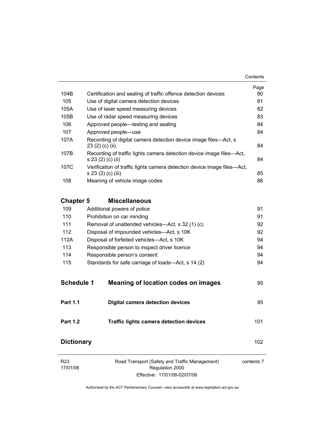| 104B                        |                                                                                                           | Page<br>80 |
|-----------------------------|-----------------------------------------------------------------------------------------------------------|------------|
| 105                         | Certification and sealing of traffic offence detection devices<br>Use of digital camera detection devices | 81         |
| 105A                        | Use of laser speed measuring devices                                                                      | 82         |
| 105B                        | Use of radar speed measuring devices                                                                      | 83         |
| 106                         | Approved people—testing and sealing                                                                       | 84         |
| 107                         | Approved people-use                                                                                       | 84         |
| 107A                        | Recording of digital camera detection device image files—Act, s<br>23 (2) (c) (ii)                        | 84         |
| 107B                        | Recording of traffic lights camera detection device image files—Act,<br>s 23 (2) (c) (ii)                 | 84         |
| 107C                        | Verification of traffic lights camera detection device image files-Act,<br>s 23 (2) (c) (iii)             | 85         |
| 108                         | Meaning of vehicle image codes                                                                            | 86         |
| <b>Chapter 5</b>            | <b>Miscellaneous</b>                                                                                      |            |
| 109                         | Additional powers of police                                                                               | 91         |
| 110                         | Prohibition on car minding                                                                                | 91         |
| 111                         | Removal of unattended vehicles—Act, s 32 (1) (c)                                                          | 92         |
| 112                         | Disposal of impounded vehicles-Act, s 10K                                                                 | 92         |
| 112A                        | Disposal of forfeited vehicles-Act, s 10K                                                                 | 94         |
| 113                         | Responsible person to inspect driver licence                                                              | 94         |
| 114                         | Responsible person's consent                                                                              | 94         |
| 115                         | Standards for safe carriage of loads—Act, s 14 (2)                                                        | 94         |
| <b>Schedule 1</b>           | <b>Meaning of location codes on images</b>                                                                | 95         |
| <b>Part 1.1</b>             | <b>Digital camera detection devices</b>                                                                   | 95         |
| Part 1.2                    | <b>Traffic lights camera detection devices</b>                                                            | 101        |
| <b>Dictionary</b>           |                                                                                                           | 102        |
| R <sub>23</sub><br>17/01/06 | Road Transport (Safety and Traffic Management)<br>Regulation 2000                                         | contents 7 |

Authorised by the ACT Parliamentary Counsel—also accessible at www.legislation.act.gov.au

Effective: 17/01/06-02/07/06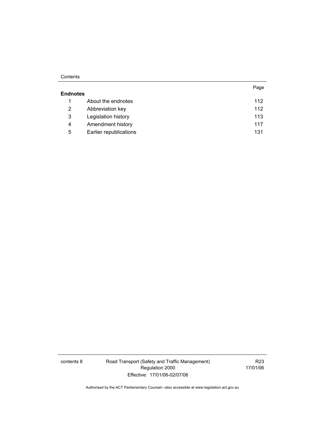#### **Contents**

|                      |                        | Page |
|----------------------|------------------------|------|
| <b>Endnotes</b>      |                        |      |
| 1                    | About the endnotes     | 112  |
| $\mathbf{2}^{\circ}$ | Abbreviation key       | 112  |
| 3                    | Legislation history    | 113  |
| 4                    | Amendment history      | 117  |
| 5                    | Earlier republications | 131  |

contents 8 Road Transport (Safety and Traffic Management) Regulation 2000 Effective: 17/01/06-02/07/06

R23 17/01/06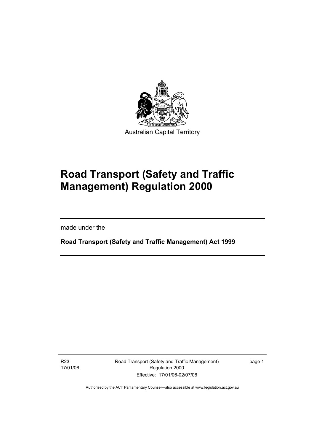

# **Road Transport (Safety and Traffic Management) Regulation 2000**

made under the

I

**Road Transport (Safety and Traffic Management) Act 1999** 

R23 17/01/06 Road Transport (Safety and Traffic Management) Regulation 2000 Effective: 17/01/06-02/07/06

page 1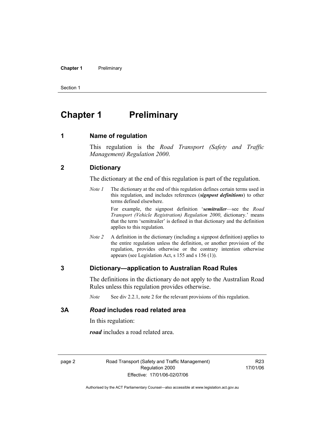#### **Chapter 1** Preliminary

Section 1

# **Chapter 1** Preliminary

#### **1 Name of regulation**

This regulation is the *Road Transport (Safety and Traffic Management) Regulation 2000*.

#### **2 Dictionary**

The dictionary at the end of this regulation is part of the regulation.

*Note 1* The dictionary at the end of this regulation defines certain terms used in this regulation, and includes references (*signpost definitions*) to other terms defined elsewhere.

> For example, the signpost definition '*semitrailer*—see the *Road Transport (Vehicle Registration) Regulation 2000*, dictionary.' means that the term 'semitrailer' is defined in that dictionary and the definition applies to this regulation.

*Note 2* A definition in the dictionary (including a signpost definition) applies to the entire regulation unless the definition, or another provision of the regulation, provides otherwise or the contrary intention otherwise appears (see Legislation Act, s 155 and s 156 (1)).

#### **3 Dictionary—application to Australian Road Rules**

The definitions in the dictionary do not apply to the Australian Road Rules unless this regulation provides otherwise.

*Note* See div 2.2.1, note 2 for the relevant provisions of this regulation.

### **3A** *Road* **includes road related area**

In this regulation:

*road* includes a road related area.

page 2 Road Transport (Safety and Traffic Management) Regulation 2000 Effective: 17/01/06-02/07/06

R23 17/01/06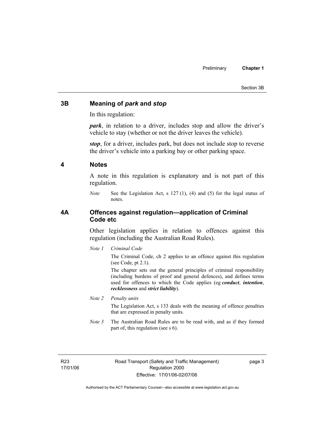#### Section 3B

#### **3B Meaning of** *park* **and** *stop*

In this regulation:

*park*, in relation to a driver, includes stop and allow the driver's vehicle to stay (whether or not the driver leaves the vehicle).

*stop*, for a driver, includes park, but does not include stop to reverse the driver's vehicle into a parking bay or other parking space.

#### **4 Notes**

A note in this regulation is explanatory and is not part of this regulation.

*Note* See the Legislation Act, s 127 (1), (4) and (5) for the legal status of notes.

#### **4A Offences against regulation—application of Criminal Code etc**

Other legislation applies in relation to offences against this regulation (including the Australian Road Rules).

*Note 1 Criminal Code*

The Criminal Code, ch 2 applies to an offence against this regulation (see Code, pt 2.1).

The chapter sets out the general principles of criminal responsibility (including burdens of proof and general defences), and defines terms used for offences to which the Code applies (eg *conduct*, *intention*, *recklessness* and *strict liability*).

#### *Note 2 Penalty units*

The Legislation Act, s 133 deals with the meaning of offence penalties that are expressed in penalty units.

*Note 3* The Australian Road Rules are to be read with, and as if they formed part of, this regulation (see s 6).

R23 17/01/06 Road Transport (Safety and Traffic Management) Regulation 2000 Effective: 17/01/06-02/07/06

page 3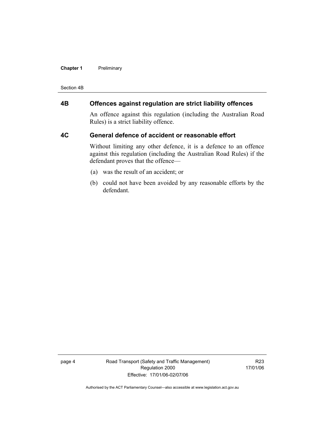#### **Chapter 1** Preliminary

Section 4B

# **4B Offences against regulation are strict liability offences**

An offence against this regulation (including the Australian Road Rules) is a strict liability offence.

#### **4C General defence of accident or reasonable effort**

Without limiting any other defence, it is a defence to an offence against this regulation (including the Australian Road Rules) if the defendant proves that the offence—

- (a) was the result of an accident; or
- (b) could not have been avoided by any reasonable efforts by the defendant.

page 4 Road Transport (Safety and Traffic Management) Regulation 2000 Effective: 17/01/06-02/07/06

R23 17/01/06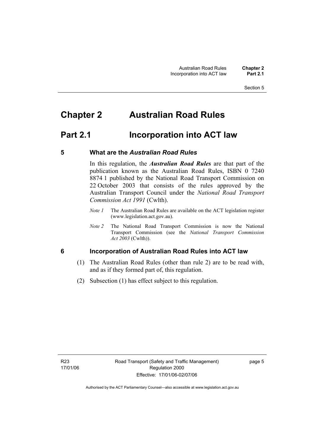# **Chapter 2 Australian Road Rules**

# **Part 2.1 Incorporation into ACT law**

### **5 What are the** *Australian Road Rules*

In this regulation, the *Australian Road Rules* are that part of the publication known as the Australian Road Rules, ISBN 0 7240 8874 1 published by the National Road Transport Commission on 22 October 2003 that consists of the rules approved by the Australian Transport Council under the *National Road Transport Commission Act 1991* (Cwlth).

- *Note 1* The Australian Road Rules are available on the ACT legislation register (www.legislation.act.gov.au).
- *Note 2* The National Road Transport Commission is now the National Transport Commission (see the *National Transport Commission Act 2003* (Cwlth)).

# **6 Incorporation of Australian Road Rules into ACT law**

- (1) The Australian Road Rules (other than rule 2) are to be read with, and as if they formed part of, this regulation.
- (2) Subsection (1) has effect subject to this regulation.

page 5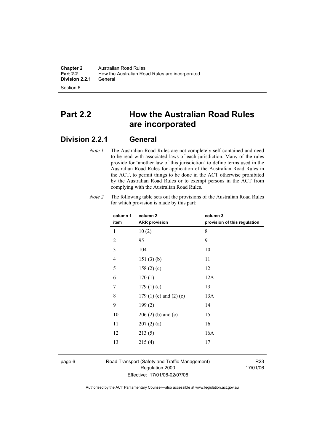**Chapter 2** Australian Road Rules<br>**Part 2.2** How the Australian Road How the Australian Road Rules are incorporated<br>General **Division 2.2.1** 

Section 6

# **Part 2.2 How the Australian Road Rules are incorporated**

# **Division 2.2.1 General**

*Note 1* The Australian Road Rules are not completely self-contained and need to be read with associated laws of each jurisdiction. Many of the rules provide for 'another law of this jurisdiction' to define terms used in the Australian Road Rules for application of the Australian Road Rules in the ACT, to permit things to be done in the ACT otherwise prohibited by the Australian Road Rules or to exempt persons in the ACT from complying with the Australian Road Rules.

| column 1       | column <sub>2</sub>             | column 3                     |
|----------------|---------------------------------|------------------------------|
| item           | <b>ARR provision</b>            | provision of this regulation |
| 1              | 10(2)                           | 8                            |
| $\overline{2}$ | 95                              | 9                            |
| 3              | 104                             | 10                           |
| 4              | 151(3)(b)                       | 11                           |
| 5              | 158(2)(c)                       | 12                           |
| 6              | 170(1)                          | 12A                          |
| 7              | 179(1)(c)                       | 13                           |
| 8              | 179 $(1)$ $(c)$ and $(2)$ $(c)$ | 13A                          |
| 9              | 199(2)                          | 14                           |
| 10             | $206(2)$ (b) and (c)            | 15                           |
| 11             | 207(2)(a)                       | 16                           |
| 12             | 213(5)                          | 16A                          |
| 13             | 215(4)                          | 17                           |
|                |                                 |                              |

*Note 2* The following table sets out the provisions of the Australian Road Rules for which provision is made by this part:

page 6 Road Transport (Safety and Traffic Management) Regulation 2000 Effective: 17/01/06-02/07/06

R23 17/01/06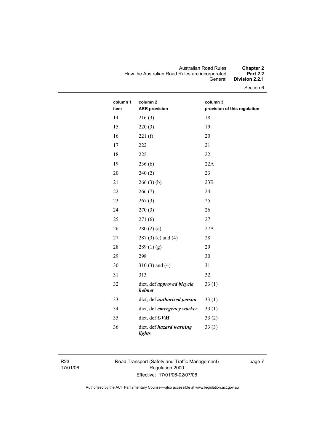#### Australian Road Rules **Chapter 2**  How the Australian Road Rules are incorporated **Part 2.2**  General **Division 2.2.1**

Section 6

| column 1<br>item | column <sub>2</sub><br><b>ARR</b> provision | column 3<br>provision of this regulation |
|------------------|---------------------------------------------|------------------------------------------|
| 14               | 216(3)                                      | 18                                       |
| 15               | 220(3)                                      | 19                                       |
| 16               | 221(f)                                      | 20                                       |
| 17               | 222                                         | 21                                       |
| 18               | 225                                         | 22                                       |
| 19               | 236(6)                                      | 22A                                      |
| 20               | 240(2)                                      | 23                                       |
| 21               | 266(3)(b)                                   | 23B                                      |
| 22               | 266(7)                                      | 24                                       |
| 23               | 267(3)                                      | 25                                       |
| 24               | 270(3)                                      | 26                                       |
| 25               | 271(6)                                      | 27                                       |
| 26               | 280(2)(a)                                   | 27A                                      |
| 27               | $287(3)$ (e) and (4)                        | 28                                       |
| 28               | 289(1)(g)                                   | 29                                       |
| 29               | 298                                         | 30                                       |
| 30               | $310(3)$ and $(4)$                          | 31                                       |
| 31               | 313                                         | 32                                       |
| 32               | dict, def approved bicycle<br>helmet        | 33(1)                                    |
| 33               | dict, def <i>authorised</i> person          | 33(1)                                    |
| 34               | dict, def emergency worker                  | 33(1)                                    |
| 35               | dict, def GVM                               | 33(2)                                    |
| 36               | dict, def hazard warning<br>lights          | 33(3)                                    |

R23 17/01/06 Road Transport (Safety and Traffic Management) Regulation 2000 Effective: 17/01/06-02/07/06

page 7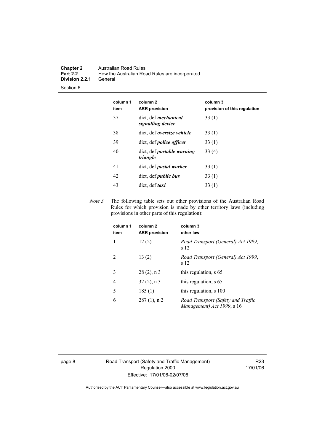#### **Chapter 2** Australian Road Rules<br>**Part 2.2** How the Australian Road How the Australian Road Rules are incorporated<br>General **Division 2.2.1**

Section 6

| column 1<br>item | column 2<br><b>ARR provision</b>                 | column 3<br>provision of this regulation |
|------------------|--------------------------------------------------|------------------------------------------|
| 37               | dict, def <i>mechanical</i><br>signalling device | 33(1)                                    |
| 38               | dict, def <i>oversize</i> vehicle                | 33(1)                                    |
| 39               | dict, def <i>police officer</i>                  | 33(1)                                    |
| 40               | dict, def <i>portable</i> warning<br>triangle    | 33(4)                                    |
| 41               | dict, def <i>postal</i> worker                   | 33(1)                                    |
| 42               | dict, def <i>public bus</i>                      | 33(1)                                    |
| 43               | dict, def <i>taxi</i>                            | 33 (1)                                   |

*Note 3* The following table sets out other provisions of the Australian Road Rules for which provision is made by other territory laws (including provisions in other parts of this regulation):

| column 1<br>item | column <sub>2</sub><br><b>ARR provision</b> | column 3<br>other law                                            |
|------------------|---------------------------------------------|------------------------------------------------------------------|
| 1                | 12(2)                                       | Road Transport (General) Act 1999,<br>s 12                       |
| $\mathcal{L}$    | 13(2)                                       | Road Transport (General) Act 1999,<br>s 12                       |
| 3                | $28(2)$ , n 3                               | this regulation, s 65                                            |
| 4                | $32(2)$ , n 3                               | this regulation, s 65                                            |
| 5                | 185(1)                                      | this regulation, s 100                                           |
| 6                | $287(1)$ , n 2                              | Road Transport (Safety and Traffic<br>Management) Act 1999, s 16 |

page 8 Road Transport (Safety and Traffic Management) Regulation 2000 Effective: 17/01/06-02/07/06

R23 17/01/06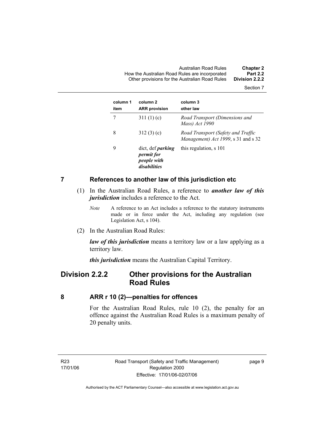Australian Road Rules **Chapter 2**  How the Australian Road Rules are incorporated **Part 2.2**  Other provisions for the Australian Road Rules **Division 2.2.2** 

Section 7

| column 1<br>item | column <sub>2</sub><br><b>ARR provision</b>                                  | column 3<br>other law                                                     |
|------------------|------------------------------------------------------------------------------|---------------------------------------------------------------------------|
|                  | 311 $(1)(c)$                                                                 | Road Transport (Dimensions and<br>Mass) Act 1990                          |
| 8                | 312(3)(c)                                                                    | Road Transport (Safety and Traffic<br>Management) Act 1999, s 31 and s 32 |
| 9                | dict, def <i>parking</i><br><i>permit for</i><br>people with<br>disabilities | this regulation, s 101                                                    |

#### **7 References to another law of this jurisdiction etc**

- (1) In the Australian Road Rules, a reference to *another law of this jurisdiction* includes a reference to the Act.
	- *Note* A reference to an Act includes a reference to the statutory instruments made or in force under the Act, including any regulation (see Legislation Act, s 104).
- (2) In the Australian Road Rules:

*law of this jurisdiction* means a territory law or a law applying as a territory law.

*this jurisdiction* means the Australian Capital Territory.

# **Division 2.2.2 Other provisions for the Australian Road Rules**

#### **8 ARR r 10 (2)—penalties for offences**

For the Australian Road Rules, rule 10 (2), the penalty for an offence against the Australian Road Rules is a maximum penalty of 20 penalty units.

R23 17/01/06 page 9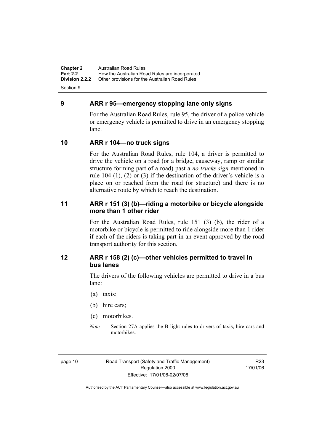**Chapter 2** Australian Road Rules<br>**Part 2.2** How the Australian Ro **Part 2.2 How the Australian Road Rules are incorporated Division 2.2.2** Other provisions for the Australian Road Rules **Other provisions for the Australian Road Rules** 

Section 9

### **9 ARR r 95—emergency stopping lane only signs**

For the Australian Road Rules, rule 95, the driver of a police vehicle or emergency vehicle is permitted to drive in an emergency stopping lane.

# **10 ARR r 104—no truck signs**

For the Australian Road Rules, rule 104, a driver is permitted to drive the vehicle on a road (or a bridge, causeway, ramp or similar structure forming part of a road) past a *no trucks sign* mentioned in rule 104 (1), (2) or (3) if the destination of the driver's vehicle is a place on or reached from the road (or structure) and there is no alternative route by which to reach the destination.

### **11 ARR r 151 (3) (b)—riding a motorbike or bicycle alongside more than 1 other rider**

For the Australian Road Rules, rule 151 (3) (b), the rider of a motorbike or bicycle is permitted to ride alongside more than 1 rider if each of the riders is taking part in an event approved by the road transport authority for this section.

# **12 ARR r 158 (2) (c)—other vehicles permitted to travel in bus lanes**

The drivers of the following vehicles are permitted to drive in a bus lane:

- (a) taxis;
- (b) hire cars;
- (c) motorbikes.
- *Note* Section 27A applies the B light rules to drivers of taxis, hire cars and motorbikes.

R23 17/01/06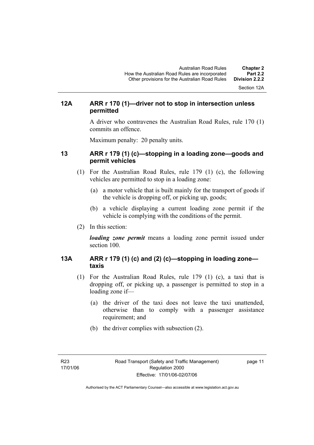Section 12A

# **12A ARR r 170 (1)—driver not to stop in intersection unless permitted**

A driver who contravenes the Australian Road Rules, rule 170 (1) commits an offence.

Maximum penalty: 20 penalty units.

### **13 ARR r 179 (1) (c)—stopping in a loading zone—goods and permit vehicles**

- (1) For the Australian Road Rules, rule 179 (1) (c), the following vehicles are permitted to stop in a loading zone:
	- (a) a motor vehicle that is built mainly for the transport of goods if the vehicle is dropping off, or picking up, goods;
	- (b) a vehicle displaying a current loading zone permit if the vehicle is complying with the conditions of the permit.
- (2) In this section:

*loading zone permit* means a loading zone permit issued under section 100.

# **13A ARR r 179 (1) (c) and (2) (c)—stopping in loading zone taxis**

- (1) For the Australian Road Rules, rule 179 (1) (c), a taxi that is dropping off, or picking up, a passenger is permitted to stop in a loading zone if—
	- (a) the driver of the taxi does not leave the taxi unattended, otherwise than to comply with a passenger assistance requirement; and
	- (b) the driver complies with subsection (2).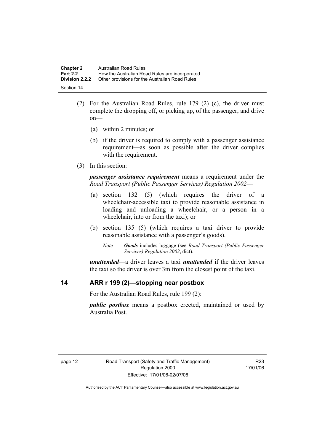| <b>Chapter 2</b>      | Australian Road Rules                          |
|-----------------------|------------------------------------------------|
| <b>Part 2.2</b>       | How the Australian Road Rules are incorporated |
| <b>Division 2.2.2</b> | Other provisions for the Australian Road Rules |
| Section 14            |                                                |

- (2) For the Australian Road Rules, rule 179 (2) (c), the driver must complete the dropping off, or picking up, of the passenger, and drive on—
	- (a) within 2 minutes; or
	- (b) if the driver is required to comply with a passenger assistance requirement—as soon as possible after the driver complies with the requirement.
- (3) In this section:

*passenger assistance requirement* means a requirement under the *Road Transport (Public Passenger Services) Regulation 2002*—

- (a) section 132 (5) (which requires the driver of a wheelchair-accessible taxi to provide reasonable assistance in loading and unloading a wheelchair, or a person in a wheelchair, into or from the taxi); or
- (b) section 135 (5) (which requires a taxi driver to provide reasonable assistance with a passenger's goods).
	- *Note Goods* includes luggage (see *Road Transport (Public Passenger Services) Regulation 2002*, dict).

*unattended*—a driver leaves a taxi *unattended* if the driver leaves the taxi so the driver is over 3m from the closest point of the taxi.

# **14 ARR r 199 (2)—stopping near postbox**

For the Australian Road Rules, rule 199 (2):

*public postbox* means a postbox erected, maintained or used by Australia Post.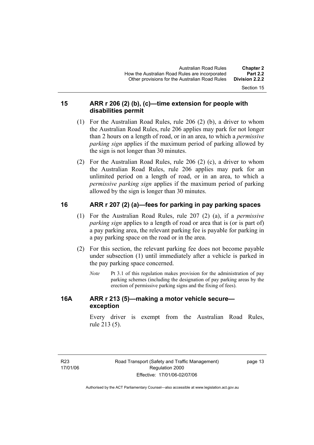Section 15

### **15 ARR r 206 (2) (b), (c)—time extension for people with disabilities permit**

- (1) For the Australian Road Rules, rule 206 (2) (b), a driver to whom the Australian Road Rules, rule 206 applies may park for not longer than 2 hours on a length of road, or in an area, to which a *permissive parking sign* applies if the maximum period of parking allowed by the sign is not longer than 30 minutes.
- (2) For the Australian Road Rules, rule 206 (2) (c), a driver to whom the Australian Road Rules, rule 206 applies may park for an unlimited period on a length of road, or in an area, to which a *permissive parking sign* applies if the maximum period of parking allowed by the sign is longer than 30 minutes.

# **16 ARR r 207 (2) (a)—fees for parking in pay parking spaces**

- (1) For the Australian Road Rules, rule 207 (2) (a), if a *permissive parking sign* applies to a length of road or area that is (or is part of) a pay parking area, the relevant parking fee is payable for parking in a pay parking space on the road or in the area.
- (2) For this section, the relevant parking fee does not become payable under subsection (1) until immediately after a vehicle is parked in the pay parking space concerned.
	- *Note* Pt 3.1 of this regulation makes provision for the administration of pay parking schemes (including the designation of pay parking areas by the erection of permissive parking signs and the fixing of fees).

# **16A ARR r 213 (5)—making a motor vehicle secure exception**

Every driver is exempt from the Australian Road Rules, rule 213 (5).

page 13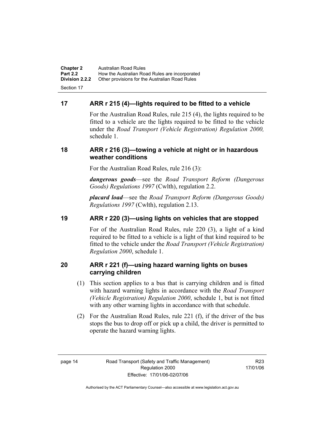**Chapter 2** Australian Road Rules<br>**Part 2.2** How the Australian Ro **Part 2.2 How the Australian Road Rules are incorporated Division 2.2.2** Other provisions for the Australian Road Rules **Other provisions for the Australian Road Rules** Section 17

### **17 ARR r 215 (4)—lights required to be fitted to a vehicle**

For the Australian Road Rules, rule 215 (4), the lights required to be fitted to a vehicle are the lights required to be fitted to the vehicle under the *Road Transport (Vehicle Registration) Regulation 2000,*  schedule 1.

#### **18 ARR r 216 (3)—towing a vehicle at night or in hazardous weather conditions**

For the Australian Road Rules, rule 216 (3):

*dangerous goods*—see the *Road Transport Reform (Dangerous Goods) Regulations 1997* (Cwlth), regulation 2.2.

*placard load*—see the *Road Transport Reform (Dangerous Goods) Regulations 1997* (Cwlth), regulation 2.13.

### **19 ARR r 220 (3)—using lights on vehicles that are stopped**

For of the Australian Road Rules, rule 220 (3), a light of a kind required to be fitted to a vehicle is a light of that kind required to be fitted to the vehicle under the *Road Transport (Vehicle Registration) Regulation 2000*, schedule 1.

### **20 ARR r 221 (f)—using hazard warning lights on buses carrying children**

- (1) This section applies to a bus that is carrying children and is fitted with hazard warning lights in accordance with the *Road Transport (Vehicle Registration) Regulation 2000*, schedule 1, but is not fitted with any other warning lights in accordance with that schedule.
- (2) For the Australian Road Rules, rule 221 (f), if the driver of the bus stops the bus to drop off or pick up a child, the driver is permitted to operate the hazard warning lights.

R23 17/01/06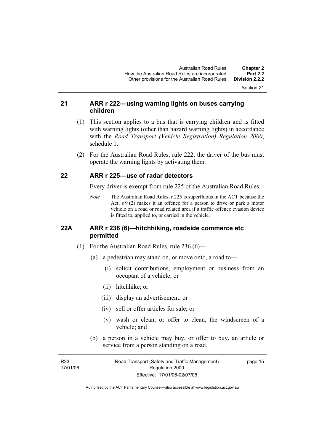Section 21

### **21 ARR r 222—using warning lights on buses carrying children**

- (1) This section applies to a bus that is carrying children and is fitted with warning lights (other than hazard warning lights) in accordance with the *Road Transport (Vehicle Registration) Regulation 2000*, schedule 1.
- (2) For the Australian Road Rules, rule 222, the driver of the bus must operate the warning lights by activating them.

### **22 ARR r 225—use of radar detectors**

Every driver is exempt from rule 225 of the Australian Road Rules.

*Note* The Australian Road Rules, r 225 is superfluous in the ACT because the Act,  $s \theta(2)$  makes it an offence for a person to drive or park a motor vehicle on a road or road related area if a traffic offence evasion device is fitted to, applied to, or carried in the vehicle.

#### **22A ARR r 236 (6)—hitchhiking, roadside commerce etc permitted**

- (1) For the Australian Road Rules, rule 236 (6)—
	- (a) a pedestrian may stand on, or move onto, a road to—
		- (i) solicit contributions, employment or business from an occupant of a vehicle; or
		- (ii) hitchhike; or
		- (iii) display an advertisement; or
		- (iv) sell or offer articles for sale; or
		- (v) wash or clean, or offer to clean, the windscreen of a vehicle; and
	- (b) a person in a vehicle may buy, or offer to buy, an article or service from a person standing on a road.

| R23      | Road Transport (Safety and Traffic Management) | page 15 |
|----------|------------------------------------------------|---------|
| 17/01/06 | Regulation 2000                                |         |
|          | Effective: 17/01/06-02/07/06                   |         |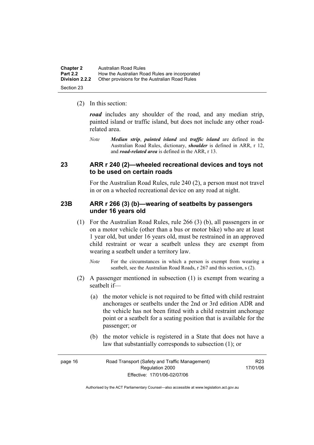| <b>Chapter 2</b>      | Australian Road Rules                          |
|-----------------------|------------------------------------------------|
| <b>Part 2.2</b>       | How the Australian Road Rules are incorporated |
| <b>Division 2.2.2</b> | Other provisions for the Australian Road Rules |
| Section 23            |                                                |

(2) In this section:

*road* includes any shoulder of the road, and any median strip, painted island or traffic island, but does not include any other roadrelated area.

*Note Median strip*, *painted island* and *traffic island* are defined in the Australian Road Rules, dictionary, *shoulder* is defined in ARR, r 12, and *road-related area* is defined in the ARR, r 13.

#### **23 ARR r 240 (2)—wheeled recreational devices and toys not to be used on certain roads**

For the Australian Road Rules, rule 240 (2), a person must not travel in or on a wheeled recreational device on any road at night.

#### **23B ARR r 266 (3) (b)—wearing of seatbelts by passengers under 16 years old**

- (1) For the Australian Road Rules, rule 266 (3) (b), all passengers in or on a motor vehicle (other than a bus or motor bike) who are at least 1 year old, but under 16 years old, must be restrained in an approved child restraint or wear a seatbelt unless they are exempt from wearing a seatbelt under a territory law.
	- *Note* For the circumstances in which a person is exempt from wearing a seatbelt, see the Australian Road Roads, r 267 and this section, s (2).
- (2) A passenger mentioned in subsection (1) is exempt from wearing a seatbelt if—
	- (a) the motor vehicle is not required to be fitted with child restraint anchorages or seatbelts under the 2nd or 3rd edition ADR and the vehicle has not been fitted with a child restraint anchorage point or a seatbelt for a seating position that is available for the passenger; or
	- (b) the motor vehicle is registered in a State that does not have a law that substantially corresponds to subsection (1); or

| page 16 | Road Transport (Safety and Traffic Management) | R <sub>23</sub> |
|---------|------------------------------------------------|-----------------|
|         | Regulation 2000                                | 17/01/06        |
|         | Effective: 17/01/06-02/07/06                   |                 |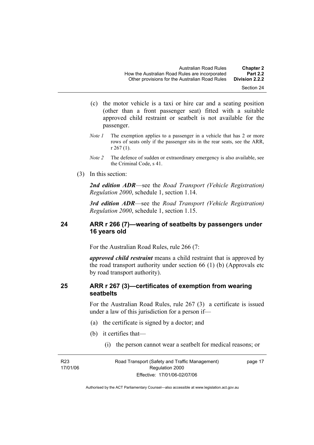- (c) the motor vehicle is a taxi or hire car and a seating position (other than a front passenger seat) fitted with a suitable approved child restraint or seatbelt is not available for the passenger.
- *Note 1* The exemption applies to a passenger in a vehicle that has 2 or more rows of seats only if the passenger sits in the rear seats, see the ARR, r 267 (1).
- *Note 2* The defence of sudden or extraordinary emergency is also available, see the Criminal Code, s 41.
- (3) In this section:

*2nd edition ADR*—see the *Road Transport (Vehicle Registration) Regulation 2000*, schedule 1, section 1.14.

*3rd edition ADR*—see the *Road Transport (Vehicle Registration) Regulation 2000*, schedule 1, section 1.15.

### **24 ARR r 266 (7)—wearing of seatbelts by passengers under 16 years old**

For the Australian Road Rules, rule 266 (7:

*approved child restraint* means a child restraint that is approved by the road transport authority under section 66 (1) (b) (Approvals etc by road transport authority).

### **25 ARR r 267 (3)—certificates of exemption from wearing seatbelts**

For the Australian Road Rules, rule 267 (3) a certificate is issued under a law of this jurisdiction for a person if—

- (a) the certificate is signed by a doctor; and
- (b) it certifies that—
	- (i) the person cannot wear a seatbelt for medical reasons; or

R23 17/01/06 Road Transport (Safety and Traffic Management) Regulation 2000 Effective: 17/01/06-02/07/06

page 17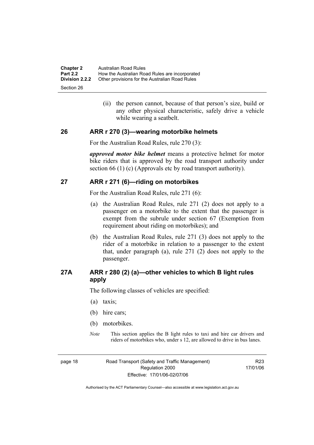| <b>Chapter 2</b><br><b>Part 2.2</b> | Australian Road Rules<br>How the Australian Road Rules are incorporated |
|-------------------------------------|-------------------------------------------------------------------------|
| <b>Division 2.2.2</b>               | Other provisions for the Australian Road Rules                          |
| Section 26                          |                                                                         |

 (ii) the person cannot, because of that person's size, build or any other physical characteristic, safely drive a vehicle while wearing a seatbelt.

#### **26 ARR r 270 (3)—wearing motorbike helmets**

For the Australian Road Rules, rule 270 (3):

*approved motor bike helmet* means a protective helmet for motor bike riders that is approved by the road transport authority under section 66 (1) (c) (Approvals etc by road transport authority).

#### **27 ARR r 271 (6)—riding on motorbikes**

For the Australian Road Rules, rule 271 (6):

- (a) the Australian Road Rules, rule 271 (2) does not apply to a passenger on a motorbike to the extent that the passenger is exempt from the subrule under section 67 (Exemption from requirement about riding on motorbikes); and
- (b) the Australian Road Rules, rule 271 (3) does not apply to the rider of a motorbike in relation to a passenger to the extent that, under paragraph (a), rule 271 (2) does not apply to the passenger.

# **27A ARR r 280 (2) (a)—other vehicles to which B light rules apply**

The following classes of vehicles are specified:

- (a) taxis;
- (b) hire cars;
- (b) motorbikes.
- *Note* This section applies the B light rules to taxi and hire car drivers and riders of motorbikes who, under s 12, are allowed to drive in bus lanes.

page 18 Road Transport (Safety and Traffic Management) Regulation 2000 Effective: 17/01/06-02/07/06

R23 17/01/06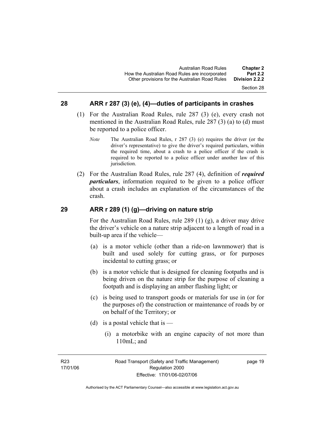#### Section 28

#### **28 ARR r 287 (3) (e), (4)—duties of participants in crashes**

- (1) For the Australian Road Rules, rule 287 (3) (e), every crash not mentioned in the Australian Road Rules, rule 287 (3) (a) to (d) must be reported to a police officer.
	- *Note* The Australian Road Rules, r 287 (3) (e) requires the driver (or the driver's representative) to give the driver's required particulars, within the required time, about a crash to a police officer if the crash is required to be reported to a police officer under another law of this jurisdiction.
- (2) For the Australian Road Rules, rule 287 (4), definition of *required particulars*, information required to be given to a police officer about a crash includes an explanation of the circumstances of the crash.

#### **29 ARR r 289 (1) (g)—driving on nature strip**

For the Australian Road Rules, rule 289 (1) (g), a driver may drive the driver's vehicle on a nature strip adjacent to a length of road in a built-up area if the vehicle—

- (a) is a motor vehicle (other than a ride-on lawnmower) that is built and used solely for cutting grass, or for purposes incidental to cutting grass; or
- (b) is a motor vehicle that is designed for cleaning footpaths and is being driven on the nature strip for the purpose of cleaning a footpath and is displaying an amber flashing light; or
- (c) is being used to transport goods or materials for use in (or for the purposes of) the construction or maintenance of roads by or on behalf of the Territory; or
- (d) is a postal vehicle that is
	- (i) a motorbike with an engine capacity of not more than 110mL; and

page 19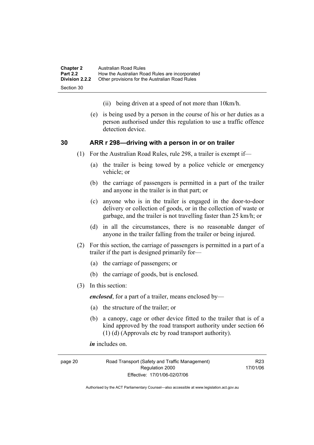| <b>Chapter 2</b> | Australian Road Rules                          |
|------------------|------------------------------------------------|
| <b>Part 2.2</b>  | How the Australian Road Rules are incorporated |
| Division 2.2.2   | Other provisions for the Australian Road Rules |
| Section 30       |                                                |

- (ii) being driven at a speed of not more than 10km/h.
- (e) is being used by a person in the course of his or her duties as a person authorised under this regulation to use a traffic offence detection device.

#### **30 ARR r 298—driving with a person in or on trailer**

- (1) For the Australian Road Rules, rule 298, a trailer is exempt if—
	- (a) the trailer is being towed by a police vehicle or emergency vehicle; or
	- (b) the carriage of passengers is permitted in a part of the trailer and anyone in the trailer is in that part; or
	- (c) anyone who is in the trailer is engaged in the door-to-door delivery or collection of goods, or in the collection of waste or garbage, and the trailer is not travelling faster than 25 km/h; or
	- (d) in all the circumstances, there is no reasonable danger of anyone in the trailer falling from the trailer or being injured.
- (2) For this section, the carriage of passengers is permitted in a part of a trailer if the part is designed primarily for—
	- (a) the carriage of passengers; or
	- (b) the carriage of goods, but is enclosed.
- (3) In this section:

*enclosed*, for a part of a trailer, means enclosed by—

- (a) the structure of the trailer; or
- (b) a canopy, cage or other device fitted to the trailer that is of a kind approved by the road transport authority under section 66 (1) (d) (Approvals etc by road transport authority).

*in* includes on.

page 20 Road Transport (Safety and Traffic Management) Regulation 2000 Effective: 17/01/06-02/07/06

R23 17/01/06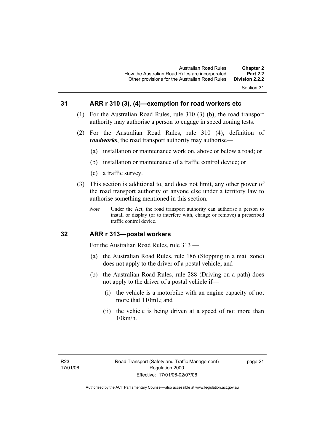#### **31 ARR r 310 (3), (4)—exemption for road workers etc**

- (1) For the Australian Road Rules, rule 310 (3) (b), the road transport authority may authorise a person to engage in speed zoning tests.
- (2) For the Australian Road Rules, rule 310 (4), definition of *roadworks*, the road transport authority may authorise—
	- (a) installation or maintenance work on, above or below a road; or
	- (b) installation or maintenance of a traffic control device; or
	- (c) a traffic survey.
- (3) This section is additional to, and does not limit, any other power of the road transport authority or anyone else under a territory law to authorise something mentioned in this section.
	- *Note* Under the Act, the road transport authority can authorise a person to install or display (or to interfere with, change or remove) a prescribed traffic control device.

#### **32 ARR r 313—postal workers**

For the Australian Road Rules, rule 313 —

- (a) the Australian Road Rules, rule 186 (Stopping in a mail zone) does not apply to the driver of a postal vehicle; and
- (b) the Australian Road Rules, rule 288 (Driving on a path) does not apply to the driver of a postal vehicle if—
	- (i) the vehicle is a motorbike with an engine capacity of not more that 110mL; and
	- (ii) the vehicle is being driven at a speed of not more than 10km/h.

page 21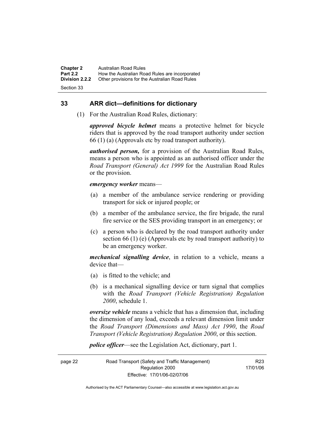**Chapter 2** Australian Road Rules<br>**Part 2.2** How the Australian Ro **Part 2.2 How the Australian Road Rules are incorporated Division 2.2.2** Other provisions for the Australian Road Rules **Other provisions for the Australian Road Rules** 

Section 33

#### **33 ARR dict—definitions for dictionary**

(1) For the Australian Road Rules, dictionary:

*approved bicycle helmet* means a protective helmet for bicycle riders that is approved by the road transport authority under section 66 (1) (a) (Approvals etc by road transport authority).

*authorised person,* for a provision of the Australian Road Rules, means a person who is appointed as an authorised officer under the *Road Transport (General) Act 1999* for the Australian Road Rules or the provision.

#### *emergency worker* means—

- (a) a member of the ambulance service rendering or providing transport for sick or injured people; or
- (b) a member of the ambulance service, the fire brigade, the rural fire service or the SES providing transport in an emergency; or
- (c) a person who is declared by the road transport authority under section 66 (1) (e) (Approvals etc by road transport authority) to be an emergency worker.

*mechanical signalling device*, in relation to a vehicle, means a device that—

- (a) is fitted to the vehicle; and
- (b) is a mechanical signalling device or turn signal that complies with the *Road Transport (Vehicle Registration) Regulation 2000*, schedule 1.

*oversize vehicle* means a vehicle that has a dimension that, including the dimension of any load, exceeds a relevant dimension limit under the *Road Transport (Dimensions and Mass) Act 1990*, the *Road Transport (Vehicle Registration) Regulation 2000*, or this section.

*police officer*—see the Legislation Act, dictionary, part 1.

page 22 Road Transport (Safety and Traffic Management) Regulation 2000 Effective: 17/01/06-02/07/06 R23 17/01/06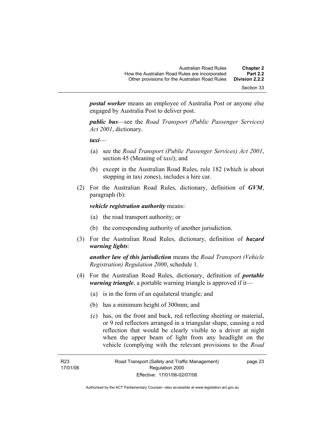Section 33

*postal worker* means an employee of Australia Post or anyone else engaged by Australia Post to deliver post.

*public bus*—see the *Road Transport (Public Passenger Services) Act 2001*, dictionary.

*taxi*—

- (a) see the *Road Transport (Public Passenger Services) Act 2001*, section 45 (Meaning of *taxi*); and
- (b) except in the Australian Road Rules, rule 182 (which is about stopping in taxi zones), includes a hire car.
- (2) For the Australian Road Rules, dictionary, definition of *GVM*, paragraph (b):

*vehicle registration authority* means:

- (a) the road transport authority; or
- (b) the corresponding authority of another jurisdiction.
- (3) For the Australian Road Rules, dictionary, definition of *hazard warning lights*:

*another law of this jurisdiction* means the *Road Transport (Vehicle Registration) Regulation 2000*, schedule 1.

- (4) For the Australian Road Rules, dictionary, definition of *portable warning triangle*, a portable warning triangle is approved if it—
	- (a) is in the form of an equilateral triangle; and
	- (b) has a minimum height of 300mm; and
	- (c) has, on the front and back, red reflecting sheeting or material, or 9 red reflectors arranged in a triangular shape, causing a red reflection that would be clearly visible to a driver at night when the upper beam of light from any headlight on the vehicle (complying with the relevant provisions to the *Road*

page 23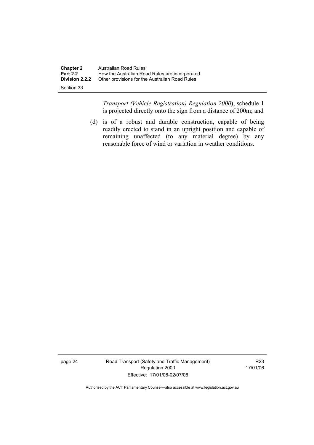| <b>Chapter 2</b>      | Australian Road Rules                          |
|-----------------------|------------------------------------------------|
| <b>Part 2.2</b>       | How the Australian Road Rules are incorporated |
| <b>Division 2.2.2</b> | Other provisions for the Australian Road Rules |
| Section 33            |                                                |

*Transport (Vehicle Registration) Regulation 2000*), schedule 1 is projected directly onto the sign from a distance of 200m; and

 (d) is of a robust and durable construction, capable of being readily erected to stand in an upright position and capable of remaining unaffected (to any material degree) by any reasonable force of wind or variation in weather conditions.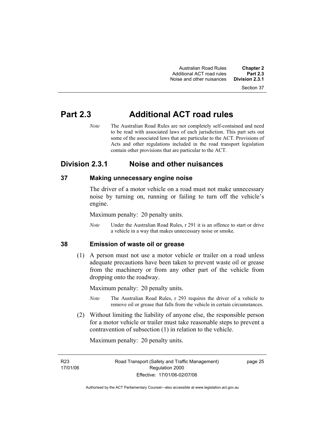Section 37

# **Part 2.3 Additional ACT road rules**

*Note* The Australian Road Rules are not completely self-contained and need to be read with associated laws of each jurisdiction. This part sets out some of the associated laws that are particular to the ACT. Provisions of Acts and other regulations included in the road transport legislation contain other provisions that are particular to the ACT.

# **Division 2.3.1 Noise and other nuisances**

# **37 Making unnecessary engine noise**

The driver of a motor vehicle on a road must not make unnecessary noise by turning on, running or failing to turn off the vehicle's engine.

Maximum penalty: 20 penalty units.

*Note* Under the Australian Road Rules, r 291 it is an offence to start or drive a vehicle in a way that makes unnecessary noise or smoke.

# **38 Emission of waste oil or grease**

 (1) A person must not use a motor vehicle or trailer on a road unless adequate precautions have been taken to prevent waste oil or grease from the machinery or from any other part of the vehicle from dropping onto the roadway.

Maximum penalty: 20 penalty units.

- *Note* The Australian Road Rules, r 293 requires the driver of a vehicle to remove oil or grease that falls from the vehicle in certain circumstances.
- (2) Without limiting the liability of anyone else, the responsible person for a motor vehicle or trailer must take reasonable steps to prevent a contravention of subsection (1) in relation to the vehicle.

Maximum penalty: 20 penalty units.

R23 17/01/06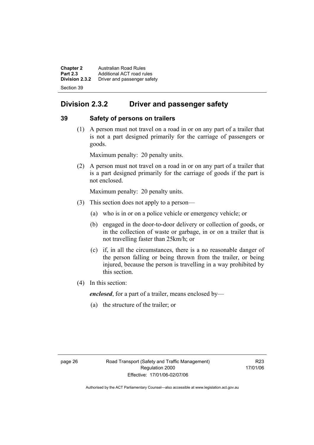**Chapter 2 Australian Road Rules**<br>**Part 2.3 Additional ACT road rules Part 2.3** Additional ACT road rules<br>**Division 2.3.2** Driver and passenger safe **Division 2.3.2** Driver and passenger safety Section 39

# **Division 2.3.2 Driver and passenger safety**

# **39 Safety of persons on trailers**

 (1) A person must not travel on a road in or on any part of a trailer that is not a part designed primarily for the carriage of passengers or goods.

Maximum penalty: 20 penalty units.

 (2) A person must not travel on a road in or on any part of a trailer that is a part designed primarily for the carriage of goods if the part is not enclosed.

Maximum penalty: 20 penalty units.

- (3) This section does not apply to a person—
	- (a) who is in or on a police vehicle or emergency vehicle; or
	- (b) engaged in the door-to-door delivery or collection of goods, or in the collection of waste or garbage, in or on a trailer that is not travelling faster than 25km/h; or
	- (c) if, in all the circumstances, there is a no reasonable danger of the person falling or being thrown from the trailer, or being injured, because the person is travelling in a way prohibited by this section.
- (4) In this section:

*enclosed*, for a part of a trailer, means enclosed by—

(a) the structure of the trailer; or

R23 17/01/06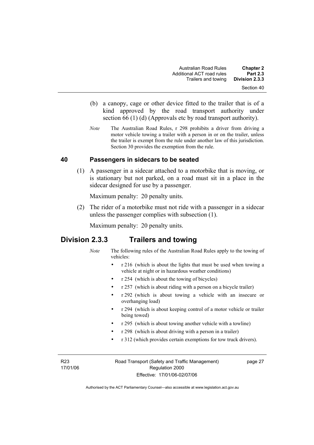- (b) a canopy, cage or other device fitted to the trailer that is of a kind approved by the road transport authority under section 66 (1) (d) (Approvals etc by road transport authority).
- *Note* The Australian Road Rules, r 298 prohibits a driver from driving a motor vehicle towing a trailer with a person in or on the trailer, unless the trailer is exempt from the rule under another law of this jurisdiction. Section 30 provides the exemption from the rule.

# **40 Passengers in sidecars to be seated**

 (1) A passenger in a sidecar attached to a motorbike that is moving, or is stationary but not parked, on a road must sit in a place in the sidecar designed for use by a passenger.

Maximum penalty: 20 penalty units.

 (2) The rider of a motorbike must not ride with a passenger in a sidecar unless the passenger complies with subsection (1).

Maximum penalty: 20 penalty units.

# **Division 2.3.3 Trailers and towing**

- *Note* The following rules of the Australian Road Rules apply to the towing of vehicles:
	- r 216 (which is about the lights that must be used when towing a vehicle at night or in hazardous weather conditions)
	- r 254 (which is about the towing of bicycles)
	- r 257 (which is about riding with a person on a bicycle trailer)
	- r 292 (which is about towing a vehicle with an insecure or overhanging load)
	- r 294 (which is about keeping control of a motor vehicle or trailer being towed)
	- r 295 (which is about towing another vehicle with a towline)
	- r 298 (which is about driving with a person in a trailer)
	- r 312 (which provides certain exemptions for tow truck drivers).

R23 17/01/06 Road Transport (Safety and Traffic Management) Regulation 2000 Effective: 17/01/06-02/07/06

page 27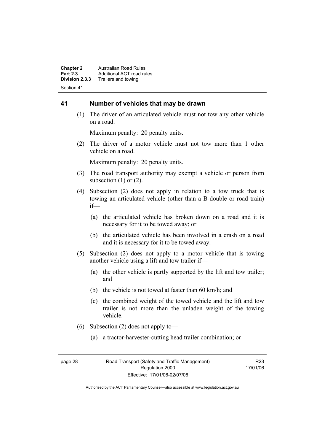**Chapter 2 Australian Road Rules**<br>**Part 2.3 Additional ACT road rules Part 2.3** Additional ACT road rules<br>**Division 2.3.3** Trailers and towing **Division 2.3.3** Trailers and towing Section 41

#### **41 Number of vehicles that may be drawn**

 (1) The driver of an articulated vehicle must not tow any other vehicle on a road.

Maximum penalty: 20 penalty units.

 (2) The driver of a motor vehicle must not tow more than 1 other vehicle on a road.

Maximum penalty: 20 penalty units.

- (3) The road transport authority may exempt a vehicle or person from subsection  $(1)$  or  $(2)$ .
- (4) Subsection (2) does not apply in relation to a tow truck that is towing an articulated vehicle (other than a B-double or road train) if—
	- (a) the articulated vehicle has broken down on a road and it is necessary for it to be towed away; or
	- (b) the articulated vehicle has been involved in a crash on a road and it is necessary for it to be towed away.
- (5) Subsection (2) does not apply to a motor vehicle that is towing another vehicle using a lift and tow trailer if—
	- (a) the other vehicle is partly supported by the lift and tow trailer; and
	- (b) the vehicle is not towed at faster than 60 km/h; and
	- (c) the combined weight of the towed vehicle and the lift and tow trailer is not more than the unladen weight of the towing vehicle.
- (6) Subsection (2) does not apply to—
	- (a) a tractor-harvester-cutting head trailer combination; or

R23 17/01/06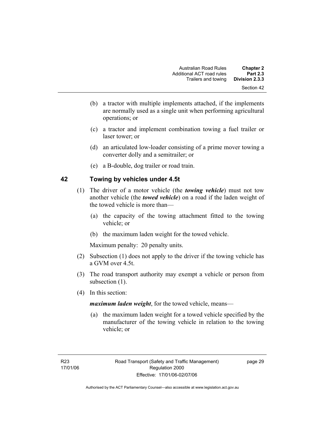- (b) a tractor with multiple implements attached, if the implements are normally used as a single unit when performing agricultural operations; or
- (c) a tractor and implement combination towing a fuel trailer or laser tower; or
- (d) an articulated low-loader consisting of a prime mover towing a converter dolly and a semitrailer; or
- (e) a B-double, dog trailer or road train.

# **42 Towing by vehicles under 4.5t**

- (1) The driver of a motor vehicle (the *towing vehicle*) must not tow another vehicle (the *towed vehicle*) on a road if the laden weight of the towed vehicle is more than—
	- (a) the capacity of the towing attachment fitted to the towing vehicle; or
	- (b) the maximum laden weight for the towed vehicle.

Maximum penalty: 20 penalty units.

- (2) Subsection (1) does not apply to the driver if the towing vehicle has a GVM over 4.5t.
- (3) The road transport authority may exempt a vehicle or person from subsection  $(1)$ .
- (4) In this section:

*maximum laden weight*, for the towed vehicle, means—

 (a) the maximum laden weight for a towed vehicle specified by the manufacturer of the towing vehicle in relation to the towing vehicle; or

page 29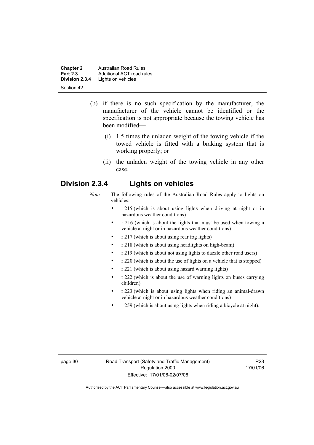**Chapter 2 Australian Road Rules**<br>**Part 2.3 Additional ACT road rules Part 2.3** Additional ACT road rules<br>**Division 2.3.4** Lights on vehicles Lights on vehicles Section 42

- (b) if there is no such specification by the manufacturer, the manufacturer of the vehicle cannot be identified or the specification is not appropriate because the towing vehicle has been modified—
	- (i) 1.5 times the unladen weight of the towing vehicle if the towed vehicle is fitted with a braking system that is working properly; or
	- (ii) the unladen weight of the towing vehicle in any other case.

# **Division 2.3.4 Lights on vehicles**

- *Note* The following rules of the Australian Road Rules apply to lights on vehicles:
	- r 215 (which is about using lights when driving at night or in hazardous weather conditions)
	- r 216 (which is about the lights that must be used when towing a vehicle at night or in hazardous weather conditions)
	- r 217 (which is about using rear fog lights)
	- r 218 (which is about using headlights on high-beam)
	- r 219 (which is about not using lights to dazzle other road users)
	- r 220 (which is about the use of lights on a vehicle that is stopped)
	- r 221 (which is about using hazard warning lights)
	- r 222 (which is about the use of warning lights on buses carrying children)
	- r 223 (which is about using lights when riding an animal-drawn vehicle at night or in hazardous weather conditions)
	- r 259 (which is about using lights when riding a bicycle at night).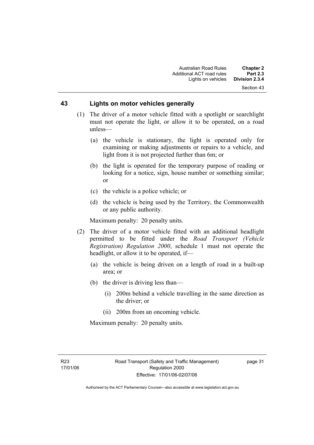### **43 Lights on motor vehicles generally**

- (1) The driver of a motor vehicle fitted with a spotlight or searchlight must not operate the light, or allow it to be operated, on a road unless—
	- (a) the vehicle is stationary, the light is operated only for examining or making adjustments or repairs to a vehicle, and light from it is not projected further than 6m; or
	- (b) the light is operated for the temporary purpose of reading or looking for a notice, sign, house number or something similar; or
	- (c) the vehicle is a police vehicle; or
	- (d) the vehicle is being used by the Territory, the Commonwealth or any public authority.

Maximum penalty: 20 penalty units.

- (2) The driver of a motor vehicle fitted with an additional headlight permitted to be fitted under the *Road Transport (Vehicle Registration) Regulation 2000*, schedule 1 must not operate the headlight, or allow it to be operated, if—
	- (a) the vehicle is being driven on a length of road in a built-up area; or
	- (b) the driver is driving less than—
		- (i) 200m behind a vehicle travelling in the same direction as the driver; or
		- (ii) 200m from an oncoming vehicle.

Maximum penalty: 20 penalty units.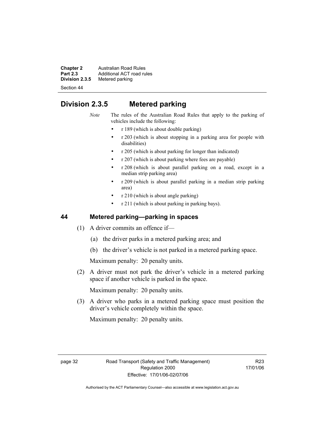**Chapter 2** Australian Road Rules<br>**Part 2.3** Additional ACT road rules **Part 2.3** Additional ACT road rules<br>**Division 2.3.5** Metered parking **Metered parking** 

Section 44

# **Division 2.3.5 Metered parking**

*Note* The rules of the Australian Road Rules that apply to the parking of vehicles include the following:

- r 189 (which is about double parking)
- r 203 (which is about stopping in a parking area for people with disabilities)
- r 205 (which is about parking for longer than indicated)
- r 207 (which is about parking where fees are payable)
- r 208 (which is about parallel parking on a road, except in a median strip parking area)
- r 209 (which is about parallel parking in a median strip parking area)
- r 210 (which is about angle parking)
- r 211 (which is about parking in parking bays).

# **44 Metered parking—parking in spaces**

- (1) A driver commits an offence if—
	- (a) the driver parks in a metered parking area; and
	- (b) the driver's vehicle is not parked in a metered parking space.

Maximum penalty: 20 penalty units.

 (2) A driver must not park the driver's vehicle in a metered parking space if another vehicle is parked in the space.

Maximum penalty: 20 penalty units.

 (3) A driver who parks in a metered parking space must position the driver's vehicle completely within the space.

Maximum penalty: 20 penalty units.

R23 17/01/06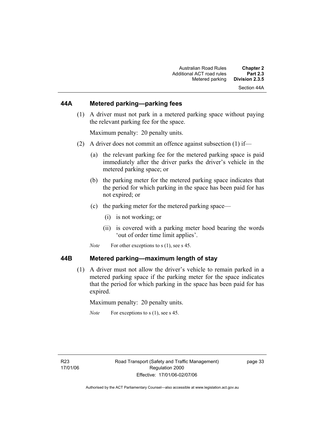# **44A Metered parking—parking fees**

 (1) A driver must not park in a metered parking space without paying the relevant parking fee for the space.

Maximum penalty: 20 penalty units.

- (2) A driver does not commit an offence against subsection (1) if—
	- (a) the relevant parking fee for the metered parking space is paid immediately after the driver parks the driver's vehicle in the metered parking space; or
	- (b) the parking meter for the metered parking space indicates that the period for which parking in the space has been paid for has not expired; or
	- (c) the parking meter for the metered parking space—
		- (i) is not working; or
		- (ii) is covered with a parking meter hood bearing the words 'out of order time limit applies'.
	- *Note* For other exceptions to s (1), see s 45.

#### **44B Metered parking—maximum length of stay**

 (1) A driver must not allow the driver's vehicle to remain parked in a metered parking space if the parking meter for the space indicates that the period for which parking in the space has been paid for has expired.

Maximum penalty: 20 penalty units.

*Note* For exceptions to s (1), see s 45.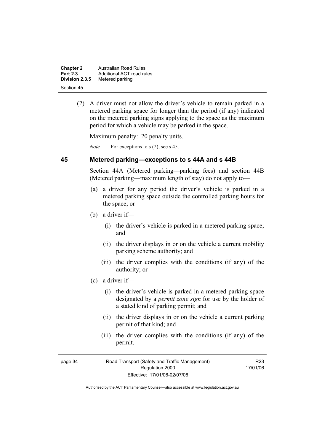| <b>Chapter 2</b> | Australian Road Rules     |
|------------------|---------------------------|
| <b>Part 2.3</b>  | Additional ACT road rules |
| Division 2.3.5   | Metered parking           |
| Section 45       |                           |

 (2) A driver must not allow the driver's vehicle to remain parked in a metered parking space for longer than the period (if any) indicated on the metered parking signs applying to the space as the maximum period for which a vehicle may be parked in the space.

Maximum penalty: 20 penalty units.

*Note* For exceptions to s (2), see s 45.

#### **45 Metered parking—exceptions to s 44A and s 44B**

Section 44A (Metered parking—parking fees) and section 44B (Metered parking—maximum length of stay) do not apply to—

- (a) a driver for any period the driver's vehicle is parked in a metered parking space outside the controlled parking hours for the space; or
- (b) a driver if—
	- (i) the driver's vehicle is parked in a metered parking space; and
	- (ii) the driver displays in or on the vehicle a current mobility parking scheme authority; and
	- (iii) the driver complies with the conditions (if any) of the authority; or
- (c) a driver if—
	- (i) the driver's vehicle is parked in a metered parking space designated by a *permit zone sign* for use by the holder of a stated kind of parking permit; and
	- (ii) the driver displays in or on the vehicle a current parking permit of that kind; and
	- (iii) the driver complies with the conditions (if any) of the permit.

R23 17/01/06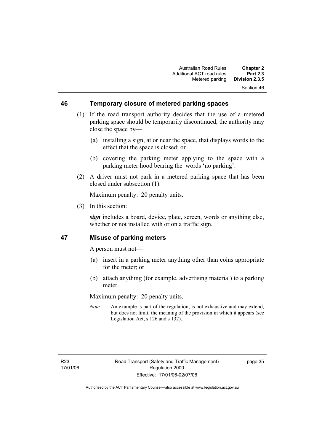#### **46 Temporary closure of metered parking spaces**

- (1) If the road transport authority decides that the use of a metered parking space should be temporarily discontinued, the authority may close the space by—
	- (a) installing a sign, at or near the space, that displays words to the effect that the space is closed; or
	- (b) covering the parking meter applying to the space with a parking meter hood bearing the words 'no parking'.
- (2) A driver must not park in a metered parking space that has been closed under subsection (1).

Maximum penalty: 20 penalty units.

(3) In this section:

*sign* includes a board, device, plate, screen, words or anything else, whether or not installed with or on a traffic sign.

### **47 Misuse of parking meters**

A person must not—

- (a) insert in a parking meter anything other than coins appropriate for the meter; or
- (b) attach anything (for example, advertising material) to a parking meter.

Maximum penalty: 20 penalty units.

*Note* An example is part of the regulation, is not exhaustive and may extend, but does not limit, the meaning of the provision in which it appears (see Legislation Act, s 126 and s 132).

page 35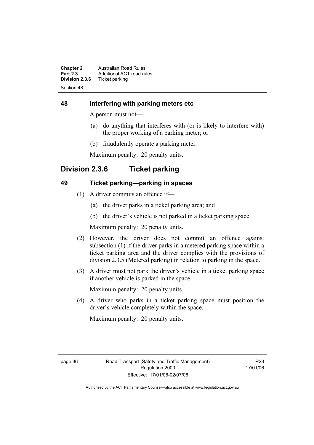**Chapter 2** Australian Road Rules<br>**Part 2.3** Additional ACT road rules **Part 2.3** Additional ACT road rules<br>**Division 2.3.6** Ticket parking **Ticket parking** Section 48

# **48 Interfering with parking meters etc**

A person must not—

- (a) do anything that interferes with (or is likely to interfere with) the proper working of a parking meter; or
- (b) fraudulently operate a parking meter.

Maximum penalty: 20 penalty units.

# **Division 2.3.6 Ticket parking**

# **49 Ticket parking—parking in spaces**

- (1) A driver commits an offence if—
	- (a) the driver parks in a ticket parking area; and
	- (b) the driver's vehicle is not parked in a ticket parking space.

Maximum penalty: 20 penalty units.

- (2) However, the driver does not commit an offence against subsection (1) if the driver parks in a metered parking space within a ticket parking area and the driver complies with the provisions of division 2.3.5 (Metered parking) in relation to parking in the space.
- (3) A driver must not park the driver's vehicle in a ticket parking space if another vehicle is parked in the space.

Maximum penalty: 20 penalty units.

 (4) A driver who parks in a ticket parking space must position the driver's vehicle completely within the space.

Maximum penalty: 20 penalty units.

R23 17/01/06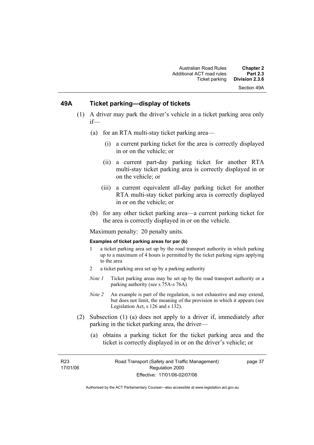# **49A Ticket parking—display of tickets**

- (1) A driver may park the driver's vehicle in a ticket parking area only if—
	- (a) for an RTA multi-stay ticket parking area—
		- (i) a current parking ticket for the area is correctly displayed in or on the vehicle; or
		- (ii) a current part-day parking ticket for another RTA multi-stay ticket parking area is correctly displayed in or on the vehicle; or
		- (iii) a current equivalent all-day parking ticket for another RTA multi-stay ticket parking area is correctly displayed in or on the vehicle; or
	- (b) for any other ticket parking area—a current parking ticket for the area is correctly displayed in or on the vehicle.

Maximum penalty: 20 penalty units.

#### **Examples of ticket parking areas for par (b)**

- 1 a ticket parking area set up by the road transport authority in which parking up to a maximum of 4 hours is permitted by the ticket parking signs applying to the area
- 2 a ticket parking area set up by a parking authority
- *Note 1* Ticket parking areas may be set up by the road transport authority or a parking authority (see s 75A-s 76A).
- *Note 2* An example is part of the regulation, is not exhaustive and may extend, but does not limit, the meaning of the provision in which it appears (see Legislation Act, s 126 and s 132).
- (2) Subsection (1) (a) does not apply to a driver if, immediately after parking in the ticket parking area, the driver—
	- (a) obtains a parking ticket for the ticket parking area and the ticket is correctly displayed in or on the driver's vehicle; or

R23 17/01/06 page 37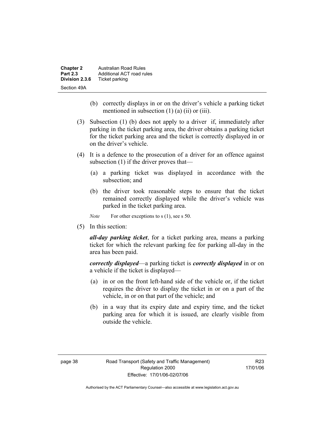| <b>Chapter 2</b> | <b>Australian Road Rules</b> |
|------------------|------------------------------|
| <b>Part 2.3</b>  | Additional ACT road rules    |
| Division 2.3.6   | Ticket parking               |
| Section 49A      |                              |

- (b) correctly displays in or on the driver's vehicle a parking ticket mentioned in subsection  $(1)$   $(a)$   $(ii)$  or  $(iii)$ .
- (3) Subsection (1) (b) does not apply to a driver if, immediately after parking in the ticket parking area, the driver obtains a parking ticket for the ticket parking area and the ticket is correctly displayed in or on the driver's vehicle.
- (4) It is a defence to the prosecution of a driver for an offence against subsection (1) if the driver proves that—
	- (a) a parking ticket was displayed in accordance with the subsection; and
	- (b) the driver took reasonable steps to ensure that the ticket remained correctly displayed while the driver's vehicle was parked in the ticket parking area.

*Note* For other exceptions to s (1), see s 50.

(5) In this section:

*all-day parking ticket*, for a ticket parking area, means a parking ticket for which the relevant parking fee for parking all-day in the area has been paid.

*correctly displayed*—a parking ticket is *correctly displayed* in or on a vehicle if the ticket is displayed—

- (a) in or on the front left-hand side of the vehicle or, if the ticket requires the driver to display the ticket in or on a part of the vehicle, in or on that part of the vehicle; and
- (b) in a way that its expiry date and expiry time, and the ticket parking area for which it is issued, are clearly visible from outside the vehicle.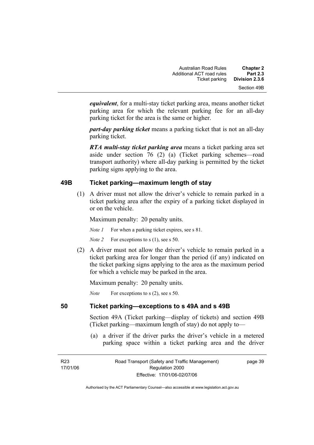*equivalent*, for a multi-stay ticket parking area, means another ticket parking area for which the relevant parking fee for an all-day parking ticket for the area is the same or higher.

*part-day parking ticket* means a parking ticket that is not an all-day parking ticket.

*RTA multi-stay ticket parking area* means a ticket parking area set aside under section 76 (2) (a) (Ticket parking schemes—road transport authority) where all-day parking is permitted by the ticket parking signs applying to the area.

# **49B Ticket parking—maximum length of stay**

 (1) A driver must not allow the driver's vehicle to remain parked in a ticket parking area after the expiry of a parking ticket displayed in or on the vehicle.

Maximum penalty: 20 penalty units.

*Note 1* For when a parking ticket expires, see s 81.

*Note 2* For exceptions to s (1), see s 50.

 (2) A driver must not allow the driver's vehicle to remain parked in a ticket parking area for longer than the period (if any) indicated on the ticket parking signs applying to the area as the maximum period for which a vehicle may be parked in the area.

Maximum penalty: 20 penalty units.

*Note* For exceptions to s (2), see s 50.

# **50 Ticket parking—exceptions to s 49A and s 49B**

Section 49A (Ticket parking—display of tickets) and section 49B (Ticket parking—maximum length of stay) do not apply to—

 (a) a driver if the driver parks the driver's vehicle in a metered parking space within a ticket parking area and the driver

page 39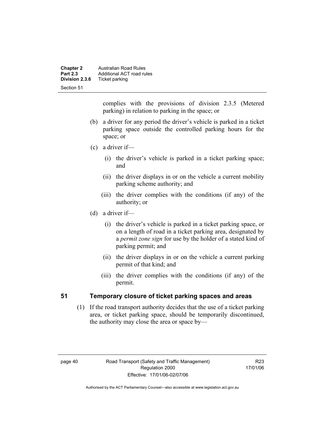| <b>Chapter 2</b><br><b>Part 2.3</b> | <b>Australian Road Rules</b><br>Additional ACT road rules |
|-------------------------------------|-----------------------------------------------------------|
| Division 2.3.6                      | Ticket parking                                            |
| Section 51                          |                                                           |

complies with the provisions of division 2.3.5 (Metered parking) in relation to parking in the space; or

- (b) a driver for any period the driver's vehicle is parked in a ticket parking space outside the controlled parking hours for the space; or
- (c) a driver if—
	- (i) the driver's vehicle is parked in a ticket parking space; and
	- (ii) the driver displays in or on the vehicle a current mobility parking scheme authority; and
	- (iii) the driver complies with the conditions (if any) of the authority; or
- (d) a driver if—
	- (i) the driver's vehicle is parked in a ticket parking space, or on a length of road in a ticket parking area, designated by a *permit zone sign* for use by the holder of a stated kind of parking permit; and
	- (ii) the driver displays in or on the vehicle a current parking permit of that kind; and
	- (iii) the driver complies with the conditions (if any) of the permit.

# **51 Temporary closure of ticket parking spaces and areas**

 (1) If the road transport authority decides that the use of a ticket parking area, or ticket parking space, should be temporarily discontinued, the authority may close the area or space by—

R23 17/01/06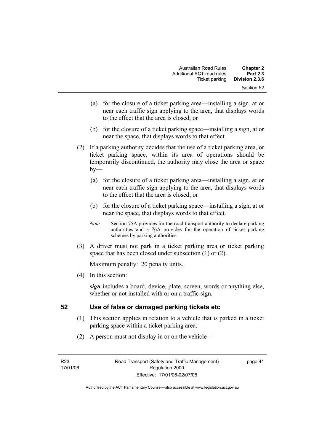- (a) for the closure of a ticket parking area—installing a sign, at or near each traffic sign applying to the area, that displays words to the effect that the area is closed; or
- (b) for the closure of a ticket parking space—installing a sign, at or near the space, that displays words to that effect.
- (2) If a parking authority decides that the use of a ticket parking area, or ticket parking space, within its area of operations should be temporarily discontinued, the authority may close the area or space  $by-$ 
	- (a) for the closure of a ticket parking area—installing a sign, at or near each traffic sign applying to the area, that displays words to the effect that the area is closed; or
	- (b) for the closure of a ticket parking space—installing a sign, at or near the space, that displays words to that effect.
	- *Note* Section 75A provides for the road transport authority to declare parking authorities and s 76A provides for the operation of ticket parking schemes by parking authorities.
- (3) A driver must not park in a ticket parking area or ticket parking space that has been closed under subsection (1) or (2).

(4) In this section:

*sign* includes a board, device, plate, screen, words or anything else, whether or not installed with or on a traffic sign.

# **52 Use of false or damaged parking tickets etc**

- (1) This section applies in relation to a vehicle that is parked in a ticket parking space within a ticket parking area.
- (2) A person must not display in or on the vehicle—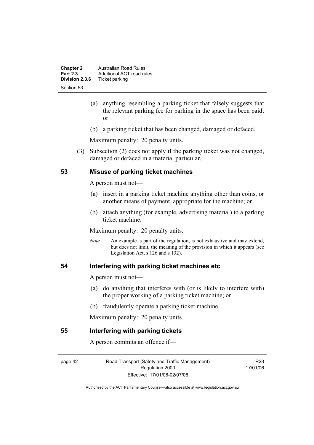| <b>Chapter 2</b><br><b>Part 2.3</b> | <b>Australian Road Rules</b><br>Additional ACT road rules |
|-------------------------------------|-----------------------------------------------------------|
| Division 2.3.6                      | Ticket parking                                            |
| Section 53                          |                                                           |

- (a) anything resembling a parking ticket that falsely suggests that the relevant parking fee for parking in the space has been paid; or
- (b) a parking ticket that has been changed, damaged or defaced.

 (3) Subsection (2) does not apply if the parking ticket was not changed, damaged or defaced in a material particular.

# **53 Misuse of parking ticket machines**

A person must not—

- (a) insert in a parking ticket machine anything other than coins, or another means of payment, appropriate for the machine; or
- (b) attach anything (for example, advertising material) to a parking ticket machine.

Maximum penalty: 20 penalty units.

*Note* An example is part of the regulation, is not exhaustive and may extend, but does not limit, the meaning of the provision in which it appears (see Legislation Act, s 126 and s 132).

#### **54 Interfering with parking ticket machines etc**

A person must not—

- (a) do anything that interferes with (or is likely to interfere with) the proper working of a parking ticket machine; or
- (b) fraudulently operate a parking ticket machine.

Maximum penalty: 20 penalty units.

#### **55 Interfering with parking tickets**

A person commits an offence if—

page 42 Road Transport (Safety and Traffic Management) Regulation 2000 Effective: 17/01/06-02/07/06

R23 17/01/06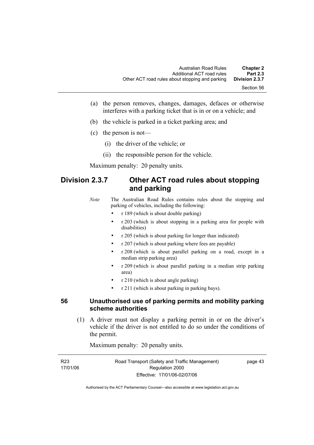- (a) the person removes, changes, damages, defaces or otherwise interferes with a parking ticket that is in or on a vehicle; and
- (b) the vehicle is parked in a ticket parking area; and
- (c) the person is not—
	- (i) the driver of the vehicle; or
	- (ii) the responsible person for the vehicle.

# **Division 2.3.7 Other ACT road rules about stopping and parking**

*Note* The Australian Road Rules contains rules about the stopping and parking of vehicles, including the following:

- r 189 (which is about double parking)
- r 203 (which is about stopping in a parking area for people with disabilities)
- r 205 (which is about parking for longer than indicated)
- r 207 (which is about parking where fees are payable)
- r 208 (which is about parallel parking on a road, except in a median strip parking area)
- r 209 (which is about parallel parking in a median strip parking area)
- r 210 (which is about angle parking)
- r 211 (which is about parking in parking bays).

#### **56 Unauthorised use of parking permits and mobility parking scheme authorities**

 (1) A driver must not display a parking permit in or on the driver's vehicle if the driver is not entitled to do so under the conditions of the permit.

Maximum penalty: 20 penalty units.

| R23      | Road Transport (Safety and Traffic Management) | page 43 |
|----------|------------------------------------------------|---------|
| 17/01/06 | Regulation 2000                                |         |
|          | Effective: 17/01/06-02/07/06                   |         |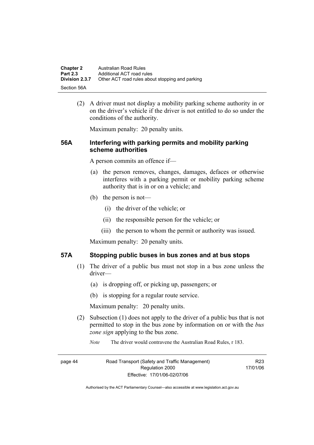| <b>Chapter 2</b> | Australian Road Rules                           |
|------------------|-------------------------------------------------|
| <b>Part 2.3</b>  | Additional ACT road rules                       |
| Division 2.3.7   | Other ACT road rules about stopping and parking |
| -Section 56A     |                                                 |

 (2) A driver must not display a mobility parking scheme authority in or on the driver's vehicle if the driver is not entitled to do so under the conditions of the authority.

Maximum penalty: 20 penalty units.

#### **56A Interfering with parking permits and mobility parking scheme authorities**

A person commits an offence if—

- (a) the person removes, changes, damages, defaces or otherwise interferes with a parking permit or mobility parking scheme authority that is in or on a vehicle; and
- (b) the person is not—
	- (i) the driver of the vehicle; or
	- (ii) the responsible person for the vehicle; or
	- (iii) the person to whom the permit or authority was issued.

Maximum penalty: 20 penalty units.

#### **57A Stopping public buses in bus zones and at bus stops**

- (1) The driver of a public bus must not stop in a bus zone unless the driver—
	- (a) is dropping off, or picking up, passengers; or
	- (b) is stopping for a regular route service.

Maximum penalty: 20 penalty units.

- (2) Subsection (1) does not apply to the driver of a public bus that is not permitted to stop in the bus zone by information on or with the *bus zone sign* applying to the bus zone.
	- *Note* The driver would contravene the Australian Road Rules, r 183.

page 44 Road Transport (Safety and Traffic Management) Regulation 2000 Effective: 17/01/06-02/07/06

R23 17/01/06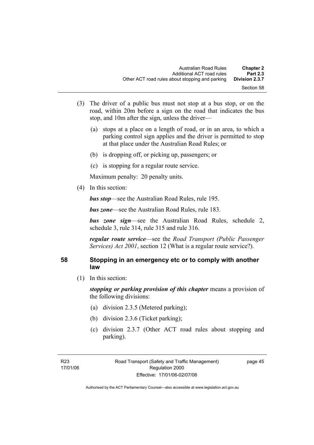- (3) The driver of a public bus must not stop at a bus stop, or on the road, within 20m before a sign on the road that indicates the bus stop, and 10m after the sign, unless the driver—
	- (a) stops at a place on a length of road, or in an area, to which a parking control sign applies and the driver is permitted to stop at that place under the Australian Road Rules; or
	- (b) is dropping off, or picking up, passengers; or
	- (c) is stopping for a regular route service.

(4) In this section:

*bus stop*—see the Australian Road Rules, rule 195.

*bus zone*—see the Australian Road Rules, rule 183.

*bus zone sign*—see the Australian Road Rules, schedule 2, schedule 3, rule 314, rule 315 and rule 316.

*regular route service*—see the *Road Transport (Public Passenger Services) Act 2001*, section 12 (What is a regular route service?).

# **58 Stopping in an emergency etc or to comply with another law**

(1) In this section:

*stopping or parking provision of this chapter* means a provision of the following divisions:

- (a) division 2.3.5 (Metered parking);
- (b) division 2.3.6 (Ticket parking);
- (c) division 2.3.7 (Other ACT road rules about stopping and parking).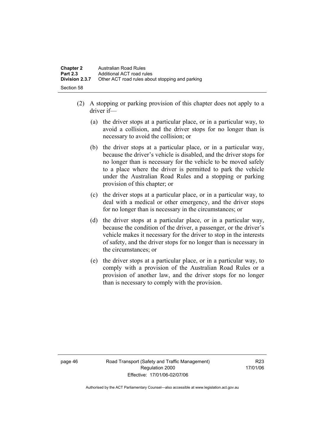- (2) A stopping or parking provision of this chapter does not apply to a driver if—
	- (a) the driver stops at a particular place, or in a particular way, to avoid a collision, and the driver stops for no longer than is necessary to avoid the collision; or
	- (b) the driver stops at a particular place, or in a particular way, because the driver's vehicle is disabled, and the driver stops for no longer than is necessary for the vehicle to be moved safely to a place where the driver is permitted to park the vehicle under the Australian Road Rules and a stopping or parking provision of this chapter; or
	- (c) the driver stops at a particular place, or in a particular way, to deal with a medical or other emergency, and the driver stops for no longer than is necessary in the circumstances; or
	- (d) the driver stops at a particular place, or in a particular way, because the condition of the driver, a passenger, or the driver's vehicle makes it necessary for the driver to stop in the interests of safety, and the driver stops for no longer than is necessary in the circumstances; or
	- (e) the driver stops at a particular place, or in a particular way, to comply with a provision of the Australian Road Rules or a provision of another law, and the driver stops for no longer than is necessary to comply with the provision.

page 46 Road Transport (Safety and Traffic Management) Regulation 2000 Effective: 17/01/06-02/07/06

R23 17/01/06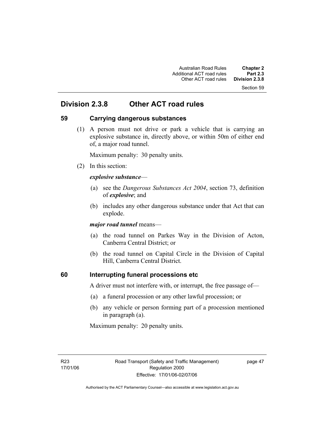Section 59

# **Division 2.3.8 Other ACT road rules**

# **59 Carrying dangerous substances**

 (1) A person must not drive or park a vehicle that is carrying an explosive substance in, directly above, or within 50m of either end of, a major road tunnel.

Maximum penalty: 30 penalty units.

(2) In this section:

#### *explosive substance*—

- (a) see the *Dangerous Substances Act 2004*, section 73, definition of *explosive*; and
- (b) includes any other dangerous substance under that Act that can explode.

*major road tunnel* means—

- (a) the road tunnel on Parkes Way in the Division of Acton, Canberra Central District; or
- (b) the road tunnel on Capital Circle in the Division of Capital Hill, Canberra Central District.

# **60 Interrupting funeral processions etc**

A driver must not interfere with, or interrupt, the free passage of—

- (a) a funeral procession or any other lawful procession; or
- (b) any vehicle or person forming part of a procession mentioned in paragraph (a).

Maximum penalty: 20 penalty units.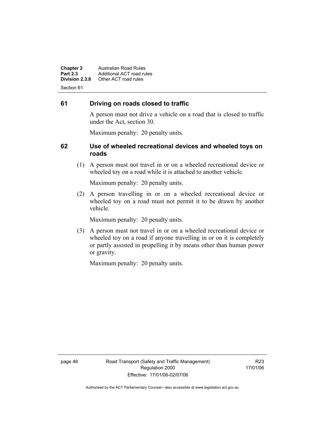**Chapter 2 Australian Road Rules**<br>**Part 2.3 Additional ACT road rules Part 2.3 Additional ACT road rules**<br>**Division 2.3.8** Other ACT road rules **Division 2.3.8** Other ACT road rules Section 61

# **61 Driving on roads closed to traffic**

A person must not drive a vehicle on a road that is closed to traffic under the Act, section 30.

Maximum penalty: 20 penalty units.

#### **62 Use of wheeled recreational devices and wheeled toys on roads**

 (1) A person must not travel in or on a wheeled recreational device or wheeled toy on a road while it is attached to another vehicle.

Maximum penalty: 20 penalty units.

 (2) A person travelling in or on a wheeled recreational device or wheeled toy on a road must not permit it to be drawn by another vehicle.

Maximum penalty: 20 penalty units.

 (3) A person must not travel in or on a wheeled recreational device or wheeled toy on a road if anyone travelling in or on it is completely or partly assisted in propelling it by means other than human power or gravity.

Maximum penalty: 20 penalty units.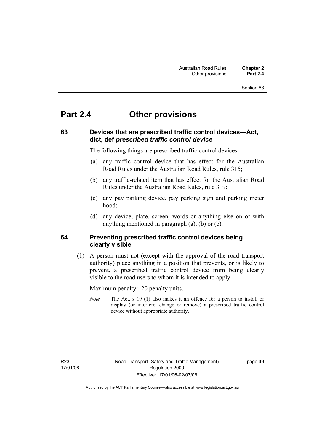#### Section 63

# **Part 2.4 Other provisions**

# **63 Devices that are prescribed traffic control devices—Act, dict, def** *prescribed traffic control device*

The following things are prescribed traffic control devices:

- (a) any traffic control device that has effect for the Australian Road Rules under the Australian Road Rules, rule 315;
- (b) any traffic-related item that has effect for the Australian Road Rules under the Australian Road Rules, rule 319;
- (c) any pay parking device, pay parking sign and parking meter hood;
- (d) any device, plate, screen, words or anything else on or with anything mentioned in paragraph (a), (b) or (c).

#### **64 Preventing prescribed traffic control devices being clearly visible**

 (1) A person must not (except with the approval of the road transport authority) place anything in a position that prevents, or is likely to prevent, a prescribed traffic control device from being clearly visible to the road users to whom it is intended to apply.

Maximum penalty: 20 penalty units.

*Note* The Act, s 19 (1) also makes it an offence for a person to install or display (or interfere, change or remove) a prescribed traffic control device without appropriate authority.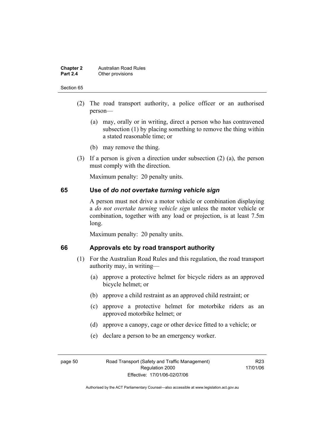#### **Chapter 2 Australian Road Rules**<br>**Part 2.4 Other provisions Other provisions**

#### Section 65

- (2) The road transport authority, a police officer or an authorised person—
	- (a) may, orally or in writing, direct a person who has contravened subsection (1) by placing something to remove the thing within a stated reasonable time; or
	- (b) may remove the thing.
- (3) If a person is given a direction under subsection (2) (a), the person must comply with the direction.

Maximum penalty: 20 penalty units.

#### **65 Use of** *do not overtake turning vehicle sign*

A person must not drive a motor vehicle or combination displaying a *do not overtake turning vehicle sign* unless the motor vehicle or combination, together with any load or projection, is at least 7.5m long.

Maximum penalty: 20 penalty units.

#### **66 Approvals etc by road transport authority**

- (1) For the Australian Road Rules and this regulation, the road transport authority may, in writing—
	- (a) approve a protective helmet for bicycle riders as an approved bicycle helmet; or
	- (b) approve a child restraint as an approved child restraint; or
	- (c) approve a protective helmet for motorbike riders as an approved motorbike helmet; or
	- (d) approve a canopy, cage or other device fitted to a vehicle; or
	- (e) declare a person to be an emergency worker.

R23 17/01/06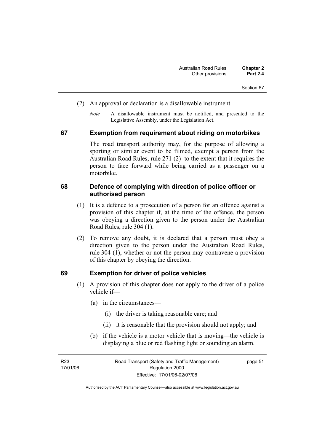- (2) An approval or declaration is a disallowable instrument.
	- *Note* A disallowable instrument must be notified, and presented to the Legislative Assembly, under the Legislation Act.

#### **67 Exemption from requirement about riding on motorbikes**

The road transport authority may, for the purpose of allowing a sporting or similar event to be filmed, exempt a person from the Australian Road Rules, rule 271 (2) to the extent that it requires the person to face forward while being carried as a passenger on a motorbike.

#### **68 Defence of complying with direction of police officer or authorised person**

- (1) It is a defence to a prosecution of a person for an offence against a provision of this chapter if, at the time of the offence, the person was obeying a direction given to the person under the Australian Road Rules, rule 304 (1).
- (2) To remove any doubt, it is declared that a person must obey a direction given to the person under the Australian Road Rules, rule 304 (1), whether or not the person may contravene a provision of this chapter by obeying the direction.

#### **69 Exemption for driver of police vehicles**

- (1) A provision of this chapter does not apply to the driver of a police vehicle if—
	- (a) in the circumstances—
		- (i) the driver is taking reasonable care; and
		- (ii) it is reasonable that the provision should not apply; and
	- (b) if the vehicle is a motor vehicle that is moving—the vehicle is displaying a blue or red flashing light or sounding an alarm.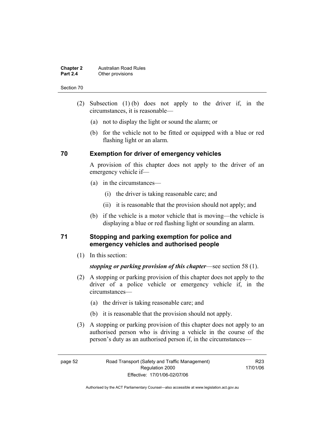#### **Chapter 2 Australian Road Rules**<br>**Part 2.4 Other provisions Other provisions**

#### Section 70

- (2) Subsection (1) (b) does not apply to the driver if, in the circumstances, it is reasonable—
	- (a) not to display the light or sound the alarm; or
	- (b) for the vehicle not to be fitted or equipped with a blue or red flashing light or an alarm.

### **70 Exemption for driver of emergency vehicles**

A provision of this chapter does not apply to the driver of an emergency vehicle if—

- (a) in the circumstances—
	- (i) the driver is taking reasonable care; and
	- (ii) it is reasonable that the provision should not apply; and
- (b) if the vehicle is a motor vehicle that is moving—the vehicle is displaying a blue or red flashing light or sounding an alarm.

# **71 Stopping and parking exemption for police and emergency vehicles and authorised people**

(1) In this section:

*stopping or parking provision of this chapter*—see section 58 (1).

- (2) A stopping or parking provision of this chapter does not apply to the driver of a police vehicle or emergency vehicle if, in the circumstances—
	- (a) the driver is taking reasonable care; and
	- (b) it is reasonable that the provision should not apply.
- (3) A stopping or parking provision of this chapter does not apply to an authorised person who is driving a vehicle in the course of the person's duty as an authorised person if, in the circumstances—

R23 17/01/06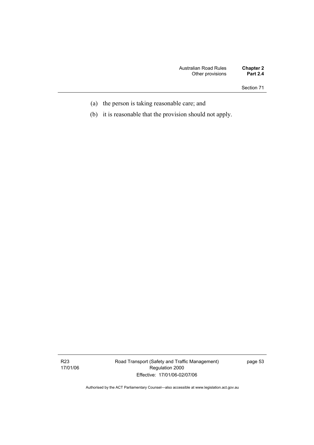Section 71

- (a) the person is taking reasonable care; and
- (b) it is reasonable that the provision should not apply.

Road Transport (Safety and Traffic Management) Regulation 2000 Effective: 17/01/06-02/07/06

page 53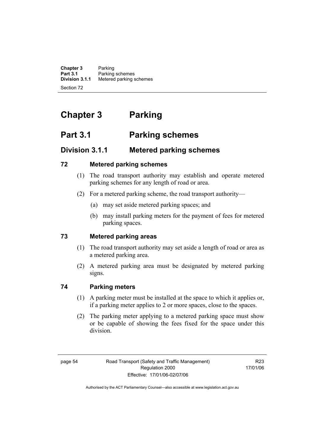**Chapter 3** Parking<br>**Part 3.1** Parking **Part 3.1** Parking schemes<br>**Division 3.1.1** Metered parking s **Division 3.1.1** Metered parking schemes Section 72

# **Chapter 3 Parking**

# **Part 3.1 Parking schemes**

# **Division 3.1.1 Metered parking schemes**

# **72 Metered parking schemes**

- (1) The road transport authority may establish and operate metered parking schemes for any length of road or area.
- (2) For a metered parking scheme, the road transport authority—
	- (a) may set aside metered parking spaces; and
	- (b) may install parking meters for the payment of fees for metered parking spaces.

# **73 Metered parking areas**

- (1) The road transport authority may set aside a length of road or area as a metered parking area.
- (2) A metered parking area must be designated by metered parking signs.

# **74 Parking meters**

- (1) A parking meter must be installed at the space to which it applies or, if a parking meter applies to 2 or more spaces, close to the spaces.
- (2) The parking meter applying to a metered parking space must show or be capable of showing the fees fixed for the space under this division.

R23 17/01/06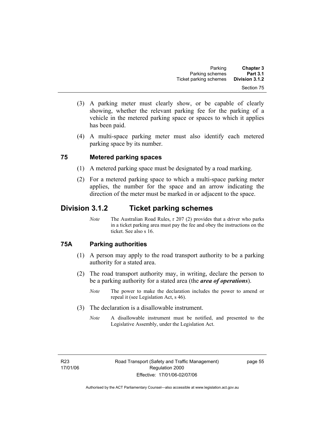- (3) A parking meter must clearly show, or be capable of clearly showing, whether the relevant parking fee for the parking of a vehicle in the metered parking space or spaces to which it applies has been paid.
- (4) A multi-space parking meter must also identify each metered parking space by its number.

# **75 Metered parking spaces**

- (1) A metered parking space must be designated by a road marking.
- (2) For a metered parking space to which a multi-space parking meter applies, the number for the space and an arrow indicating the direction of the meter must be marked in or adjacent to the space.

# **Division 3.1.2 Ticket parking schemes**

*Note* The Australian Road Rules, r 207 (2) provides that a driver who parks in a ticket parking area must pay the fee and obey the instructions on the ticket. See also s 16.

# **75A Parking authorities**

- (1) A person may apply to the road transport authority to be a parking authority for a stated area.
- (2) The road transport authority may, in writing, declare the person to be a parking authority for a stated area (the *area of operations*).
	- *Note* The power to make the declaration includes the power to amend or repeal it (see Legislation Act, s 46).
- (3) The declaration is a disallowable instrument.
	- *Note* A disallowable instrument must be notified, and presented to the Legislative Assembly, under the Legislation Act.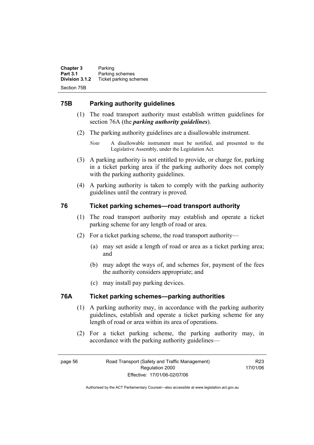**Chapter 3** Parking<br>**Part 3.1** Parking **Part 3.1 Parking schemes**<br>**Division 3.1.2** Ticket parking sch **Division 3.1.2** Ticket parking schemes Section 75B

# **75B Parking authority guidelines**

- (1) The road transport authority must establish written guidelines for section 76A (the *parking authority guidelines*).
- (2) The parking authority guidelines are a disallowable instrument.
	- *Note* A disallowable instrument must be notified, and presented to the Legislative Assembly, under the Legislation Act.
- (3) A parking authority is not entitled to provide, or charge for, parking in a ticket parking area if the parking authority does not comply with the parking authority guidelines.
- (4) A parking authority is taken to comply with the parking authority guidelines until the contrary is proved.

# **76 Ticket parking schemes—road transport authority**

- (1) The road transport authority may establish and operate a ticket parking scheme for any length of road or area.
- (2) For a ticket parking scheme, the road transport authority—
	- (a) may set aside a length of road or area as a ticket parking area; and
	- (b) may adopt the ways of, and schemes for, payment of the fees the authority considers appropriate; and
	- (c) may install pay parking devices.

# **76A Ticket parking schemes—parking authorities**

- (1) A parking authority may, in accordance with the parking authority guidelines, establish and operate a ticket parking scheme for any length of road or area within its area of operations.
- (2) For a ticket parking scheme, the parking authority may, in accordance with the parking authority guidelines—

R23 17/01/06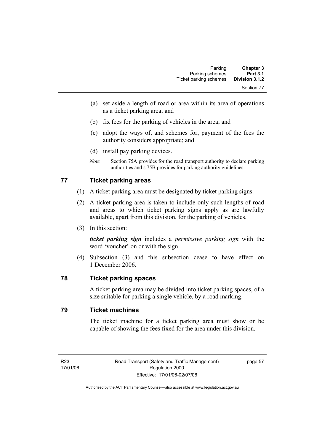- (a) set aside a length of road or area within its area of operations as a ticket parking area; and
- (b) fix fees for the parking of vehicles in the area; and
- (c) adopt the ways of, and schemes for, payment of the fees the authority considers appropriate; and
- (d) install pay parking devices.
- *Note* Section 75A provides for the road transport authority to declare parking authorities and s 75B provides for parking authority guidelines.

# **77 Ticket parking areas**

- (1) A ticket parking area must be designated by ticket parking signs.
- (2) A ticket parking area is taken to include only such lengths of road and areas to which ticket parking signs apply as are lawfully available, apart from this division, for the parking of vehicles.
- (3) In this section:

*ticket parking sign* includes a *permissive parking sign* with the word 'voucher' on or with the sign.

 (4) Subsection (3) and this subsection cease to have effect on 1 December 2006.

# **78 Ticket parking spaces**

A ticket parking area may be divided into ticket parking spaces, of a size suitable for parking a single vehicle, by a road marking.

### **79 Ticket machines**

The ticket machine for a ticket parking area must show or be capable of showing the fees fixed for the area under this division.

page 57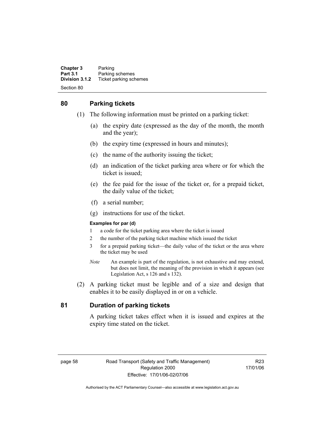**Chapter 3** Parking<br>**Part 3.1** Parking **Part 3.1 Parking schemes**<br>**Division 3.1.2** Ticket parking sch **Division 3.1.2** Ticket parking schemes Section 80

# **80 Parking tickets**

- (1) The following information must be printed on a parking ticket:
	- (a) the expiry date (expressed as the day of the month, the month and the year);
	- (b) the expiry time (expressed in hours and minutes);
	- (c) the name of the authority issuing the ticket;
	- (d) an indication of the ticket parking area where or for which the ticket is issued;
	- (e) the fee paid for the issue of the ticket or, for a prepaid ticket, the daily value of the ticket;
	- (f) a serial number;
	- (g) instructions for use of the ticket.

#### **Examples for par (d)**

- 1 a code for the ticket parking area where the ticket is issued
- 2 the number of the parking ticket machine which issued the ticket
- 3 for a prepaid parking ticket—the daily value of the ticket or the area where the ticket may be used
- *Note* An example is part of the regulation, is not exhaustive and may extend, but does not limit, the meaning of the provision in which it appears (see Legislation Act, s 126 and s 132).
- (2) A parking ticket must be legible and of a size and design that enables it to be easily displayed in or on a vehicle.

# **81 Duration of parking tickets**

A parking ticket takes effect when it is issued and expires at the expiry time stated on the ticket.

R23 17/01/06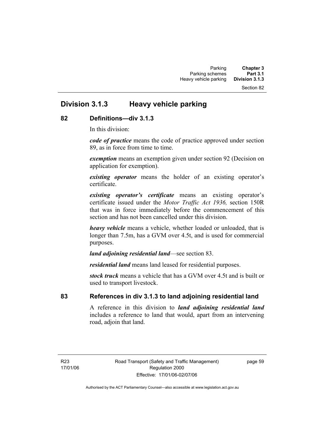#### Section 82

# **Division 3.1.3 Heavy vehicle parking**

#### **82 Definitions—div 3.1.3**

In this division:

*code of practice* means the code of practice approved under section 89, as in force from time to time.

*exemption* means an exemption given under section 92 (Decision on application for exemption).

*existing operator* means the holder of an existing operator's certificate.

*existing operator's certificate* means an existing operator's certificate issued under the *Motor Traffic Act 1936,* section 150R that was in force immediately before the commencement of this section and has not been cancelled under this division.

*heavy vehicle* means a vehicle, whether loaded or unloaded, that is longer than 7.5m, has a GVM over 4.5t, and is used for commercial purposes.

*land adjoining residential land*—see section 83.

*residential land* means land leased for residential purposes.

*stock truck* means a vehicle that has a GVM over 4.5t and is built or used to transport livestock.

# **83 References in div 3.1.3 to land adjoining residential land**

A reference in this division to *land adjoining residential land* includes a reference to land that would, apart from an intervening road, adjoin that land.

R23 17/01/06 page 59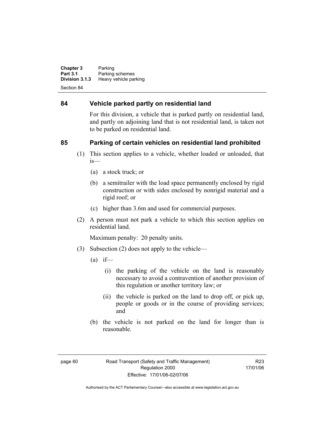**Chapter 3** Parking<br>**Part 3.1** Parking **Part 3.1** Parking schemes<br>**Division 3.1.3** Heavy vehicle part **Heavy vehicle parking** Section 84

### **84 Vehicle parked partly on residential land**

For this division, a vehicle that is parked partly on residential land, and partly on adjoining land that is not residential land, is taken not to be parked on residential land.

# **85 Parking of certain vehicles on residential land prohibited**

- (1) This section applies to a vehicle, whether loaded or unloaded, that is—
	- (a) a stock truck; or
	- (b) a semitrailer with the load space permanently enclosed by rigid construction or with sides enclosed by nonrigid material and a rigid roof; or
	- (c) higher than 3.6m and used for commercial purposes.
- (2) A person must not park a vehicle to which this section applies on residential land.

Maximum penalty: 20 penalty units.

- (3) Subsection (2) does not apply to the vehicle—
	- $(a)$  if—
		- (i) the parking of the vehicle on the land is reasonably necessary to avoid a contravention of another provision of this regulation or another territory law; or
		- (ii) the vehicle is parked on the land to drop off, or pick up, people or goods or in the course of providing services; and
	- (b) the vehicle is not parked on the land for longer than is reasonable.

R23 17/01/06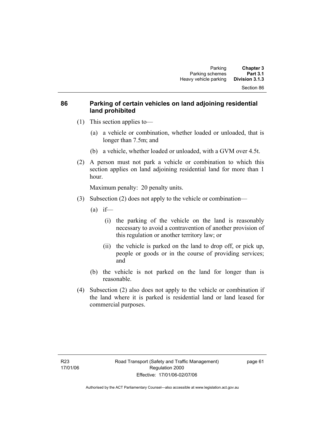# **86 Parking of certain vehicles on land adjoining residential land prohibited**

- (1) This section applies to—
	- (a) a vehicle or combination, whether loaded or unloaded, that is longer than 7.5m; and
	- (b) a vehicle, whether loaded or unloaded, with a GVM over 4.5t.
- (2) A person must not park a vehicle or combination to which this section applies on land adjoining residential land for more than 1 hour.

Maximum penalty: 20 penalty units.

- (3) Subsection (2) does not apply to the vehicle or combination—
	- $(a)$  if—
		- (i) the parking of the vehicle on the land is reasonably necessary to avoid a contravention of another provision of this regulation or another territory law; or
		- (ii) the vehicle is parked on the land to drop off, or pick up, people or goods or in the course of providing services; and
	- (b) the vehicle is not parked on the land for longer than is reasonable.
- (4) Subsection (2) also does not apply to the vehicle or combination if the land where it is parked is residential land or land leased for commercial purposes.

page 61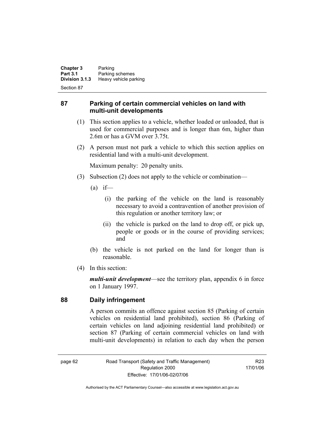**Chapter 3** Parking<br>**Part 3.1** Parking **Part 3.1 Parking schemes**<br>**Division 3.1.3 Heavy vehicle part Division 3.1.3** Heavy vehicle parking

Section 87

### **87 Parking of certain commercial vehicles on land with multi-unit developments**

- (1) This section applies to a vehicle, whether loaded or unloaded, that is used for commercial purposes and is longer than 6m, higher than 2.6m or has a GVM over 3.75t.
- (2) A person must not park a vehicle to which this section applies on residential land with a multi-unit development.

Maximum penalty: 20 penalty units.

- (3) Subsection (2) does not apply to the vehicle or combination—
	- $(a)$  if—
		- (i) the parking of the vehicle on the land is reasonably necessary to avoid a contravention of another provision of this regulation or another territory law; or
		- (ii) the vehicle is parked on the land to drop off, or pick up, people or goods or in the course of providing services; and
	- (b) the vehicle is not parked on the land for longer than is reasonable.
- (4) In this section:

*multi-unit development*—see the territory plan, appendix 6 in force on 1 January 1997.

#### **88 Daily infringement**

A person commits an offence against section 85 (Parking of certain vehicles on residential land prohibited), section 86 (Parking of certain vehicles on land adjoining residential land prohibited) or section 87 (Parking of certain commercial vehicles on land with multi-unit developments) in relation to each day when the person

page 62 Road Transport (Safety and Traffic Management) Regulation 2000 Effective: 17/01/06-02/07/06

R23 17/01/06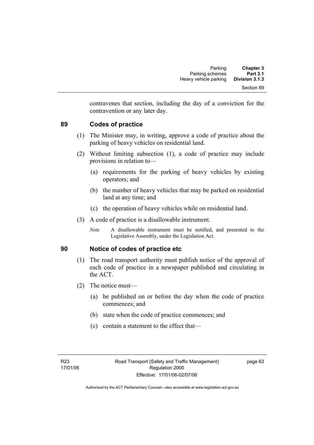contravenes that section, including the day of a conviction for the contravention or any later day.

### **89 Codes of practice**

- (1) The Minister may, in writing, approve a code of practice about the parking of heavy vehicles on residential land.
- (2) Without limiting subsection (1), a code of practice may include provisions in relation to—
	- (a) requirements for the parking of heavy vehicles by existing operators; and
	- (b) the number of heavy vehicles that may be parked on residential land at any time; and
	- (c) the operation of heavy vehicles while on residential land.
- (3) A code of practice is a disallowable instrument.
	- *Note* A disallowable instrument must be notified, and presented to the Legislative Assembly, under the Legislation Act.

### **90 Notice of codes of practice etc**

- (1) The road transport authority must publish notice of the approval of each code of practice in a newspaper published and circulating in the ACT.
- (2) The notice must—
	- (a) be published on or before the day when the code of practice commences; and
	- (b) state when the code of practice commences; and
	- (c) contain a statement to the effect that—

page 63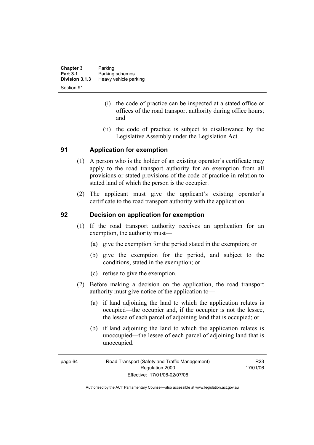| <b>Chapter 3</b> | Parking               |
|------------------|-----------------------|
| <b>Part 3.1</b>  | Parking schemes       |
| Division 3.1.3   | Heavy vehicle parking |
| Section 91       |                       |

- (i) the code of practice can be inspected at a stated office or offices of the road transport authority during office hours; and
- (ii) the code of practice is subject to disallowance by the Legislative Assembly under the Legislation Act.

### **91 Application for exemption**

- (1) A person who is the holder of an existing operator's certificate may apply to the road transport authority for an exemption from all provisions or stated provisions of the code of practice in relation to stated land of which the person is the occupier.
- (2) The applicant must give the applicant's existing operator's certificate to the road transport authority with the application.

#### **92 Decision on application for exemption**

- (1) If the road transport authority receives an application for an exemption, the authority must—
	- (a) give the exemption for the period stated in the exemption; or
	- (b) give the exemption for the period, and subject to the conditions, stated in the exemption; or
	- (c) refuse to give the exemption.
- (2) Before making a decision on the application, the road transport authority must give notice of the application to—
	- (a) if land adjoining the land to which the application relates is occupied—the occupier and, if the occupier is not the lessee, the lessee of each parcel of adjoining land that is occupied; or
	- (b) if land adjoining the land to which the application relates is unoccupied—the lessee of each parcel of adjoining land that is unoccupied.

R23 17/01/06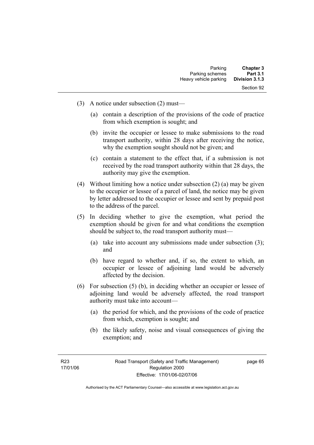- (3) A notice under subsection (2) must—
	- (a) contain a description of the provisions of the code of practice from which exemption is sought; and
	- (b) invite the occupier or lessee to make submissions to the road transport authority, within 28 days after receiving the notice, why the exemption sought should not be given; and
	- (c) contain a statement to the effect that, if a submission is not received by the road transport authority within that 28 days, the authority may give the exemption.
- (4) Without limiting how a notice under subsection (2) (a) may be given to the occupier or lessee of a parcel of land, the notice may be given by letter addressed to the occupier or lessee and sent by prepaid post to the address of the parcel.
- (5) In deciding whether to give the exemption, what period the exemption should be given for and what conditions the exemption should be subject to, the road transport authority must—
	- (a) take into account any submissions made under subsection (3); and
	- (b) have regard to whether and, if so, the extent to which, an occupier or lessee of adjoining land would be adversely affected by the decision.
- (6) For subsection (5) (b), in deciding whether an occupier or lessee of adjoining land would be adversely affected, the road transport authority must take into account—
	- (a) the period for which, and the provisions of the code of practice from which, exemption is sought; and
	- (b) the likely safety, noise and visual consequences of giving the exemption; and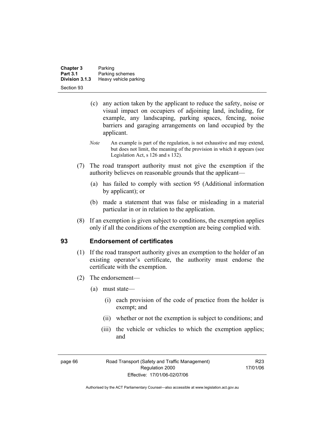| Chapter 3                         | Parking                                  |
|-----------------------------------|------------------------------------------|
| <b>Part 3.1</b><br>Division 3.1.3 | Parking schemes<br>Heavy vehicle parking |
| Section 93                        |                                          |

- (c) any action taken by the applicant to reduce the safety, noise or visual impact on occupiers of adjoining land, including, for example, any landscaping, parking spaces, fencing, noise barriers and garaging arrangements on land occupied by the applicant.
- *Note* An example is part of the regulation, is not exhaustive and may extend, but does not limit, the meaning of the provision in which it appears (see Legislation Act, s 126 and s 132).
- (7) The road transport authority must not give the exemption if the authority believes on reasonable grounds that the applicant—
	- (a) has failed to comply with section 95 (Additional information by applicant); or
	- (b) made a statement that was false or misleading in a material particular in or in relation to the application.
- (8) If an exemption is given subject to conditions, the exemption applies only if all the conditions of the exemption are being complied with.

### **93 Endorsement of certificates**

- (1) If the road transport authority gives an exemption to the holder of an existing operator's certificate, the authority must endorse the certificate with the exemption.
- (2) The endorsement—
	- (a) must state—
		- (i) each provision of the code of practice from the holder is exempt; and
		- (ii) whether or not the exemption is subject to conditions; and
		- (iii) the vehicle or vehicles to which the exemption applies; and

page 66 Road Transport (Safety and Traffic Management) Regulation 2000 Effective: 17/01/06-02/07/06

R23 17/01/06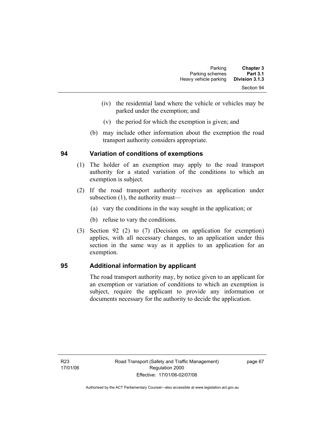| <b>Chapter 3</b> | Parking               |
|------------------|-----------------------|
| <b>Part 3.1</b>  | Parking schemes       |
| Division 3.1.3   | Heavy vehicle parking |
| Section 94       |                       |

- (iv) the residential land where the vehicle or vehicles may be parked under the exemption; and
- (v) the period for which the exemption is given; and
- (b) may include other information about the exemption the road transport authority considers appropriate.

### **94 Variation of conditions of exemptions**

- (1) The holder of an exemption may apply to the road transport authority for a stated variation of the conditions to which an exemption is subject.
- (2) If the road transport authority receives an application under subsection (1), the authority must—
	- (a) vary the conditions in the way sought in the application; or
	- (b) refuse to vary the conditions.
- (3) Section 92 (2) to (7) (Decision on application for exemption) applies, with all necessary changes, to an application under this section in the same way as it applies to an application for an exemption.

### **95 Additional information by applicant**

The road transport authority may, by notice given to an applicant for an exemption or variation of conditions to which an exemption is subject, require the applicant to provide any information or documents necessary for the authority to decide the application.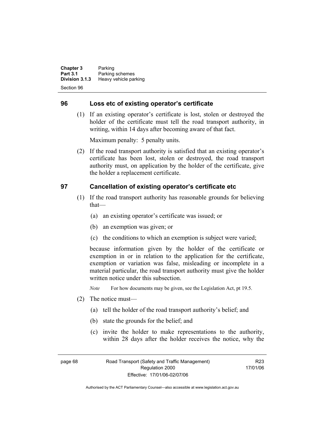**Chapter 3** Parking **Part 3.1 Parking schemes**<br>**Division 3.1.3 Heavy vehicle part Division 3.1.3** Heavy vehicle parking Section 96

#### **96 Loss etc of existing operator's certificate**

 (1) If an existing operator's certificate is lost, stolen or destroyed the holder of the certificate must tell the road transport authority, in writing, within 14 days after becoming aware of that fact.

Maximum penalty: 5 penalty units.

 (2) If the road transport authority is satisfied that an existing operator's certificate has been lost, stolen or destroyed, the road transport authority must, on application by the holder of the certificate, give the holder a replacement certificate.

### **97 Cancellation of existing operator's certificate etc**

- (1) If the road transport authority has reasonable grounds for believing that—
	- (a) an existing operator's certificate was issued; or
	- (b) an exemption was given; or
	- (c) the conditions to which an exemption is subject were varied;

because information given by the holder of the certificate or exemption in or in relation to the application for the certificate, exemption or variation was false, misleading or incomplete in a material particular, the road transport authority must give the holder written notice under this subsection.

*Note* For how documents may be given, see the Legislation Act, pt 19.5.

- (2) The notice must—
	- (a) tell the holder of the road transport authority's belief; and
	- (b) state the grounds for the belief; and
	- (c) invite the holder to make representations to the authority, within 28 days after the holder receives the notice, why the

page 68 Road Transport (Safety and Traffic Management) Regulation 2000 Effective: 17/01/06-02/07/06

R23 17/01/06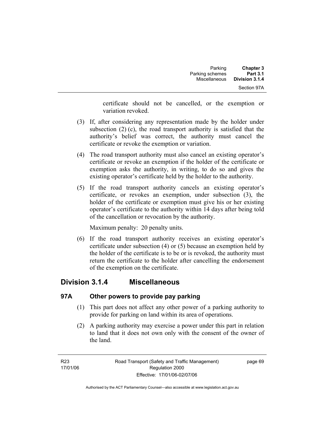certificate should not be cancelled, or the exemption or variation revoked.

- (3) If, after considering any representation made by the holder under subsection (2) (c), the road transport authority is satisfied that the authority's belief was correct, the authority must cancel the certificate or revoke the exemption or variation.
- (4) The road transport authority must also cancel an existing operator's certificate or revoke an exemption if the holder of the certificate or exemption asks the authority, in writing, to do so and gives the existing operator's certificate held by the holder to the authority.
- (5) If the road transport authority cancels an existing operator's certificate, or revokes an exemption, under subsection (3), the holder of the certificate or exemption must give his or her existing operator's certificate to the authority within 14 days after being told of the cancellation or revocation by the authority.

Maximum penalty: 20 penalty units.

 (6) If the road transport authority receives an existing operator's certificate under subsection (4) or (5) because an exemption held by the holder of the certificate is to be or is revoked, the authority must return the certificate to the holder after cancelling the endorsement of the exemption on the certificate.

### **Division 3.1.4 Miscellaneous**

### **97A Other powers to provide pay parking**

- (1) This part does not affect any other power of a parking authority to provide for parking on land within its area of operations.
- (2) A parking authority may exercise a power under this part in relation to land that it does not own only with the consent of the owner of the land.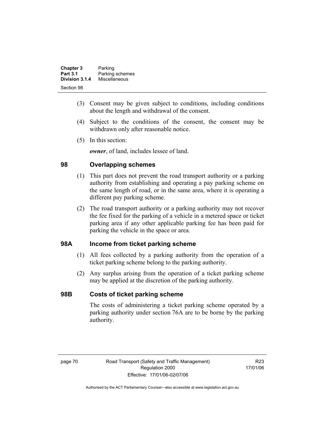| <b>Chapter 3</b> | Parking         |
|------------------|-----------------|
| <b>Part 3.1</b>  | Parking schemes |
| Division 3.1.4   | Miscellaneous   |
| Section 98       |                 |

- (3) Consent may be given subject to conditions, including conditions about the length and withdrawal of the consent.
- (4) Subject to the conditions of the consent, the consent may be withdrawn only after reasonable notice.
- (5) In this section:

*owner*, of land, includes lessee of land.

### **98 Overlapping schemes**

- (1) This part does not prevent the road transport authority or a parking authority from establishing and operating a pay parking scheme on the same length of road, or in the same area, where it is operating a different pay parking scheme.
- (2) The road transport authority or a parking authority may not recover the fee fixed for the parking of a vehicle in a metered space or ticket parking area if any other applicable parking fee has been paid for parking the vehicle in the space or area.

### **98A Income from ticket parking scheme**

- (1) All fees collected by a parking authority from the operation of a ticket parking scheme belong to the parking authority.
- (2) Any surplus arising from the operation of a ticket parking scheme may be applied at the discretion of the parking authority.

### **98B Costs of ticket parking scheme**

The costs of administering a ticket parking scheme operated by a parking authority under section 76A are to be borne by the parking authority.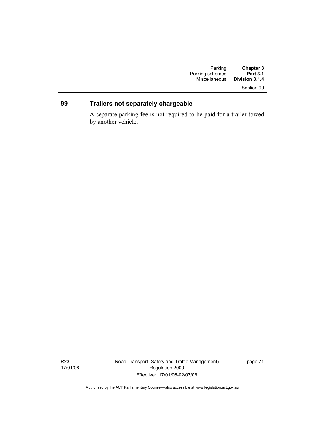## Section 99

### **99 Trailers not separately chargeable**

A separate parking fee is not required to be paid for a trailer towed by another vehicle.

Road Transport (Safety and Traffic Management) Regulation 2000 Effective: 17/01/06-02/07/06

page 71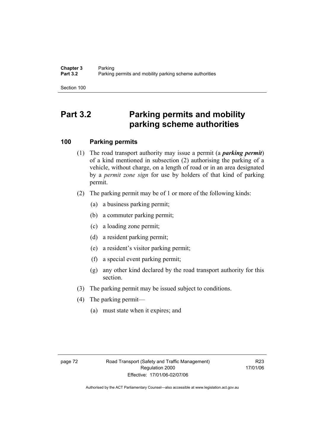Section 100

# **Part 3.2 Parking permits and mobility parking scheme authorities**

### **100 Parking permits**

- (1) The road transport authority may issue a permit (a *parking permit*) of a kind mentioned in subsection (2) authorising the parking of a vehicle, without charge, on a length of road or in an area designated by a *permit zone sign* for use by holders of that kind of parking permit.
- (2) The parking permit may be of 1 or more of the following kinds:
	- (a) a business parking permit;
	- (b) a commuter parking permit;
	- (c) a loading zone permit;
	- (d) a resident parking permit;
	- (e) a resident's visitor parking permit;
	- (f) a special event parking permit;
	- (g) any other kind declared by the road transport authority for this section.
- (3) The parking permit may be issued subject to conditions.
- (4) The parking permit—
	- (a) must state when it expires; and

R23 17/01/06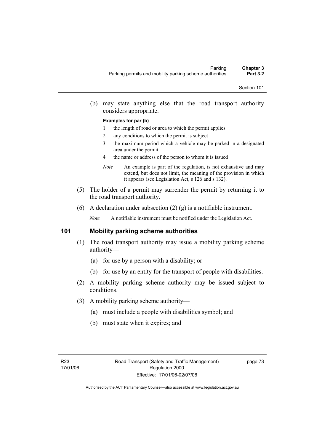(b) may state anything else that the road transport authority considers appropriate.

#### **Examples for par (b)**

- 1 the length of road or area to which the permit applies
- 2 any conditions to which the permit is subject
- 3 the maximum period which a vehicle may be parked in a designated area under the permit
- 4 the name or address of the person to whom it is issued
- *Note* An example is part of the regulation, is not exhaustive and may extend, but does not limit, the meaning of the provision in which it appears (see Legislation Act, s 126 and s 132).
- (5) The holder of a permit may surrender the permit by returning it to the road transport authority.
- (6) A declaration under subsection (2) (g) is a notifiable instrument.

*Note* A notifiable instrument must be notified under the Legislation Act.

#### **101 Mobility parking scheme authorities**

- (1) The road transport authority may issue a mobility parking scheme authority—
	- (a) for use by a person with a disability; or
	- (b) for use by an entity for the transport of people with disabilities.
- (2) A mobility parking scheme authority may be issued subject to conditions.
- (3) A mobility parking scheme authority—
	- (a) must include a people with disabilities symbol; and
	- (b) must state when it expires; and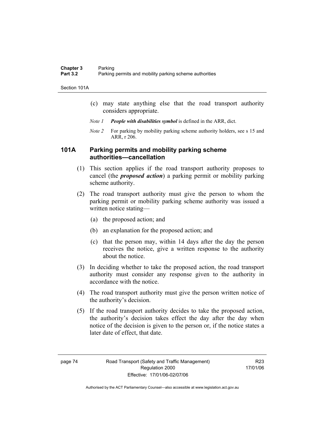Section 101A

- (c) may state anything else that the road transport authority considers appropriate.
- *Note 1 People with disabilities symbol* is defined in the ARR, dict.
- *Note 2* For parking by mobility parking scheme authority holders, see s 15 and ARR, r 206.

### **101A Parking permits and mobility parking scheme authorities—cancellation**

- (1) This section applies if the road transport authority proposes to cancel (the *proposed action*) a parking permit or mobility parking scheme authority.
- (2) The road transport authority must give the person to whom the parking permit or mobility parking scheme authority was issued a written notice stating—
	- (a) the proposed action; and
	- (b) an explanation for the proposed action; and
	- (c) that the person may, within 14 days after the day the person receives the notice, give a written response to the authority about the notice.
- (3) In deciding whether to take the proposed action, the road transport authority must consider any response given to the authority in accordance with the notice.
- (4) The road transport authority must give the person written notice of the authority's decision.
- (5) If the road transport authority decides to take the proposed action, the authority's decision takes effect the day after the day when notice of the decision is given to the person or, if the notice states a later date of effect, that date.

R23 17/01/06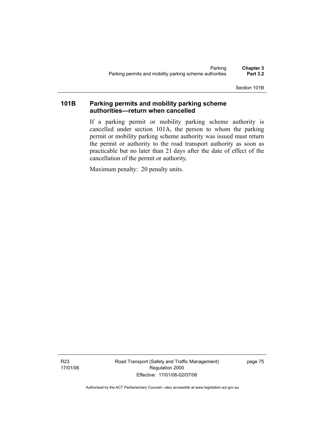Section 101B

### **101B Parking permits and mobility parking scheme authorities—return when cancelled**

If a parking permit or mobility parking scheme authority is cancelled under section 101A, the person to whom the parking permit or mobility parking scheme authority was issued must return the permit or authority to the road transport authority as soon as practicable but no later than 21 days after the date of effect of the cancellation of the permit or authority.

Maximum penalty: 20 penalty units.

R23 17/01/06 Road Transport (Safety and Traffic Management) Regulation 2000 Effective: 17/01/06-02/07/06

page 75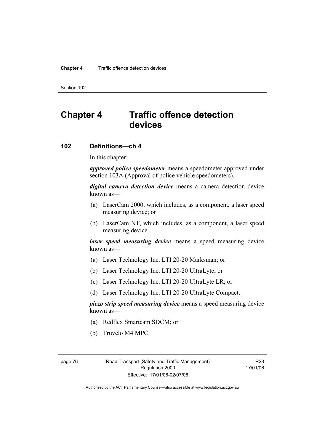#### **Chapter 4** Traffic offence detection devices

Section 102

# **Chapter 4 Traffic offence detection devices**

### **102 Definitions—ch 4**

In this chapter:

*approved police speedometer* means a speedometer approved under section 103A (Approval of police vehicle speedometers).

*digital camera detection device* means a camera detection device known as—

- (a) LaserCam 2000, which includes, as a component, a laser speed measuring device; or
- (b) LaserCam NT, which includes, as a component, a laser speed measuring device.

*laser speed measuring device* means a speed measuring device known as—

- (a) Laser Technology Inc. LTI 20-20 Marksman; or
- (b) Laser Technology Inc. LTI 20-20 UltraLyte; or
- (c) Laser Technology Inc. LTI 20-20 UltraLyte LR; or
- (d) Laser Technology Inc. LTI 20-20 UltraLyte Compact.

*piezo strip speed measuring device* means a speed measuring device known as—

- (a) Redflex Smartcam SDCM; or
- (b) Truvelo M4 MPC.

page 76 Road Transport (Safety and Traffic Management) Regulation 2000 Effective: 17/01/06-02/07/06

R23 17/01/06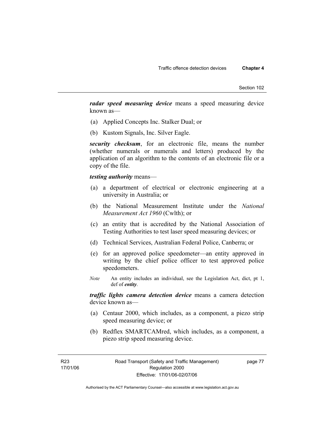*radar speed measuring device* means a speed measuring device known as—

- (a) Applied Concepts Inc. Stalker Dual; or
- (b) Kustom Signals, Inc. Silver Eagle.

*security checksum*, for an electronic file, means the number (whether numerals or numerals and letters) produced by the application of an algorithm to the contents of an electronic file or a copy of the file.

#### *testing authority* means—

- (a) a department of electrical or electronic engineering at a university in Australia; or
- (b) the National Measurement Institute under the *National Measurement Act 1960* (Cwlth); or
- (c) an entity that is accredited by the National Association of Testing Authorities to test laser speed measuring devices; or
- (d) Technical Services, Australian Federal Police, Canberra; or
- (e) for an approved police speedometer—an entity approved in writing by the chief police officer to test approved police speedometers.
- *Note* An entity includes an individual, see the Legislation Act, dict, pt 1, def of *entity*.

*traffic lights camera detection device* means a camera detection device known as—

- (a) Centaur 2000, which includes, as a component, a piezo strip speed measuring device; or
- (b) Redflex SMARTCAMred, which includes, as a component, a piezo strip speed measuring device.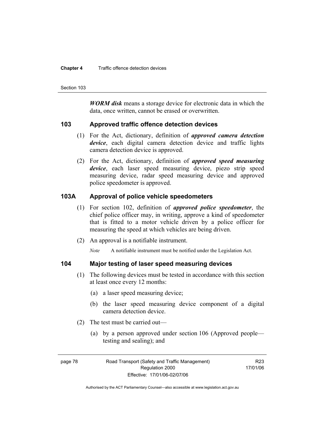#### **Chapter 4** Traffic offence detection devices

Section 103

*WORM disk* means a storage device for electronic data in which the data, once written, cannot be erased or overwritten.

#### **103 Approved traffic offence detection devices**

- (1) For the Act, dictionary, definition of *approved camera detection device*, each digital camera detection device and traffic lights camera detection device is approved.
- (2) For the Act, dictionary, definition of *approved speed measuring device*, each laser speed measuring device, piezo strip speed measuring device, radar speed measuring device and approved police speedometer is approved.

### **103A Approval of police vehicle speedometers**

- (1) For section 102, definition of *approved police speedometer*, the chief police officer may, in writing, approve a kind of speedometer that is fitted to a motor vehicle driven by a police officer for measuring the speed at which vehicles are being driven.
- (2) An approval is a notifiable instrument.

*Note* A notifiable instrument must be notified under the Legislation Act.

### **104 Major testing of laser speed measuring devices**

- (1) The following devices must be tested in accordance with this section at least once every 12 months:
	- (a) a laser speed measuring device;
	- (b) the laser speed measuring device component of a digital camera detection device.
- (2) The test must be carried out—
	- (a) by a person approved under section 106 (Approved people testing and sealing); and

page 78 Road Transport (Safety and Traffic Management) Regulation 2000 Effective: 17/01/06-02/07/06

R23 17/01/06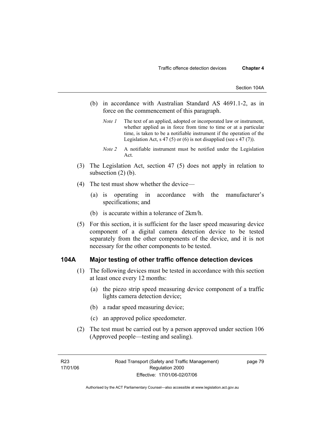- (b) in accordance with Australian Standard AS 4691.1-2, as in force on the commencement of this paragraph.
	- *Note 1* The text of an applied, adopted or incorporated law or instrument, whether applied as in force from time to time or at a particular time, is taken to be a notifiable instrument if the operation of the Legislation Act, s 47 (5) or (6) is not disapplied (see s 47 (7)).
	- *Note 2* A notifiable instrument must be notified under the Legislation Act.
- (3) The Legislation Act, section 47 (5) does not apply in relation to subsection  $(2)$  (b).
- (4) The test must show whether the device—
	- (a) is operating in accordance with the manufacturer's specifications; and
	- (b) is accurate within a tolerance of 2km/h.
- (5) For this section, it is sufficient for the laser speed measuring device component of a digital camera detection device to be tested separately from the other components of the device, and it is not necessary for the other components to be tested.

#### **104A Major testing of other traffic offence detection devices**

- (1) The following devices must be tested in accordance with this section at least once every 12 months:
	- (a) the piezo strip speed measuring device component of a traffic lights camera detection device;
	- (b) a radar speed measuring device;
	- (c) an approved police speedometer.
- (2) The test must be carried out by a person approved under section 106 (Approved people—testing and sealing).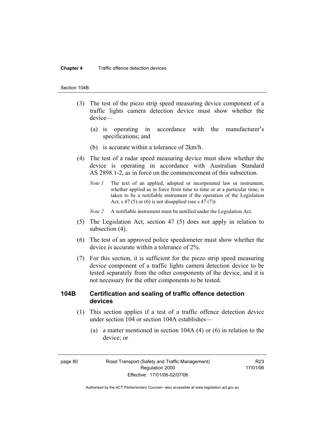#### **Chapter 4** Traffic offence detection devices

#### Section 104B

- (3) The test of the piezo strip speed measuring device component of a traffic lights camera detection device must show whether the device—
	- (a) is operating in accordance with the manufacturer's specifications; and
	- (b) is accurate within a tolerance of 2km/h.
- (4) The test of a radar speed measuring device must show whether the device is operating in accordance with Australian Standard AS 2898.1-2, as in force on the commencement of this subsection.
	- *Note 1* The text of an applied, adopted or incorporated law or instrument, whether applied as in force from time to time or at a particular time, is taken to be a notifiable instrument if the operation of the Legislation Act, s 47 (5) or (6) is not disapplied (see s 47 (7)).
	- *Note 2* A notifiable instrument must be notified under the Legislation Act.
- (5) The Legislation Act, section 47 (5) does not apply in relation to subsection (4).
- (6) The test of an approved police speedometer must show whether the device is accurate within a tolerance of 2%.
- (7) For this section, it is sufficient for the piezo strip speed measuring device component of a traffic lights camera detection device to be tested separately from the other components of the device, and it is not necessary for the other components to be tested.

### **104B Certification and sealing of traffic offence detection devices**

- (1) This section applies if a test of a traffic offence detection device under section 104 or section 104A establishes—
	- (a) a matter mentioned in section 104A (4) or (6) in relation to the device; or

R23 17/01/06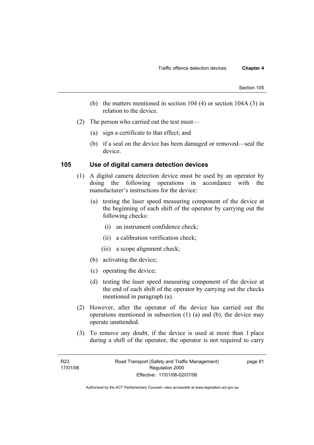- (b) the matters mentioned in section 104 (4) or section 104A (3) in relation to the device.
- (2) The person who carried out the test must—
	- (a) sign a certificate to that effect; and
	- (b) if a seal on the device has been damaged or removed—seal the device.

#### **105 Use of digital camera detection devices**

- (1) A digital camera detection device must be used by an operator by doing the following operations in accordance with the manufacturer's instructions for the device:
	- (a) testing the laser speed measuring component of the device at the beginning of each shift of the operator by carrying out the following checks:
		- (i) an instrument confidence check;
		- (ii) a calibration verification check;
		- (iii) a scope alignment check;
	- (b) activating the device;
	- (c) operating the device;
	- (d) testing the laser speed measuring component of the device at the end of each shift of the operator by carrying out the checks mentioned in paragraph (a).
- (2) However, after the operator of the device has carried out the operations mentioned in subsection (1) (a) and (b), the device may operate unattended.
- (3) To remove any doubt, if the device is used at more than 1 place during a shift of the operator, the operator is not required to carry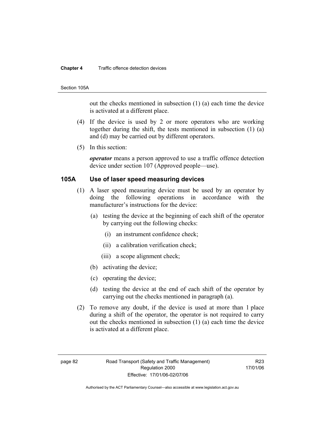#### **Chapter 4** Traffic offence detection devices

#### Section 105A

out the checks mentioned in subsection (1) (a) each time the device is activated at a different place.

- (4) If the device is used by 2 or more operators who are working together during the shift, the tests mentioned in subsection (1) (a) and (d) may be carried out by different operators.
- (5) In this section:

*operator* means a person approved to use a traffic offence detection device under section 107 (Approved people—use).

#### **105A Use of laser speed measuring devices**

- (1) A laser speed measuring device must be used by an operator by doing the following operations in accordance with the manufacturer's instructions for the device:
	- (a) testing the device at the beginning of each shift of the operator by carrying out the following checks:
		- (i) an instrument confidence check;
		- (ii) a calibration verification check;
		- (iii) a scope alignment check;
	- (b) activating the device;
	- (c) operating the device;
	- (d) testing the device at the end of each shift of the operator by carrying out the checks mentioned in paragraph (a).
- (2) To remove any doubt, if the device is used at more than 1 place during a shift of the operator, the operator is not required to carry out the checks mentioned in subsection (1) (a) each time the device is activated at a different place.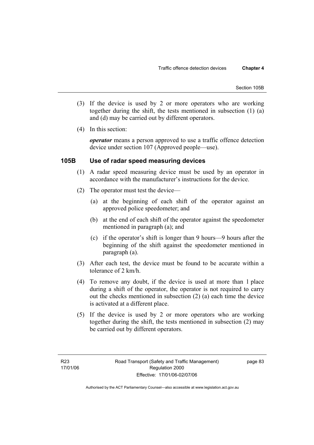- (3) If the device is used by 2 or more operators who are working together during the shift, the tests mentioned in subsection (1) (a) and (d) may be carried out by different operators.
- (4) In this section:

*operator* means a person approved to use a traffic offence detection device under section 107 (Approved people—use).

### **105B Use of radar speed measuring devices**

- (1) A radar speed measuring device must be used by an operator in accordance with the manufacturer's instructions for the device.
- (2) The operator must test the device—
	- (a) at the beginning of each shift of the operator against an approved police speedometer; and
	- (b) at the end of each shift of the operator against the speedometer mentioned in paragraph (a); and
	- (c) if the operator's shift is longer than 9 hours—9 hours after the beginning of the shift against the speedometer mentioned in paragraph (a).
- (3) After each test, the device must be found to be accurate within a tolerance of 2 km/h.
- (4) To remove any doubt, if the device is used at more than 1 place during a shift of the operator, the operator is not required to carry out the checks mentioned in subsection (2) (a) each time the device is activated at a different place.
- (5) If the device is used by 2 or more operators who are working together during the shift, the tests mentioned in subsection (2) may be carried out by different operators.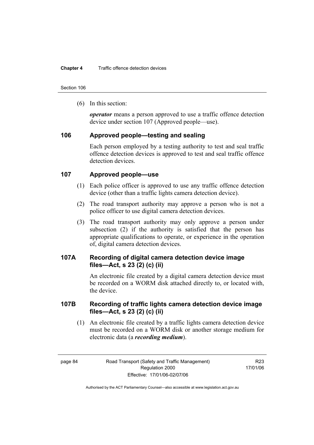Section 106

(6) In this section:

*operator* means a person approved to use a traffic offence detection device under section 107 (Approved people—use).

#### **106 Approved people—testing and sealing**

Each person employed by a testing authority to test and seal traffic offence detection devices is approved to test and seal traffic offence detection devices.

### **107 Approved people—use**

- (1) Each police officer is approved to use any traffic offence detection device (other than a traffic lights camera detection device).
- (2) The road transport authority may approve a person who is not a police officer to use digital camera detection devices.
- (3) The road transport authority may only approve a person under subsection (2) if the authority is satisfied that the person has appropriate qualifications to operate, or experience in the operation of, digital camera detection devices.

### **107A Recording of digital camera detection device image files—Act, s 23 (2) (c) (ii)**

An electronic file created by a digital camera detection device must be recorded on a WORM disk attached directly to, or located with, the device.

### **107B Recording of traffic lights camera detection device image files—Act, s 23 (2) (c) (ii)**

 (1) An electronic file created by a traffic lights camera detection device must be recorded on a WORM disk or another storage medium for electronic data (a *recording medium*).

R23 17/01/06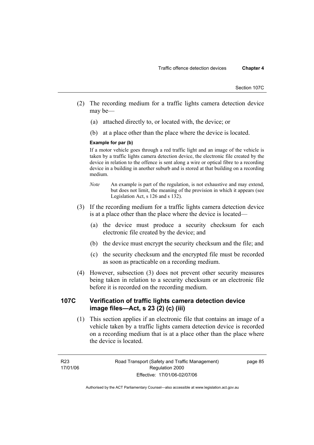- (2) The recording medium for a traffic lights camera detection device may be—
	- (a) attached directly to, or located with, the device; or
	- (b) at a place other than the place where the device is located.

#### **Example for par (b)**

If a motor vehicle goes through a red traffic light and an image of the vehicle is taken by a traffic lights camera detection device, the electronic file created by the device in relation to the offence is sent along a wire or optical fibre to a recording device in a building in another suburb and is stored at that building on a recording medium.

- *Note* An example is part of the regulation, is not exhaustive and may extend, but does not limit, the meaning of the provision in which it appears (see Legislation Act, s 126 and s 132).
- (3) If the recording medium for a traffic lights camera detection device is at a place other than the place where the device is located—
	- (a) the device must produce a security checksum for each electronic file created by the device; and
	- (b) the device must encrypt the security checksum and the file; and
	- (c) the security checksum and the encrypted file must be recorded as soon as practicable on a recording medium.
- (4) However, subsection (3) does not prevent other security measures being taken in relation to a security checksum or an electronic file before it is recorded on the recording medium.

### **107C Verification of traffic lights camera detection device image files—Act, s 23 (2) (c) (iii)**

 (1) This section applies if an electronic file that contains an image of a vehicle taken by a traffic lights camera detection device is recorded on a recording medium that is at a place other than the place where the device is located.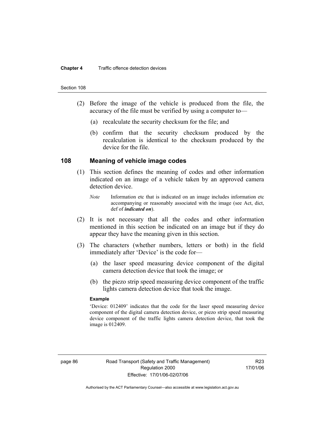#### Section 108

- (2) Before the image of the vehicle is produced from the file, the accuracy of the file must be verified by using a computer to—
	- (a) recalculate the security checksum for the file; and
	- (b) confirm that the security checksum produced by the recalculation is identical to the checksum produced by the device for the file.

#### **108 Meaning of vehicle image codes**

- (1) This section defines the meaning of codes and other information indicated on an image of a vehicle taken by an approved camera detection device.
	- *Note* Information etc that is indicated on an image includes information etc accompanying or reasonably associated with the image (see Act, dict, def of *indicated on*).
- (2) It is not necessary that all the codes and other information mentioned in this section be indicated on an image but if they do appear they have the meaning given in this section.
- (3) The characters (whether numbers, letters or both) in the field immediately after 'Device' is the code for—
	- (a) the laser speed measuring device component of the digital camera detection device that took the image; or
	- (b) the piezo strip speed measuring device component of the traffic lights camera detection device that took the image.

#### **Example**

'Device: 012409' indicates that the code for the laser speed measuring device component of the digital camera detection device, or piezo strip speed measuring device component of the traffic lights camera detection device, that took the image is 012409.

R23 17/01/06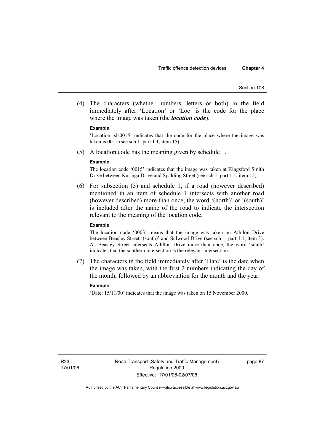(4) The characters (whether numbers, letters or both) in the field immediately after 'Location' or 'Loc' is the code for the place where the image was taken (the *location code*).

#### **Example**

'Location: sls0015' indicates that the code for the place where the image was taken is 0015 (see sch 1, part 1.1, item 15).

(5) A location code has the meaning given by schedule 1.

#### **Example**

The location code '0015' indicates that the image was taken at Kingsford Smith Drive between Kuringa Drive and Spalding Street (see sch 1, part 1.1, item 15).

 (6) For subsection (5) and schedule 1, if a road (however described) mentioned in an item of schedule 1 intersects with another road (however described) more than once, the word '(north)' or '(south)' is included after the name of the road to indicate the intersection relevant to the meaning of the location code.

#### **Example**

The location code '0003' means that the image was taken on Athllon Drive between Beasley Street '(south)' and Sulwood Drive (see sch 1, part 1.1, item 3). As Beasley Street intersects Athllon Drive more than once, the word 'south' indicates that the southern intersection is the relevant intersection.

 (7) The characters in the field immediately after 'Date' is the date when the image was taken, with the first 2 numbers indicating the day of the month, followed by an abbreviation for the month and the year.

#### **Example**

'Date: 15/11/00' indicates that the image was taken on 15 November 2000.

page 87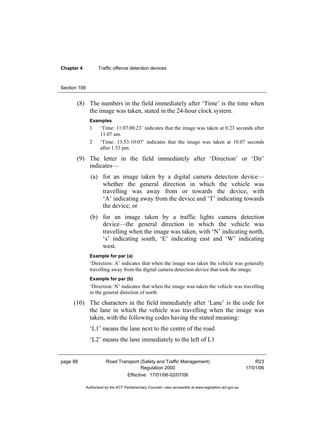#### **Chapter 4** Traffic offence detection devices

#### Section 108

 (8) The numbers in the field immediately after 'Time' is the time when the image was taken, stated in the 24-hour clock system.

#### **Examples**

- 1 'Time: 11.07.00.23' indicates that the image was taken at 0.23 seconds after 11.07 am.
- 2 'Time: 13:53:10:07' indicates that the image was taken at 10.07 seconds after 1.53 pm.
- (9) The letter in the field immediately after 'Direction' or 'Dir' indicates—
	- (a) for an image taken by a digital camera detection device whether the general direction in which the vehicle was travelling was away from or towards the device, with 'A' indicating away from the device and 'T' indicating towards the device; or
	- (b) for an image taken by a traffic lights camera detection device—the general direction in which the vehicle was travelling when the image was taken, with 'N' indicating north, 's' indicating south, 'E' indicating east and 'W' indicating west.

#### **Example for par (a)**

'Direction: A' indicates that when the image was taken the vehicle was generally travelling away from the digital camera detection device that took the image.

#### **Example for par (b)**

'Direction: N' indicates that when the image was taken the vehicle was travelling in the general direction of north.

- (10) The characters in the field immediately after 'Lane' is the code for the lane in which the vehicle was travelling when the image was taken, with the following codes having the stated meaning:
	- 'L1' means the lane next to the centre of the road
	- 'L2' means the lane immediately to the left of L1

page 88 Road Transport (Safety and Traffic Management) Regulation 2000 Effective: 17/01/06-02/07/06

R23 17/01/06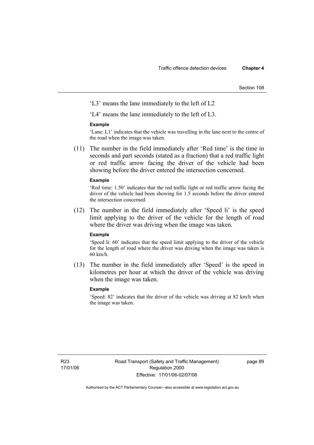Section 108

'L3' means the lane immediately to the left of L2

'L4' means the lane immediately to the left of L3.

#### **Example**

'Lane: L1' indicates that the vehicle was travelling in the lane next to the centre of the road when the image was taken.

 (11) The number in the field immediately after 'Red time' is the time in seconds and part seconds (stated as a fraction) that a red traffic light or red traffic arrow facing the driver of the vehicle had been showing before the driver entered the intersection concerned.

#### **Example**

'Red time: 1.50' indicates that the red traffic light or red traffic arrow facing the driver of the vehicle had been showing for 1.5 seconds before the driver entered the intersection concerned.

 (12) The number in the field immediately after 'Speed li' is the speed limit applying to the driver of the vehicle for the length of road where the driver was driving when the image was taken.

#### **Example**

'Speed li: 60' indicates that the speed limit applying to the driver of the vehicle for the length of road where the driver was driving when the image was taken is 60 km/h.

 (13) The number in the field immediately after 'Speed' is the speed in kilometres per hour at which the driver of the vehicle was driving when the image was taken.

#### **Example**

'Speed: 82' indicates that the driver of the vehicle was driving at 82 km/h when the image was taken.

page 89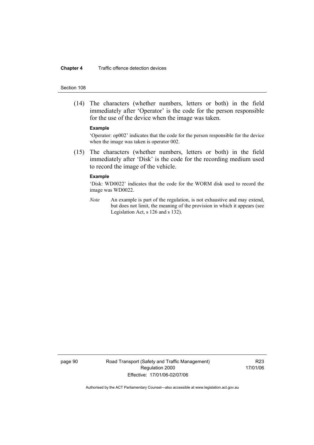#### **Chapter 4** Traffic offence detection devices

#### Section 108

 (14) The characters (whether numbers, letters or both) in the field immediately after 'Operator' is the code for the person responsible for the use of the device when the image was taken.

#### **Example**

'Operator: op002' indicates that the code for the person responsible for the device when the image was taken is operator 002.

 (15) The characters (whether numbers, letters or both) in the field immediately after 'Disk' is the code for the recording medium used to record the image of the vehicle.

#### **Example**

'Disk: WD0022' indicates that the code for the WORM disk used to record the image was WD0022.

*Note* An example is part of the regulation, is not exhaustive and may extend, but does not limit, the meaning of the provision in which it appears (see Legislation Act, s 126 and s 132).

page 90 Road Transport (Safety and Traffic Management) Regulation 2000 Effective: 17/01/06-02/07/06

R23 17/01/06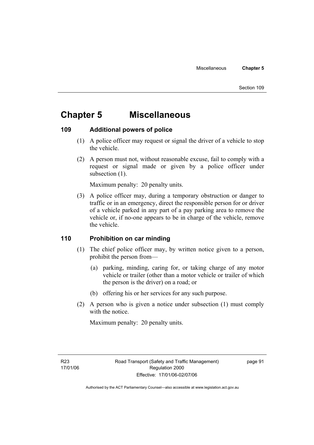# **Chapter 5 Miscellaneous**

### **109 Additional powers of police**

- (1) A police officer may request or signal the driver of a vehicle to stop the vehicle.
- (2) A person must not, without reasonable excuse, fail to comply with a request or signal made or given by a police officer under subsection  $(1)$ .

Maximum penalty: 20 penalty units.

 (3) A police officer may, during a temporary obstruction or danger to traffic or in an emergency, direct the responsible person for or driver of a vehicle parked in any part of a pay parking area to remove the vehicle or, if no-one appears to be in charge of the vehicle, remove the vehicle.

### **110 Prohibition on car minding**

- (1) The chief police officer may, by written notice given to a person, prohibit the person from—
	- (a) parking, minding, caring for, or taking charge of any motor vehicle or trailer (other than a motor vehicle or trailer of which the person is the driver) on a road; or
	- (b) offering his or her services for any such purpose.
- (2) A person who is given a notice under subsection (1) must comply with the notice.

Maximum penalty: 20 penalty units.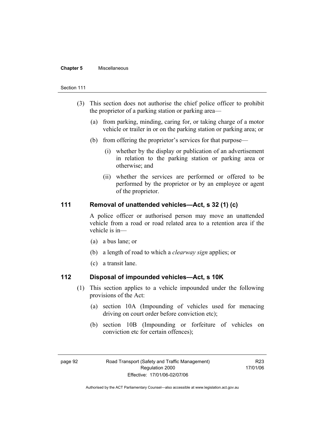#### **Chapter 5** Miscellaneous

#### Section 111

- (3) This section does not authorise the chief police officer to prohibit the proprietor of a parking station or parking area—
	- (a) from parking, minding, caring for, or taking charge of a motor vehicle or trailer in or on the parking station or parking area; or
	- (b) from offering the proprietor's services for that purpose—
		- (i) whether by the display or publication of an advertisement in relation to the parking station or parking area or otherwise; and
		- (ii) whether the services are performed or offered to be performed by the proprietor or by an employee or agent of the proprietor.

### **111 Removal of unattended vehicles—Act, s 32 (1) (c)**

A police officer or authorised person may move an unattended vehicle from a road or road related area to a retention area if the vehicle is in—

- (a) a bus lane; or
- (b) a length of road to which a *clearway sign* applies; or
- (c) a transit lane.

### **112 Disposal of impounded vehicles—Act, s 10K**

- (1) This section applies to a vehicle impounded under the following provisions of the Act:
	- (a) section 10A (Impounding of vehicles used for menacing driving on court order before conviction etc);
	- (b) section 10B (Impounding or forfeiture of vehicles on conviction etc for certain offences);

R23 17/01/06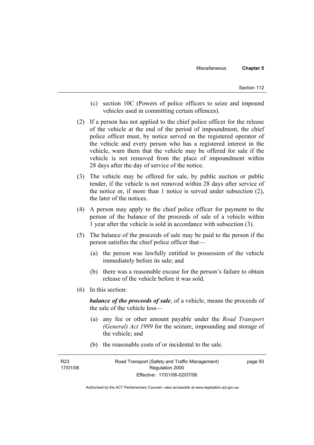- (c) section 10C (Powers of police officers to seize and impound vehicles used in committing certain offences).
- (2) If a person has not applied to the chief police officer for the release of the vehicle at the end of the period of impoundment, the chief police officer must, by notice served on the registered operator of the vehicle and every person who has a registered interest in the vehicle, warn them that the vehicle may be offered for sale if the vehicle is not removed from the place of impoundment within 28 days after the day of service of the notice.
- (3) The vehicle may be offered for sale, by public auction or public tender, if the vehicle is not removed within 28 days after service of the notice or, if more than 1 notice is served under subsection (2), the later of the notices.
- (4) A person may apply to the chief police officer for payment to the person of the balance of the proceeds of sale of a vehicle within 1 year after the vehicle is sold in accordance with subsection (3).
- (5) The balance of the proceeds of sale may be paid to the person if the person satisfies the chief police officer that—
	- (a) the person was lawfully entitled to possession of the vehicle immediately before its sale; and
	- (b) there was a reasonable excuse for the person's failure to obtain release of the vehicle before it was sold.
- (6) In this section:

*balance of the proceeds of sale*, of a vehicle, means the proceeds of the sale of the vehicle less—

- (a) any fee or other amount payable under the *Road Transport (General) Act 1999* for the seizure, impounding and storage of the vehicle; and
- (b) the reasonable costs of or incidental to the sale.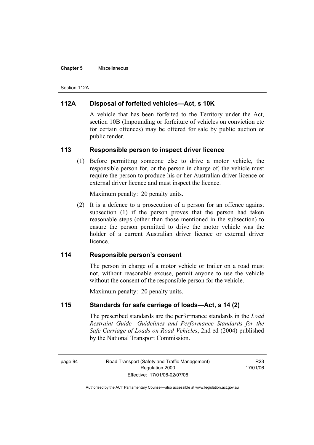#### **Chapter 5** Miscellaneous

Section 112A

### **112A Disposal of forfeited vehicles—Act, s 10K**

A vehicle that has been forfeited to the Territory under the Act, section 10B (Impounding or forfeiture of vehicles on conviction etc for certain offences) may be offered for sale by public auction or public tender.

### **113 Responsible person to inspect driver licence**

 (1) Before permitting someone else to drive a motor vehicle, the responsible person for, or the person in charge of, the vehicle must require the person to produce his or her Australian driver licence or external driver licence and must inspect the licence.

Maximum penalty: 20 penalty units.

 (2) It is a defence to a prosecution of a person for an offence against subsection (1) if the person proves that the person had taken reasonable steps (other than those mentioned in the subsection) to ensure the person permitted to drive the motor vehicle was the holder of a current Australian driver licence or external driver licence.

### **114 Responsible person's consent**

The person in charge of a motor vehicle or trailer on a road must not, without reasonable excuse, permit anyone to use the vehicle without the consent of the responsible person for the vehicle.

Maximum penalty: 20 penalty units.

### **115 Standards for safe carriage of loads—Act, s 14 (2)**

The prescribed standards are the performance standards in the *Load Restraint Guide—Guidelines and Performance Standards for the Safe Carriage of Loads on Road Vehicles*, 2nd ed (2004) published by the National Transport Commission.

R23 17/01/06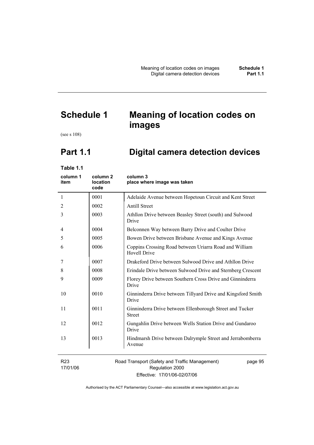# **Schedule 1 Meaning of location codes on images**

(see s 108)

# **Part 1.1 Digital camera detection devices**

**Table 1.1** 

| column 1<br>item            | column <sub>2</sub><br><b>location</b><br>code | column 3<br>place where image was taken                                       |
|-----------------------------|------------------------------------------------|-------------------------------------------------------------------------------|
| $\mathbf{1}$                | 0001                                           | Adelaide Avenue between Hopetoun Circuit and Kent Street                      |
| 2                           | 0002                                           | <b>Antill Street</b>                                                          |
| 3                           | 0003                                           | Athllon Drive between Beasley Street (south) and Sulwood<br>Drive             |
| 4                           | 0004                                           | Belconnen Way between Barry Drive and Coulter Drive                           |
| 5                           | 0005                                           | Bowen Drive between Brisbane Avenue and Kings Avenue                          |
| 6                           | 0006                                           | Coppins Crossing Road between Uriarra Road and William<br><b>Hovell Drive</b> |
| 7                           | 0007                                           | Drakeford Drive between Sulwood Drive and Athllon Drive                       |
| 8                           | 0008                                           | Erindale Drive between Sulwood Drive and Sternberg Crescent                   |
| 9                           | 0009                                           | Florey Drive between Southern Cross Drive and Ginninderra<br>Drive            |
| 10                          | 0010                                           | Ginninderra Drive between Tillyard Drive and Kingsford Smith<br>Drive         |
| 11                          | 0011                                           | Ginninderra Drive between Ellenborough Street and Tucker<br><b>Street</b>     |
| 12                          | 0012                                           | Gungahlin Drive between Wells Station Drive and Gundaroo<br>Drive             |
| 13                          | 0013                                           | Hindmarsh Drive between Dalrymple Street and Jerrabomberra<br>Avenue          |
| R <sub>23</sub><br>17/01/06 |                                                | Road Transport (Safety and Traffic Management)<br>page 95<br>Regulation 2000  |

Effective: 17/01/06-02/07/06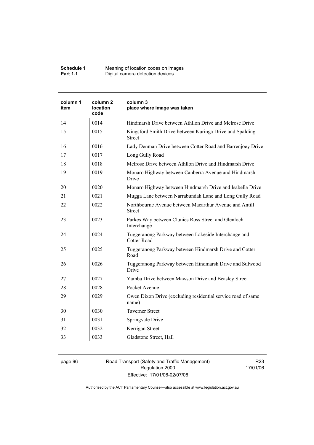| Schedule 1      | Meaning of location codes on images |
|-----------------|-------------------------------------|
| <b>Part 1.1</b> | Digital camera detection devices    |

| column 1<br>item | column <sub>2</sub><br><b>location</b><br>code | column 3<br>place where image was taken                                    |
|------------------|------------------------------------------------|----------------------------------------------------------------------------|
| 14               | 0014                                           | Hindmarsh Drive between Athllon Drive and Melrose Drive                    |
| 15               | 0015                                           | Kingsford Smith Drive between Kuringa Drive and Spalding<br><b>Street</b>  |
| 16               | 0016                                           | Lady Denman Drive between Cotter Road and Barrenjoey Drive                 |
| 17               | 0017                                           | Long Gully Road                                                            |
| 18               | 0018                                           | Melrose Drive between Athllon Drive and Hindmarsh Drive                    |
| 19               | 0019                                           | Monaro Highway between Canberra Avenue and Hindmarsh<br>Drive              |
| 20               | 0020                                           | Monaro Highway between Hindmarsh Drive and Isabella Drive                  |
| 21               | 0021                                           | Mugga Lane between Narrabundah Lane and Long Gully Road                    |
| 22               | 0022                                           | Northbourne Avenue between Macarthur Avenue and Antill<br><b>Street</b>    |
| 23               | 0023                                           | Parkes Way between Clunies Ross Street and Glenloch<br>Interchange         |
| 24               | 0024                                           | Tuggeranong Parkway between Lakeside Interchange and<br><b>Cotter Road</b> |
| 25               | 0025                                           | Tuggeranong Parkway between Hindmarsh Drive and Cotter<br>Road             |
| 26               | 0026                                           | Tuggeranong Parkway between Hindmarsh Drive and Sulwood<br>Drive           |
| 27               | 0027                                           | Yamba Drive between Mawson Drive and Beasley Street                        |
| 28               | 0028                                           | Pocket Avenue                                                              |
| 29               | 0029                                           | Owen Dixon Drive (excluding residential service road of same<br>name)      |
| 30               | 0030                                           | <b>Taverner Street</b>                                                     |
| 31               | 0031                                           | Springvale Drive                                                           |
| 32               | 0032                                           | Kerrigan Street                                                            |
| 33               | 0033                                           | Gladstone Street, Hall                                                     |

page 96 Road Transport (Safety and Traffic Management) Regulation 2000 Effective: 17/01/06-02/07/06

R23 17/01/06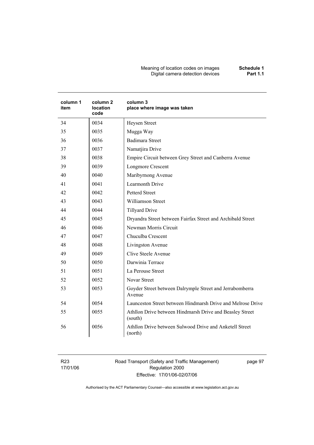#### Meaning of location codes on images **Schedule 1**  Digital camera detection devices **Part 1.1**

| column 1<br>item | column <sub>2</sub><br>location<br>code | column 3<br>place where image was taken                             |
|------------------|-----------------------------------------|---------------------------------------------------------------------|
| 34               | 0034                                    | Heysen Street                                                       |
| 35               | 0035                                    | Mugga Way                                                           |
| 36               | 0036                                    | <b>Badimara Street</b>                                              |
| 37               | 0037                                    | Namatjira Drive                                                     |
| 38               | 0038                                    | Empire Circuit between Grey Street and Canberra Avenue              |
| 39               | 0039                                    | <b>Longmore Crescent</b>                                            |
| 40               | 0040                                    | Maribyrnong Avenue                                                  |
| 41               | 0041                                    | Learmonth Drive                                                     |
| 42               | 0042                                    | <b>Petterd Street</b>                                               |
| 43               | 0043                                    | <b>Williamson Street</b>                                            |
| 44               | 0044                                    | <b>Tillyard Drive</b>                                               |
| 45               | 0045                                    | Dryandra Street between Fairfax Street and Archibald Street         |
| 46               | 0046                                    | Newman Morris Circuit                                               |
| 47               | 0047                                    | Chuculba Crescent                                                   |
| 48               | 0048                                    | Livingston Avenue                                                   |
| 49               | 0049                                    | Clive Steele Avenue                                                 |
| 50               | 0050                                    | Darwinia Terrace                                                    |
| 51               | 0051                                    | La Perouse Street                                                   |
| 52               | 0052                                    | <b>Novar Street</b>                                                 |
| 53               | 0053                                    | Goyder Street between Dalrymple Street and Jerrabomberra<br>Avenue  |
| 54               | 0054                                    | Launceston Street between Hindmarsh Drive and Melrose Drive         |
| 55               | 0055                                    | Athllon Drive between Hindmarsh Drive and Beasley Street<br>(south) |
| 56               | 0056                                    | Athllon Drive between Sulwood Drive and Anketell Street<br>(north)  |

R23 17/01/06 Road Transport (Safety and Traffic Management) Regulation 2000 Effective: 17/01/06-02/07/06

page 97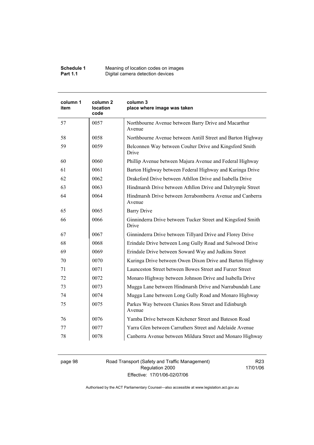| Schedule 1      | Meaning of location codes on images |
|-----------------|-------------------------------------|
| <b>Part 1.1</b> | Digital camera detection devices    |

| column 1<br>item | column <sub>2</sub><br><b>location</b><br>code | column 3<br>place where image was taken                              |
|------------------|------------------------------------------------|----------------------------------------------------------------------|
| 57               | 0057                                           | Northbourne Avenue between Barry Drive and Macarthur<br>Avenue       |
| 58               | 0058                                           | Northbourne Avenue between Antill Street and Barton Highway          |
| 59               | 0059                                           | Belconnen Way between Coulter Drive and Kingsford Smith<br>Drive     |
| 60               | 0060                                           | Phillip Avenue between Majura Avenue and Federal Highway             |
| 61               | 0061                                           | Barton Highway between Federal Highway and Kuringa Drive             |
| 62               | 0062                                           | Drakeford Drive between Athllon Drive and Isabella Drive             |
| 63               | 0063                                           | Hindmarsh Drive between Athllon Drive and Dalrymple Street           |
| 64               | 0064                                           | Hindmarsh Drive between Jerrabomberra Avenue and Canberra<br>Avenue  |
| 65               | 0065                                           | <b>Barry Drive</b>                                                   |
| 66               | 0066                                           | Ginninderra Drive between Tucker Street and Kingsford Smith<br>Drive |
| 67               | 0067                                           | Ginninderra Drive between Tillyard Drive and Florey Drive            |
| 68               | 0068                                           | Erindale Drive between Long Gully Road and Sulwood Drive             |
| 69               | 0069                                           | Erindale Drive between Soward Way and Judkins Street                 |
| 70               | 0070                                           | Kuringa Drive between Owen Dixon Drive and Barton Highway            |
| 71               | 0071                                           | Launceston Street between Bowes Street and Furzer Street             |
| 72               | 0072                                           | Monaro Highway between Johnson Drive and Isabella Drive              |
| 73               | 0073                                           | Mugga Lane between Hindmarsh Drive and Narrabundah Lane              |
| 74               | 0074                                           | Mugga Lane between Long Gully Road and Monaro Highway                |
| 75               | 0075                                           | Parkes Way between Clunies Ross Street and Edinburgh<br>Avenue       |
| 76               | 0076                                           | Yamba Drive between Kitchener Street and Bateson Road                |
| 77               | 0077                                           | Yarra Glen between Carruthers Street and Adelaide Avenue             |
| 78               | 0078                                           | Canberra Avenue between Mildura Street and Monaro Highway            |

page 98 Road Transport (Safety and Traffic Management) Regulation 2000 Effective: 17/01/06-02/07/06

R23 17/01/06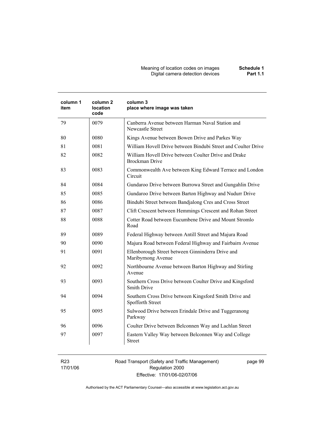Meaning of location codes on images **Schedule 1**  Digital camera detection devices **Part 1.1** 

| item | location<br>code | column 3<br>place where image was taken                                        |
|------|------------------|--------------------------------------------------------------------------------|
| 79   | 0079             | Canberra Avenue between Harman Naval Station and<br>Newcastle Street           |
| 80   | 0080             | Kings Avenue between Bowen Drive and Parkes Way                                |
| 81   | 0081             | William Hovell Drive between Bindubi Street and Coulter Drive                  |
| 82   | 0082             | William Hovell Drive between Coulter Drive and Drake<br><b>Brockman Drive</b>  |
| 83   | 0083             | Commonwealth Ave between King Edward Terrace and London<br>Circuit             |
| 84   | 0084             | Gundaroo Drive between Burrowa Street and Gungahlin Drive                      |
| 85   | 0085             | Gundaroo Drive between Barton Highway and Nudurr Drive                         |
| 86   | 0086             | Bindubi Street between Bandjalong Cres and Cross Street                        |
| 87   | 0087             | Clift Crescent between Hemmings Crescent and Rohan Street                      |
| 88   | 0088             | Cotter Road between Eucumbene Drive and Mount Stromlo<br>Road                  |
| 89   | 0089             | Federal Highway between Antill Street and Majura Road                          |
| 90   | 0090             | Majura Road between Federal Highway and Fairbairn Avenue                       |
| 91   | 0091             | Ellenborough Street between Ginninderra Drive and<br>Maribyrnong Avenue        |
| 92   | 0092             | Northbourne Avenue between Barton Highway and Stirling<br>Avenue               |
| 93   | 0093             | Southern Cross Drive between Coulter Drive and Kingsford<br><b>Smith Drive</b> |
| 94   | 0094             | Southern Cross Drive between Kingsford Smith Drive and<br>Spofforth Street     |
| 95   | 0095             | Sulwood Drive between Erindale Drive and Tuggeranong<br>Parkway                |
| 96   | 0096             | Coulter Drive between Belconnen Way and Lachlan Street                         |
| 97   | 0097             | Eastern Valley Way between Belconnen Way and College<br><b>Street</b>          |

R23 17/01/06 Road Transport (Safety and Traffic Management) Regulation 2000 Effective: 17/01/06-02/07/06

page 99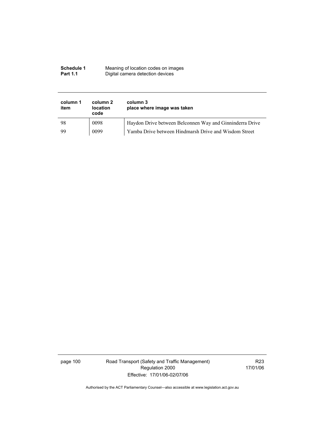| Schedule 1      | Meaning of location codes on images |
|-----------------|-------------------------------------|
| <b>Part 1.1</b> | Digital camera detection devices    |

| column 1<br>item | column 2<br><b>location</b><br>code | column 3<br>place where image was taken                  |
|------------------|-------------------------------------|----------------------------------------------------------|
| 98               | 0098                                | Haydon Drive between Belconnen Way and Ginninderra Drive |
| -99              | 0099                                | Yamba Drive between Hindmarsh Drive and Wisdom Street    |

page 100 Road Transport (Safety and Traffic Management) Regulation 2000 Effective: 17/01/06-02/07/06

R23 17/01/06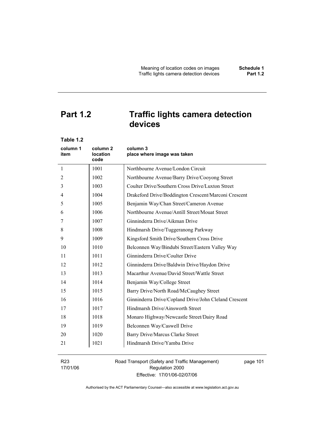# **Part 1.2 Traffic lights camera detection**

**devices** 

| Table 1.2        |                              |                                                       |
|------------------|------------------------------|-------------------------------------------------------|
| column 1<br>item | column 2<br>location<br>code | column 3<br>place where image was taken               |
| 1                | 1001                         | Northbourne Avenue/London Circuit                     |
| 2                | 1002                         | Northbourne Avenue/Barry Drive/Cooyong Street         |
| 3                | 1003                         | Coulter Drive/Southern Cross Drive/Luxton Street      |
| 4                | 1004                         | Drakeford Drive/Boddington Crescent/Marconi Crescent  |
| 5                | 1005                         | Benjamin Way/Chan Street/Cameron Avenue               |
| 6                | 1006                         | Northbourne Avenue/Antill Street/Mouat Street         |
| 7                | 1007                         | Ginninderra Drive/Aikman Drive                        |
| 8                | 1008                         | Hindmarsh Drive/Tuggeranong Parkway                   |
| 9                | 1009                         | Kingsford Smith Drive/Southern Cross Drive            |
| 10               | 1010                         | Belconnen Way/Bindubi Street/Eastern Valley Way       |
| 11               | 1011                         | Ginninderra Drive/Coulter Drive                       |
| 12               | 1012                         | Ginninderra Drive/Baldwin Drive/Haydon Drive          |
| 13               | 1013                         | Macarthur Avenue/David Street/Wattle Street           |
| 14               | 1014                         | Benjamin Way/College Street                           |
| 15               | 1015                         | Barry Drive/North Road/McCaughey Street               |
| 16               | 1016                         | Ginninderra Drive/Copland Drive/John Cleland Crescent |
| 17               | 1017                         | Hindmarsh Drive/Ainsworth Street                      |
| 18               | 1018                         | Monaro Highway/Newcastle Street/Dairy Road            |
| 19               | 1019                         | Belconnen Way/Caswell Drive                           |
| 20               | 1020                         | Barry Drive/Marcus Clarke Street                      |
| 21               | 1021                         | Hindmarsh Drive/Yamba Drive                           |

R23 17/01/06 Road Transport (Safety and Traffic Management) Regulation 2000 Effective: 17/01/06-02/07/06

page 101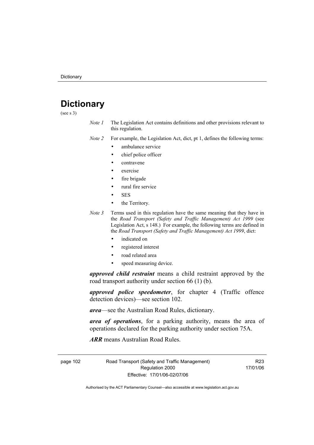# **Dictionary**

(see s 3)

*Note 1* The Legislation Act contains definitions and other provisions relevant to this regulation.

*Note 2* For example, the Legislation Act, dict, pt 1, defines the following terms:

- ambulance service
	- chief police officer
- contravene
- exercise
- fire brigade
- rural fire service
- SES
- the Territory.
- *Note 3* Terms used in this regulation have the same meaning that they have in the *Road Transport (Safety and Traffic Management) Act 1999* (see Legislation Act, s 148.) For example, the following terms are defined in the *Road Transport (Safety and Traffic Management) Act 1999*, dict:
	- indicated on
	- registered interest
	- road related area
	- speed measuring device.

*approved child restraint* means a child restraint approved by the road transport authority under section 66 (1) (b).

*approved police speedometer*, for chapter 4 (Traffic offence detection devices)—see section 102.

*area*—see the Australian Road Rules, dictionary.

*area of operations*, for a parking authority, means the area of operations declared for the parking authority under section 75A.

*ARR* means Australian Road Rules.

page 102 Road Transport (Safety and Traffic Management) Regulation 2000 Effective: 17/01/06-02/07/06

R23 17/01/06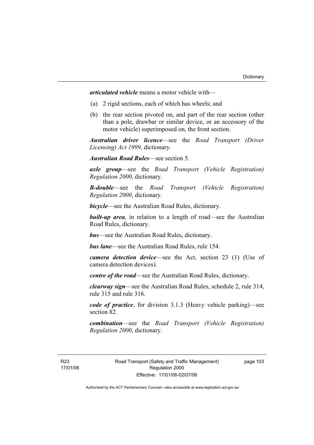*articulated vehicle* means a motor vehicle with—

- (a) 2 rigid sections, each of which has wheels; and
- (b) the rear section pivoted on, and part of the rear section (other than a pole, drawbar or similar device, or an accessory of the motor vehicle) superimposed on, the front section.

*Australian driver licence*—see the *Road Transport (Driver Licensing) Act 1999*, dictionary.

*Australian Road Rules*—see section 5.

*axle group*—see the *Road Transport (Vehicle Registration) Regulation 2000*, dictionary.

*B-double*—see the *Road Transport (Vehicle Registration) Regulation 2000*, dictionary.

*bicycle*—see the Australian Road Rules, dictionary.

**built-up area**, in relation to a length of road—see the Australian Road Rules, dictionary.

*bus*—see the Australian Road Rules, dictionary.

*bus lane*—see the Australian Road Rules, rule 154.

*camera detection device*—see the Act, section 23 (1) (Use of camera detection devices).

*centre of the road*—see the Australian Road Rules, dictionary.

*clearway sign*—see the Australian Road Rules, schedule 2, rule 314, rule 315 and rule 316.

*code of practice*, for division 3.1.3 (Heavy vehicle parking)—see section 82.

*combination*—see the *Road Transport (Vehicle Registration) Regulation 2000*, dictionary.

R23 17/01/06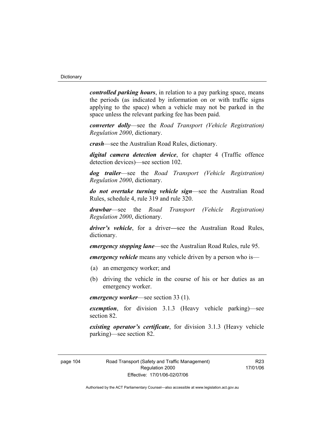*controlled parking hours*, in relation to a pay parking space, means the periods (as indicated by information on or with traffic signs applying to the space) when a vehicle may not be parked in the space unless the relevant parking fee has been paid.

*converter dolly*—see the *Road Transport (Vehicle Registration) Regulation 2000*, dictionary.

*crash*—see the Australian Road Rules, dictionary.

*digital camera detection device*, for chapter 4 (Traffic offence detection devices)—see section 102.

*dog trailer*—see the *Road Transport (Vehicle Registration) Regulation 2000*, dictionary.

*do not overtake turning vehicle sign*—see the Australian Road Rules, schedule 4, rule 319 and rule 320.

*drawbar*—see the *Road Transport (Vehicle Registration) Regulation 2000*, dictionary.

*driver's vehicle*, for a driver*—*see the Australian Road Rules, dictionary.

*emergency stopping lane*—see the Australian Road Rules, rule 95.

*emergency vehicle* means any vehicle driven by a person who is—

- (a) an emergency worker; and
- (b) driving the vehicle in the course of his or her duties as an emergency worker.

*emergency worker*—see section 33 (1).

*exemption*, for division 3.1.3 (Heavy vehicle parking)—see section 82.

*existing operator's certificate*, for division 3.1.3 (Heavy vehicle parking)—see section 82.

R23 17/01/06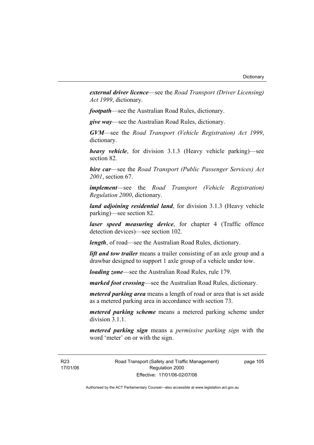*external driver licence*—see the *Road Transport (Driver Licensing) Act 1999*, dictionary.

*footpath*—see the Australian Road Rules, dictionary.

*give way*—see the Australian Road Rules, dictionary.

*GVM*—see the *Road Transport (Vehicle Registration) Act 1999*, dictionary.

*heavy vehicle*, for division 3.1.3 (Heavy vehicle parking)—see section 82.

*hire car*—see the *Road Transport (Public Passenger Services) Act 2001*, section 67.

*implement*—see the *Road Transport (Vehicle Registration) Regulation 2000*, dictionary.

*land adjoining residential land*, for division 3.1.3 (Heavy vehicle parking)—see section 82.

*laser speed measuring device*, for chapter 4 (Traffic offence detection devices)—see section 102.

*length*, of road—see the Australian Road Rules, dictionary.

*lift and tow trailer* means a trailer consisting of an axle group and a drawbar designed to support 1 axle group of a vehicle under tow.

*loading zone*—see the Australian Road Rules, rule 179.

*marked foot crossing*—see the Australian Road Rules, dictionary.

*metered parking area* means a length of road or area that is set aside as a metered parking area in accordance with section 73.

*metered parking scheme* means a metered parking scheme under division 3.1.1

*metered parking sign* means a *permissive parking sign* with the word 'meter' on or with the sign.

R23 17/01/06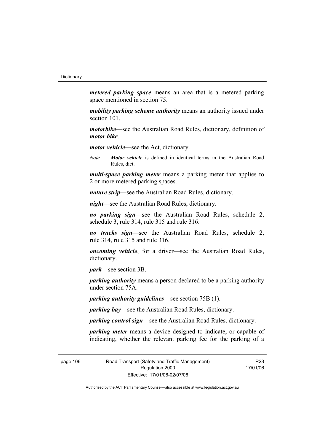*metered parking space* means an area that is a metered parking space mentioned in section 75.

*mobility parking scheme authority* means an authority issued under section 101.

*motorbike*—see the Australian Road Rules, dictionary, definition of *motor bike*.

*motor vehicle*—see the Act, dictionary.

*Note Motor vehicle* is defined in identical terms in the Australian Road Rules, dict.

*multi-space parking meter* means a parking meter that applies to 2 or more metered parking spaces.

*nature strip*—see the Australian Road Rules, dictionary.

*night*—see the Australian Road Rules, dictionary.

*no parking sign*—see the Australian Road Rules, schedule 2, schedule 3, rule 314, rule 315 and rule 316.

*no trucks sign*—see the Australian Road Rules, schedule 2, rule 314, rule 315 and rule 316.

*oncoming vehicle*, for a driver—see the Australian Road Rules, dictionary.

*park*—see section 3B.

*parking authority* means a person declared to be a parking authority under section 75A.

*parking authority guidelines*—see section 75B (1).

*parking bay*—see the Australian Road Rules, dictionary.

*parking control sign*—see the Australian Road Rules, dictionary.

*parking meter* means a device designed to indicate, or capable of indicating, whether the relevant parking fee for the parking of a

page 106 Road Transport (Safety and Traffic Management) Regulation 2000 Effective: 17/01/06-02/07/06

R23 17/01/06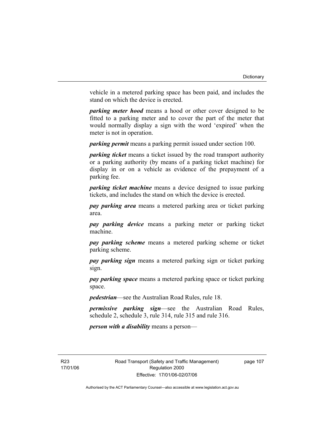vehicle in a metered parking space has been paid, and includes the stand on which the device is erected.

*parking meter hood* means a hood or other cover designed to be fitted to a parking meter and to cover the part of the meter that would normally display a sign with the word 'expired' when the meter is not in operation.

*parking permit* means a parking permit issued under section 100.

*parking ticket* means a ticket issued by the road transport authority or a parking authority (by means of a parking ticket machine) for display in or on a vehicle as evidence of the prepayment of a parking fee.

*parking ticket machine* means a device designed to issue parking tickets, and includes the stand on which the device is erected.

*pay parking area* means a metered parking area or ticket parking area.

*pay parking device* means a parking meter or parking ticket machine.

*pay parking scheme* means a metered parking scheme or ticket parking scheme.

*pay parking sign* means a metered parking sign or ticket parking sign.

*pay parking space* means a metered parking space or ticket parking space.

*pedestrian*—see the Australian Road Rules, rule 18.

*permissive parking sign*—see the Australian Road Rules, schedule 2, schedule 3, rule 314, rule 315 and rule 316.

*person with a disability* means a person—

R23 17/01/06 Road Transport (Safety and Traffic Management) Regulation 2000 Effective: 17/01/06-02/07/06

page 107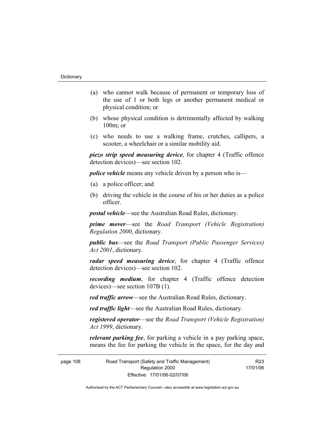- (a) who cannot walk because of permanent or temporary loss of the use of 1 or both legs or another permanent medical or physical condition; or
- (b) whose physical condition is detrimentally affected by walking 100m; or
- (c) who needs to use a walking frame, crutches, callipers, a scooter, a wheelchair or a similar mobility aid.

*piezo strip speed measuring device*, for chapter 4 (Traffic offence detection devices)—see section 102.

*police vehicle* means any vehicle driven by a person who is—

- (a) a police officer; and
- (b) driving the vehicle in the course of his or her duties as a police officer.

*postal vehicle*—see the Australian Road Rules, dictionary.

*prime mover*—see the *Road Transport (Vehicle Registration) Regulation 2000*, dictionary.

*public bus*—see the *Road Transport (Public Passenger Services) Act 2001*, dictionary.

*radar speed measuring device*, for chapter 4 (Traffic offence detection devices)—see section 102.

*recording medium*, for chapter 4 (Traffic offence detection devices)—see section 107B (1).

*red traffic arrow*—see the Australian Road Rules, dictionary.

*red traffic light*—see the Australian Road Rules, dictionary.

*registered operator*—see the *Road Transport (Vehicle Registration) Act 1999*, dictionary.

*relevant parking fee*, for parking a vehicle in a pay parking space, means the fee for parking the vehicle in the space, for the day and

page 108 Road Transport (Safety and Traffic Management) Regulation 2000 Effective: 17/01/06-02/07/06

17/01/06

R23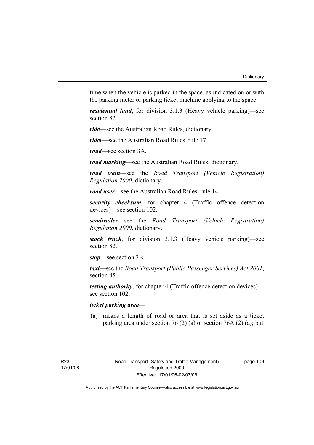time when the vehicle is parked in the space, as indicated on or with the parking meter or parking ticket machine applying to the space.

*residential land*, for division 3.1.3 (Heavy vehicle parking)—see section 82.

*ride*—see the Australian Road Rules, dictionary.

*rider*—see the Australian Road Rules, rule 17.

*road*—see section 3A.

*road marking*—see the Australian Road Rules, dictionary.

*road train*—see the *Road Transport (Vehicle Registration) Regulation 2000*, dictionary.

*road user*—see the Australian Road Rules, rule 14.

*security checksum*, for chapter 4 (Traffic offence detection devices)—see section 102.

*semitrailer*—see the *Road Transport (Vehicle Registration) Regulation 2000*, dictionary.

*stock truck*, for division 3.1.3 (Heavy vehicle parking)—see section 82.

*stop*—see section 3B.

*taxi*—see the *Road Transport (Public Passenger Services) Act 2001*, section 45.

*testing authority*, for chapter 4 (Traffic offence detection devices) see section 102.

### *ticket parking area*—

 (a) means a length of road or area that is set aside as a ticket parking area under section 76 (2) (a) or section 76A (2) (a); but

page 109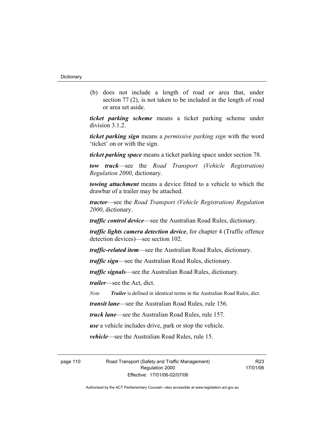(b) does not include a length of road or area that, under section 77 (2), is not taken to be included in the length of road or area set aside.

*ticket parking scheme* means a ticket parking scheme under division 3.1.2.

*ticket parking sign* means a *permissive parking sign* with the word 'ticket' on or with the sign.

*ticket parking space* means a ticket parking space under section 78.

*tow truck*—see the *Road Transport (Vehicle Registration) Regulation 2000*, dictionary.

*towing attachment* means a device fitted to a vehicle to which the drawbar of a trailer may be attached.

*tractor*—see the *Road Transport (Vehicle Registration) Regulation 2000*, dictionary.

*traffic control device*—see the Australian Road Rules, dictionary.

*traffic lights camera detection device*, for chapter 4 (Traffic offence detection devices)—see section 102.

*traffic-related item*—see the Australian Road Rules, dictionary.

*traffic sign*—see the Australian Road Rules, dictionary.

*traffic signals*—see the Australian Road Rules, dictionary.

*trailer*—see the Act, dict.

*Note Trailer* is defined in identical terms in the Australian Road Rules, dict.

*transit lane*—see the Australian Road Rules, rule 156.

*truck lane*—see the Australian Road Rules, rule 157.

*use* a vehicle includes drive, park or stop the vehicle.

*vehicle*—see the Australian Road Rules, rule 15.

page 110 Road Transport (Safety and Traffic Management) Regulation 2000 Effective: 17/01/06-02/07/06

R23 17/01/06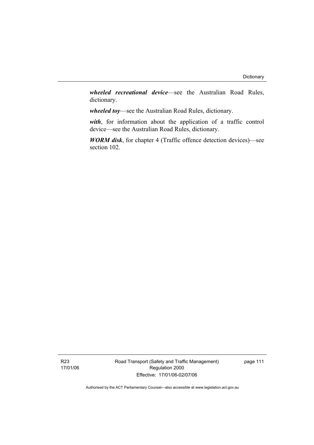*wheeled recreational device*—see the Australian Road Rules, dictionary.

*wheeled toy*—see the Australian Road Rules, dictionary.

*with*, for information about the application of a traffic control device—see the Australian Road Rules, dictionary.

*WORM disk*, for chapter 4 (Traffic offence detection devices)—see section 102.

Road Transport (Safety and Traffic Management) Regulation 2000 Effective: 17/01/06-02/07/06

page 111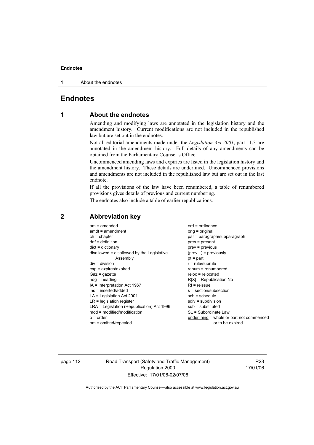1 About the endnotes

### **Endnotes**

### **1 About the endnotes**

Amending and modifying laws are annotated in the legislation history and the amendment history. Current modifications are not included in the republished law but are set out in the endnotes.

Not all editorial amendments made under the *Legislation Act 2001*, part 11.3 are annotated in the amendment history. Full details of any amendments can be obtained from the Parliamentary Counsel's Office.

Uncommenced amending laws and expiries are listed in the legislation history and the amendment history. These details are underlined. Uncommenced provisions and amendments are not included in the republished law but are set out in the last endnote.

If all the provisions of the law have been renumbered, a table of renumbered provisions gives details of previous and current numbering.

The endnotes also include a table of earlier republications.

| $am = amended$                             | $ord = ordinance$                         |
|--------------------------------------------|-------------------------------------------|
| $amdt = amendment$                         | orig = original                           |
| $ch = chapter$                             | par = paragraph/subparagraph              |
| $def = definition$                         | $pres = present$                          |
| $dict = dictionary$                        | $prev = previous$                         |
| disallowed = disallowed by the Legislative | $(\text{prev})$ = previously              |
| Assembly                                   | $pt = part$                               |
| $div = division$                           | $r = rule/subrule$                        |
| $exp = expires/expired$                    | renum = renumbered                        |
| $Gaz = gazette$                            | $reloc = relocated$                       |
| $hdg =$ heading                            | $R[X]$ = Republication No                 |
| IA = Interpretation Act 1967               | $RI = reissue$                            |
| ins = inserted/added                       | $s = section/subsection$                  |
| $LA =$ Legislation Act 2001                | $sch = schedule$                          |
| $LR =$ legislation register                | sdiv = subdivision                        |
| LRA = Legislation (Republication) Act 1996 | $sub =$ substituted                       |
| $mod = modified/modification$              | SL = Subordinate Law                      |
| $o = order$                                | underlining = whole or part not commenced |
| om = omitted/repealed                      | or to be expired                          |
|                                            |                                           |

### **2 Abbreviation key**

page 112 Road Transport (Safety and Traffic Management) Regulation 2000 Effective: 17/01/06-02/07/06

R23 17/01/06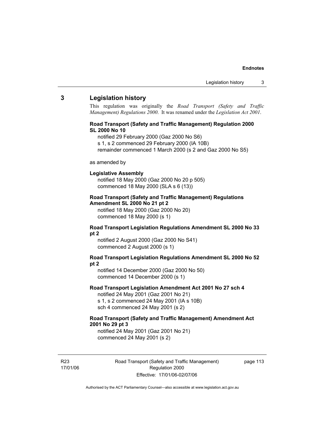### **3 Legislation history**

This regulation was originally the *Road Transport (Safety and Traffic Management) Regulations 2000*. It was renamed under the *Legislation Act 2001*.

### **Road Transport (Safety and Traffic Management) Regulation 2000 SL 2000 No 10**

- notified 29 February 2000 (Gaz 2000 No S6)
- s 1, s 2 commenced 29 February 2000 (IA 10B)
- remainder commenced 1 March 2000 (s 2 and Gaz 2000 No S5)

### as amended by

### **Legislative Assembly**

notified 18 May 2000 (Gaz 2000 No 20 p 505) commenced 18 May 2000 (SLA s 6 (13))

### **Road Transport (Safety and Traffic Management) Regulations Amendment SL 2000 No 21 pt 2**

notified 18 May 2000 (Gaz 2000 No 20) commenced 18 May 2000 (s 1)

### **Road Transport Legislation Regulations Amendment SL 2000 No 33 pt 2**

notified 2 August 2000 (Gaz 2000 No S41) commenced 2 August 2000 (s 1)

### **Road Transport Legislation Regulations Amendment SL 2000 No 52 pt 2**

notified 14 December 2000 (Gaz 2000 No 50) commenced 14 December 2000 (s 1)

### **Road Transport Legislation Amendment Act 2001 No 27 sch 4**

notified 24 May 2001 (Gaz 2001 No 21) s 1, s 2 commenced 24 May 2001 (IA s 10B) sch 4 commenced 24 May 2001 (s 2)

### **Road Transport (Safety and Traffic Management) Amendment Act 2001 No 29 pt 3**

notified 24 May 2001 (Gaz 2001 No 21) commenced 24 May 2001 (s 2)

R23 17/01/06 Road Transport (Safety and Traffic Management) Regulation 2000 Effective: 17/01/06-02/07/06

page 113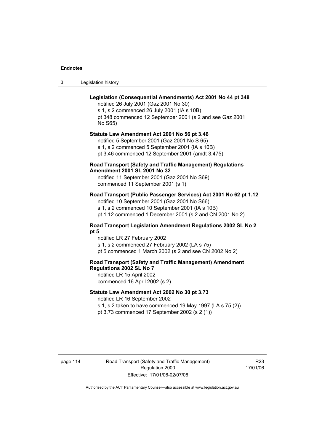| -3 | Legislation history |  |
|----|---------------------|--|
|----|---------------------|--|

### **Legislation (Consequential Amendments) Act 2001 No 44 pt 348**

notified 26 July 2001 (Gaz 2001 No 30) s 1, s 2 commenced 26 July 2001 (IA s 10B) pt 348 commenced 12 September 2001 (s 2 and see Gaz 2001 No S65)

### **Statute Law Amendment Act 2001 No 56 pt 3.46**

notified 5 September 2001 (Gaz 2001 No S 65) s 1, s 2 commenced 5 September 2001 (IA s 10B) pt 3.46 commenced 12 September 2001 (amdt 3.475)

### **Road Transport (Safety and Traffic Management) Regulations Amendment 2001 SL 2001 No 32**

notified 11 September 2001 (Gaz 2001 No S69) commenced 11 September 2001 (s 1)

### **Road Transport (Public Passenger Services) Act 2001 No 62 pt 1.12**

notified 10 September 2001 (Gaz 2001 No S66) s 1, s 2 commenced 10 September 2001 (IA s 10B)

pt 1.12 commenced 1 December 2001 (s 2 and CN 2001 No 2)

### **Road Transport Legislation Amendment Regulations 2002 SL No 2 pt 5**

notified LR 27 February 2002 s 1, s 2 commenced 27 February 2002 (LA s 75) pt 5 commenced 1 March 2002 (s 2 and see CN 2002 No 2)

### **Road Transport (Safety and Traffic Management) Amendment Regulations 2002 SL No 7**

notified LR 15 April 2002 commenced 16 April 2002 (s 2)

### **Statute Law Amendment Act 2002 No 30 pt 3.73**

notified LR 16 September 2002

s 1, s 2 taken to have commenced 19 May 1997 (LA s 75 (2)) pt 3.73 commenced 17 September 2002 (s 2 (1))

page 114 Road Transport (Safety and Traffic Management) Regulation 2000 Effective: 17/01/06-02/07/06

R23 17/01/06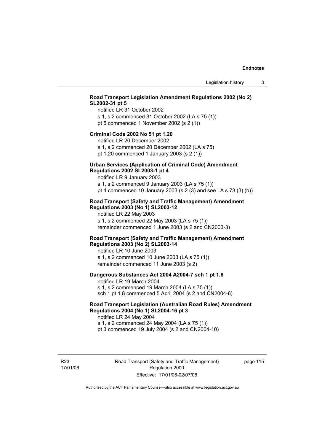### **Road Transport Legislation Amendment Regulations 2002 (No 2) SL2002-31 pt 5**

notified LR 31 October 2002 s 1, s 2 commenced 31 October 2002 (LA s 75 (1)) pt 5 commenced 1 November 2002 (s 2 (1))

### **Criminal Code 2002 No 51 pt 1.20**

notified LR 20 December 2002

s 1, s 2 commenced 20 December 2002 (LA s 75) pt 1.20 commenced 1 January 2003 (s 2 (1))

### **Urban Services (Application of Criminal Code) Amendment Regulations 2002 SL2003-1 pt 4**

notified LR 9 January 2003

s 1, s 2 commenced 9 January 2003 (LA s 75 (1)) pt 4 commenced 10 January 2003 (s 2 (3) and see LA s 73 (3) (b))

### **Road Transport (Safety and Traffic Management) Amendment Regulations 2003 (No 1) SL2003-12**

notified LR 22 May 2003 s 1, s 2 commenced 22 May 2003 (LA s 75 (1)) remainder commenced 1 June 2003 (s 2 and CN2003-3)

### **Road Transport (Safety and Traffic Management) Amendment Regulations 2003 (No 2) SL2003-14**

notified LR 10 June 2003 s 1, s 2 commenced 10 June 2003 (LA s 75 (1)) remainder commenced 11 June 2003 (s 2)

### **Dangerous Substances Act 2004 A2004-7 sch 1 pt 1.8**

notified LR 19 March 2004 s 1, s 2 commenced 19 March 2004 (LA s 75 (1)) sch 1 pt 1.8 commenced 5 April 2004 (s 2 and CN2004-6)

### **Road Transport Legislation (Australian Road Rules) Amendment Regulations 2004 (No 1) SL2004-16 pt 3**

notified LR 24 May 2004 s 1, s 2 commenced 24 May 2004 (LA s 75 (1)) pt 3 commenced 19 July 2004 (s 2 and CN2004-10)

R23 17/01/06 Road Transport (Safety and Traffic Management) Regulation 2000 Effective: 17/01/06-02/07/06

page 115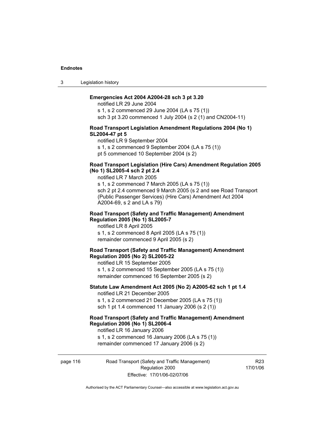3 Legislation history

### **Emergencies Act 2004 A2004-28 sch 3 pt 3.20**

notified LR 29 June 2004 s 1, s 2 commenced 29 June 2004 (LA s 75 (1)) sch 3 pt 3.20 commenced 1 July 2004 (s 2 (1) and CN2004-11)

### **Road Transport Legislation Amendment Regulations 2004 (No 1) SL2004-47 pt 5**

notified LR 9 September 2004 s 1, s 2 commenced 9 September 2004 (LA s 75 (1))

pt 5 commenced 10 September 2004 (s 2)

### **Road Transport Legislation (Hire Cars) Amendment Regulation 2005 (No 1) SL2005-4 sch 2 pt 2.4**

notified LR 7 March 2005

s 1, s 2 commenced 7 March 2005 (LA s 75 (1)) sch 2 pt 2.4 commenced 9 March 2005 (s 2 and see Road Transport (Public Passenger Services) (Hire Cars) Amendment Act 2004 A2004-69, s 2 and LA s 79)

### **Road Transport (Safety and Traffic Management) Amendment Regulation 2005 (No 1) SL2005-7**

notified LR 8 April 2005 s 1, s 2 commenced 8 April 2005 (LA s 75 (1)) remainder commenced 9 April 2005 (s 2)

### **Road Transport (Safety and Traffic Management) Amendment Regulation 2005 (No 2) SL2005-22**

notified LR 15 September 2005 s 1, s 2 commenced 15 September 2005 (LA s 75 (1)) remainder commenced 16 September 2005 (s 2)

### **Statute Law Amendment Act 2005 (No 2) A2005-62 sch 1 pt 1.4**  notified LR 21 December 2005

s 1, s 2 commenced 21 December 2005 (LA s 75 (1)) sch 1 pt 1.4 commenced 11 January 2006 (s 2 (1))

### **Road Transport (Safety and Traffic Management) Amendment Regulation 2006 (No 1) SL2006-4**  notified LR 16 January 2006

s 1, s 2 commenced 16 January 2006 (LA s 75 (1)) remainder commenced 17 January 2006 (s 2)

### page 116 Road Transport (Safety and Traffic Management) Regulation 2000 Effective: 17/01/06-02/07/06

R23 17/01/06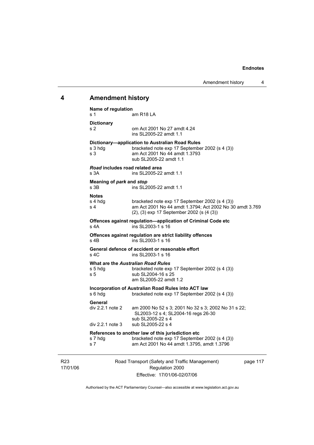## **4 Amendment history**

| s 1                            | Name of regulation                              | am R <sub>18</sub> LA                                                                                                                                        |          |
|--------------------------------|-------------------------------------------------|--------------------------------------------------------------------------------------------------------------------------------------------------------------|----------|
| s <sub>2</sub>                 | <b>Dictionary</b>                               | om Act 2001 No 27 amdt 4.24<br>ins SL2005-22 amdt 1.1                                                                                                        |          |
| s <sub>3</sub>                 | s 3 hdg                                         | Dictionary-application to Australian Road Rules<br>bracketed note exp 17 September 2002 (s 4 (3))<br>am Act 2001 No 44 amdt 1.3793<br>sub SL2005-22 amdt 1.1 |          |
| s 3A                           | Road includes road related area                 | ins SL2005-22 amdt 1.1                                                                                                                                       |          |
| s 3B                           | Meaning of park and stop                        | ins SL2005-22 amdt 1.1                                                                                                                                       |          |
| <b>Notes</b><br>s <sub>4</sub> | s 4 hdg                                         | bracketed note exp 17 September 2002 (s 4 (3))<br>am Act 2001 No 44 amdt 1.3794; Act 2002 No 30 amdt 3.769<br>(2), (3) exp 17 September 2002 (s (4 (3))      |          |
| $s$ 4A                         |                                                 | Offences against regulation-application of Criminal Code etc<br>ins SL2003-1 s 16                                                                            |          |
| s 4B                           |                                                 | Offences against regulation are strict liability offences<br>ins SL2003-1 s 16                                                                               |          |
| $s$ 4C                         |                                                 | General defence of accident or reasonable effort<br>ins SL2003-1 s 16                                                                                        |          |
| s 5                            | s 5 hdg                                         | <b>What are the Australian Road Rules</b><br>bracketed note exp 17 September 2002 (s 4 (3))<br>sub SL2004-16 s 25<br>am SL2005-22 amdt 1.2                   |          |
|                                | s 6 hda                                         | Incorporation of Australian Road Rules into ACT law<br>bracketed note exp 17 September 2002 (s 4 (3))                                                        |          |
|                                | General<br>div 2.2.1 note 2<br>div 2.2.1 note 3 | am 2000 No 52 s 3; 2001 No 32 s 3; 2002 No 31 s 22;<br>SL2003-12 s 4; SL2004-16 regs 26-30<br>sub SL2005-22 s 4<br>sub SL2005-22 s 4                         |          |
| s 7                            | s 7 hdg                                         | References to another law of this jurisdiction etc<br>bracketed note exp 17 September 2002 (s 4 (3))<br>am Act 2001 No 44 amdt 1.3795, amdt 1.3796           |          |
|                                |                                                 | Road Transport (Safety and Traffic Management)                                                                                                               | page 117 |

R23 17/01/06 Road Transport (Safety and Traffic Management) Regulation 2000 Effective: 17/01/06-02/07/06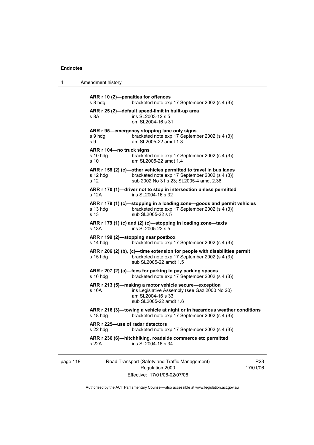4 Amendment history

```
ARR r 10 (2)—penalties for offences 
s 8 hdg bracketed note exp 17 September 2002 (s 4 (3))
ARR r 25 (2)—default speed-limit in built-up area 
s 8A ins SL 2003-12 s 5
                 om SL2004-16 s 31 
ARR r 95—emergency stopping lane only signs 
s 9 hdg bracketed note exp 17 September 2002 (s 4 (3)) 
s 9 am SL2005-22 amdt 1.3 
ARR r 104—no truck signs 
                 bracketed note exp 17 September 2002 (s 4 (3))
s 10 am SL2005-22 amdt 1.4 
ARR r 158 (2) (c)—other vehicles permitted to travel in bus lanes 
s 12 hdg bracketed note exp 17 September 2002 (s 4 (3))
s 12 sub 2002 No 31 s 23; SL2005-4 amdt 2.38 
ARR r 170 (1)—driver not to stop in intersection unless permitted 
s 12A ins SL2004-16 s 32
ARR r 179 (1) (c)—stopping in a loading zone—goods and permit vehicles 
s 13 hdg bracketed note exp 17 September 2002 (s 4 (3)) 
s 13 sub SL2005-22 s 5 
ARR r 179 (1) (c) and (2) (c)—stopping in loading zone—taxis 
s 13A ins SL2005-22 s 5
ARR r 199 (2)—stopping near postbox 
s 14 hdg bracketed note exp 17 September 2002 (s 4 (3))
ARR r 206 (2) (b), (c)—time extension for people with disabilities permit 
s 15 hdg bracketed note exp 17 September 2002 (s 4 (3))
                 sub SL2005-22 amdt 1.5 
ARR r 207 (2) (a)—fees for parking in pay parking spaces 
s 16 hdg bracketed note exp 17 September 2002 (s 4 (3))
ARR r 213 (5)—making a motor vehicle secure—exception 
s 16A ins Legislative Assembly (see Gaz 2000 No 20)
                 am SL2004-16 s 33 
                  sub SL2005-22 amdt 1.6 
ARR r 216 (3)—towing a vehicle at night or in hazardous weather conditions 
s 18 hdg bracketed note exp 17 September 2002 (s 4 (3))
ARR r 225—use of radar detectors 
s 22 hdg bracketed note exp 17 September 2002 (s 4 (3)) 
ARR r 236 (6)—hitchhiking, roadside commerce etc permitted 
s 22A ins SL2004-16 s 34
```

| page 118 |  |  |
|----------|--|--|
|----------|--|--|

118 Road Transport (Safety and Traffic Management) Regulation 2000 Effective: 17/01/06-02/07/06

R23 17/01/06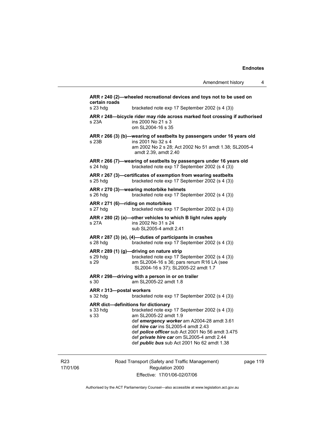| certain roads                        | ARR r 240 (2)-wheeled recreational devices and toys not to be used on                                                                                                                                                                                                                                                                                       |
|--------------------------------------|-------------------------------------------------------------------------------------------------------------------------------------------------------------------------------------------------------------------------------------------------------------------------------------------------------------------------------------------------------------|
| s 23 hdg                             | bracketed note exp 17 September 2002 (s 4 (3))                                                                                                                                                                                                                                                                                                              |
| s 23A                                | ARR r 248-bicycle rider may ride across marked foot crossing if authorised<br>ins 2000 No 21 s 3<br>om SL2004-16 s 35                                                                                                                                                                                                                                       |
| s 23B                                | ARR r 266 (3) (b)-wearing of seatbelts by passengers under 16 years old<br>ins 2001 No 32 s 4<br>am 2002 No 2 s 28; Act 2002 No 51 amdt 1.38; SL2005-4<br>amdt 2.39, amdt 2.40                                                                                                                                                                              |
| s 24 hda                             | ARR r 266 (7)-wearing of seatbelts by passengers under 16 years old<br>bracketed note exp 17 September 2002 (s 4 (3))                                                                                                                                                                                                                                       |
| s 25 hdg                             | ARR r 267 (3)-certificates of exemption from wearing seatbelts<br>bracketed note exp 17 September 2002 (s 4 (3))                                                                                                                                                                                                                                            |
| s 26 hdg                             | ARR r 270 (3)—wearing motorbike helmets<br>bracketed note exp 17 September 2002 (s 4 (3))                                                                                                                                                                                                                                                                   |
| s 27 hdg                             | ARR r 271 (6)—riding on motorbikes<br>bracketed note exp 17 September 2002 (s 4 (3))                                                                                                                                                                                                                                                                        |
| s 27A                                | ARR r 280 (2) (a)-other vehicles to which B light rules apply<br>ins 2002 No 31 s 24<br>sub SL2005-4 amdt 2.41                                                                                                                                                                                                                                              |
| s 28 hdg                             | ARR r 287 (3) (e), (4)-duties of participants in crashes<br>bracketed note exp 17 September 2002 (s 4 (3))                                                                                                                                                                                                                                                  |
| s 29 hdg<br>s 29                     | ARR r 289 (1) (g)-driving on nature strip<br>bracketed note exp 17 September 2002 (s 4 (3))<br>am SL2004-16 s 36; pars renum R16 LA (see<br>SL2004-16 s 37); SL2005-22 amdt 1.7                                                                                                                                                                             |
| s 30                                 | ARR r 298-driving with a person in or on trailer<br>am SL2005-22 amdt 1.8                                                                                                                                                                                                                                                                                   |
| ARR r 313-postal workers<br>s 32 hdg | bracketed note exp 17 September 2002 (s 4 (3))                                                                                                                                                                                                                                                                                                              |
| s 33 hdg<br>s 33                     | ARR dict-definitions for dictionary<br>bracketed note exp 17 September 2002 (s 4 (3))<br>am SL2005-22 amdt 1.9<br>def emergency worker am A2004-28 amdt 3.61<br>def hire car ins SL2005-4 amdt 2.43<br>def police officer sub Act 2001 No 56 amdt 3.475<br>def private hire car om SL2005-4 amdt 2.44<br>def <i>public bus</i> sub Act 2001 No 62 amdt 1.38 |
|                                      |                                                                                                                                                                                                                                                                                                                                                             |

R23 17/01/06 Road Transport (Safety and Traffic Management) Regulation 2000 Effective: 17/01/06-02/07/06

page 119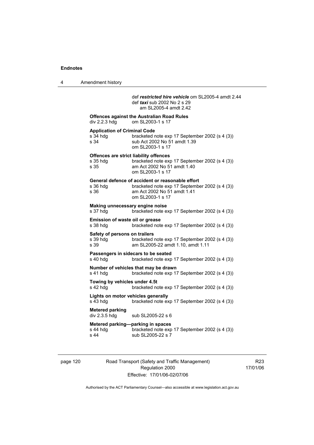4 Amendment history

 def *restricted hire vehicle* om SL2005-4 amdt 2.44 def *taxi* sub 2002 No 2 s 29 am SL2005-4 amdt 2.42 **Offences against the Australian Road Rules**  div 2.2.3 hdg om SL2003-1 s 17 **Application of Criminal Code**  s 34 hdg bracketed note exp 17 September 2002 (s 4 (3))<br>s 34 sub Act 2002 No 51 amdt 1.39 sub Act 2002 No 51 amdt 1.39 om SL2003-1 s 17 **Offences are strict liability offences**  s 35 hdg bracketed note exp 17 September 2002 (s 4 (3))<br>s 35 am Act 2002 No 51 amdt 1.40 am Act 2002 No 51 amdt 1.40 om SL2003-1 s 17 **General defence of accident or reasonable effort**  bracketed note exp 17 September 2002 (s 4 (3)) s 36 am Act 2002 No 51 amdt 1.41 om SL2003-1 s 17 **Making unnecessary engine noise**  bracketed note exp 17 September 2002 (s 4 (3)) **Emission of waste oil or grease**  s 38 hdg bracketed note exp 17 September 2002 (s 4 (3)) **Safety of persons on trailers**<br>s 39 hdg bracketed bracketed note exp 17 September 2002 (s 4 (3)) s 39 am SL2005-22 amdt 1.10, amdt 1.11 **Passengers in sidecars to be seated**  s 40 hdg bracketed note exp 17 September 2002 (s 4 (3)) **Number of vehicles that may be drawn**  s 41 hdg bracketed note exp 17 September 2002 (s 4 (3)) **Towing by vehicles under 4.5t**  s 42 hdg bracketed note exp 17 September 2002 (s 4 (3)) **Lights on motor vehicles generally**  s 43 hdg bracketed note exp 17 September 2002 (s 4 (3)) **Metered parking**  sub SL2005-22 s 6 **Metered parking—parking in spaces**  s 44 hdg bracketed note exp 17 September 2002 (s 4 (3)) s 44 sub SL2005-22 s 7

page 120 Road Transport (Safety and Traffic Management) Regulation 2000 Effective: 17/01/06-02/07/06

R23 17/01/06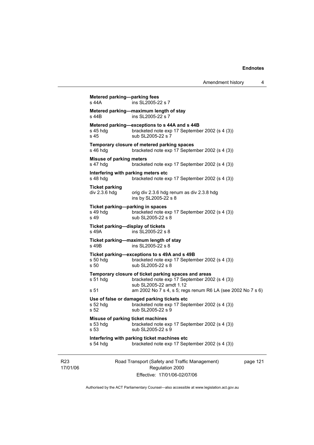```
Road Transport (Safety and Traffic Management) 
                          Regulation 2000 
Metered parking—parking fees 
s 44A ins SL2005-22 s 7
Metered parking—maximum length of stay 
s 44B ins SL2005-22 s 7
Metered parking—exceptions to s 44A and s 44B<br>s 45 hdg bracketed note exp 17 Septembe
                  bracketed note exp 17 September 2002 (s 4 (3))
s 45 sub SL2005-22 s 7 
Temporary closure of metered parking spaces 
s 46 hdg bracketed note exp 17 September 2002 (s 4 (3))
Misuse of parking meters 
s 47 hdg bracketed note exp 17 September 2002 (s 4 (3))
Interfering with parking meters etc 
s 48 hdg bracketed note exp 17 September 2002 (s 4 (3)) 
Ticket parking 
div 2.3.\overline{6} hdg orig div 2.3.\overline{6} hdg renum as div 2.3.\overline{8} hdg
                   ins by SL2005-22 s 8 
Ticket parking—parking in spaces<br>s 49 hdg bracketed note e
s 49 hdg bracketed note exp 17 September 2002 (s 4 (3))<br>s 49 sub SL2005-22 s 8
                  sub SL2005-22 s 8
Ticket parking—display of tickets 
s 49A ins SL2005-22 s 8 
Ticket parking—maximum length of stay 
s 49B ins SL2005-22 s 8 
Ticket parking—exceptions to s 49A and s 49B 
s 50 hdg bracketed note exp 17 September 2002 (s 4 (3)) 
s 50 sub SL2005-22 s 8
Temporary closure of ticket parking spaces and areas 
s 51 hdg bracketed note exp 17 September 2002 (s 4 (3)) 
                   sub SL2005-22 amdt 1.12 
s 51 am 2002 No 7 s 4, s 5; regs renum R6 LA (see 2002 No 7 s 6) 
Use of false or damaged parking tickets etc 
s 52 hdg bracketed note exp 17 September 2002 (s 4 (3))<br>s 52 sub SL2005-22 s 9
                  sub SL2005-22 s 9
Misuse of parking ticket machines 
s 53 hdg bracketed note exp 17 September 2002 (s 4 (3)) 
s 53 sub SL2005-22 s 9
Interfering with parking ticket machines etc 
s 54 hdg bracketed note exp 17 September 2002 (s 4 (3))
```
Effective: 17/01/06-02/07/06

page 121

Authorised by the ACT Parliamentary Counsel—also accessible at www.legislation.act.gov.au

R23 17/01/06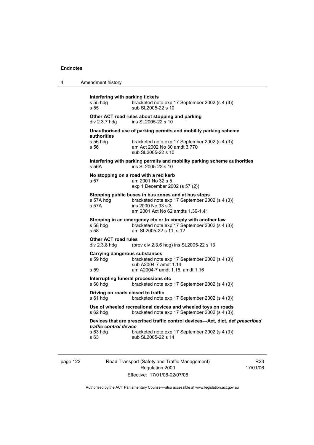| 4 | Amendment history                                                                                                                                                                                          |
|---|------------------------------------------------------------------------------------------------------------------------------------------------------------------------------------------------------------|
|   | Interfering with parking tickets<br>s 55 hdg<br>bracketed note exp 17 September 2002 (s 4 (3))<br>sub SL2005-22 s 10<br>s 55                                                                               |
|   | Other ACT road rules about stopping and parking<br>ins SL2005-22 s 10<br>div $2.3.7$ hdg                                                                                                                   |
|   | Unauthorised use of parking permits and mobility parking scheme<br>authorities<br>s 56 hdg<br>bracketed note exp 17 September 2002 (s 4 (3))<br>am Act 2002 No 30 amdt 3.770<br>s 56<br>sub SL2005-22 s 10 |
|   | Interfering with parking permits and mobility parking scheme authorities<br>ins SL2005-22 s 10<br>s 56A                                                                                                    |
|   | No stopping on a road with a red kerb<br>am 2001 No 32 s 5<br>s 57<br>exp 1 December 2002 (s 57 (2))                                                                                                       |
|   | Stopping public buses in bus zones and at bus stops<br>bracketed note exp 17 September 2002 (s 4 (3))<br>s 57A hdq<br>s 57A<br>ins 2000 No 33 s 3<br>am 2001 Act No 62 amdts 1.39-1.41                     |
|   | Stopping in an emergency etc or to comply with another law<br>bracketed note exp 17 September 2002 (s 4 (3))<br>s 58 hdg<br>s 58<br>am SL2005-22 s 11, s 12                                                |
|   | <b>Other ACT road rules</b><br>div $2.3.8$ hdg<br>(prev div 2.3.6 hdg) ins SL2005-22 s 13                                                                                                                  |
|   | <b>Carrying dangerous substances</b><br>s 59 hdq<br>bracketed note exp 17 September 2002 (s 4 (3))<br>sub A2004-7 amdt 1.14<br>am A2004-7 amdt 1.15, amdt 1.16<br>s 59                                     |
|   | Interrupting funeral processions etc<br>s 60 hdg<br>bracketed note exp 17 September 2002 (s 4 (3))                                                                                                         |
|   | Driving on roads closed to traffic<br>s 61 hdg<br>bracketed note exp 17 September 2002 (s 4 (3))                                                                                                           |
|   | Use of wheeled recreational devices and wheeled toys on roads<br>bracketed note exp 17 September 2002 (s 4 (3))<br>$s$ 62 hdg                                                                              |
|   | Devices that are prescribed traffic control devices-Act, dict, def prescribed<br>traffic control device<br>s 63 hdg<br>bracketed note exp 17 September 2002 (s 4 (3))<br>sub SL2005-22 s 14<br>s 63        |
|   |                                                                                                                                                                                                            |

page 122 Road Transport (Safety and Traffic Management) Regulation 2000 Effective: 17/01/06-02/07/06

R23 17/01/06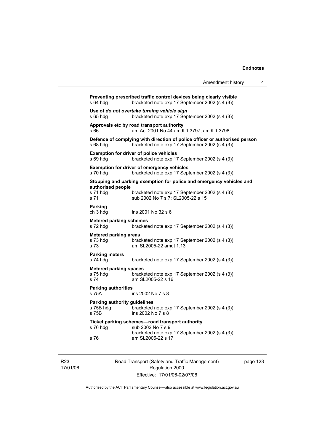| Amendment history                                                                                                            | 4                 |
|------------------------------------------------------------------------------------------------------------------------------|-------------------|
| Preventing prescribed traffic control devices being clearly visible<br>bracketed note exp 17 September 2002 (s 4 (3))        |                   |
| Use of do not overtake turning vehicle sign<br>bracketed note exp 17 September 2002 (s 4 (3))                                |                   |
| Approvals etc by road transport authority<br>am Act 2001 No 44 amdt 1.3797, amdt 1.3798                                      |                   |
| Defence of complying with direction of police officer or authorised person<br>bracketed note exp 17 September 2002 (s 4 (3)) |                   |
| <b>Exemption for driver of police vehicles</b><br>bracketed note exp 17 September 2002 (s 4 (3))                             |                   |
| <b>Exemption for driver of emergency vehicles</b><br>bracketed note exp 17 September 2002 (s 4 (3))                          |                   |
| Stopping and parking exemption for police and emergency vehicles and                                                         |                   |
| bracketed note exp 17 September 2002 (s 4 (3))<br>sub 2002 No 7 s 7; SL2005-22 s 15                                          |                   |
| ins 2001 No 32 s 6                                                                                                           |                   |
| <b>Metered parking schemes</b><br>bracketed note exp 17 September 2002 (s 4 (3))                                             |                   |
| <b>Metered parking areas</b><br>bracketed note exp 17 September 2002 (s 4 (3))<br>am SL2005-22 amdt 1.13                     |                   |
|                                                                                                                              | authorised people |

**Parking meters**  bracketed note exp 17 September 2002 (s 4 (3))

### **Metered parking spaces**

s 75 hdg bracketed note exp 17 September 2002 (s 4 (3)) s 74 am SL2005-22 s 16

### **Parking authorities**

s 75A ins 2002 No 7 s 8

# **Parking authority guidelines**<br>s 75B hdg bracketed

s 75B hdg bracketed note exp 17 September 2002 (s 4 (3))<br>s 75B bracketed note exp 17 September 2002 (s 4 (3)) ins 2002 No 7 s 8

### **Ticket parking schemes—road transport authority**

| s 76 hdg | sub 2002 No 7 s 9                              |
|----------|------------------------------------------------|
|          | bracketed note exp 17 September 2002 (s 4 (3)) |
| s 76     | am SL2005-22 s 17                              |

R23 17/01/06 Road Transport (Safety and Traffic Management) Regulation 2000 Effective: 17/01/06-02/07/06

page 123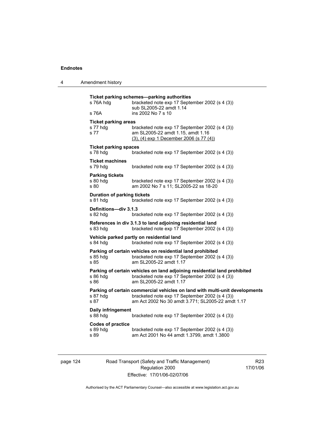| Amendment history |
|-------------------|
|                   |

| s 76A hdg                                      | bracketed note exp 17 September 2002 (s 4 (3))<br>sub SL2005-22 amdt 1.14                                                                                                          |
|------------------------------------------------|------------------------------------------------------------------------------------------------------------------------------------------------------------------------------------|
| s 76A                                          | ins 2002 No 7 s 10                                                                                                                                                                 |
| <b>Ticket parking areas</b>                    |                                                                                                                                                                                    |
| s 77 hdg<br>s 77                               | bracketed note exp 17 September 2002 (s 4 (3))<br>am SL2005-22 amdt 1.15, amdt 1.16<br>$(3)$ , $(4)$ exp 1 December 2006 (s 77 $(4)$ )                                             |
| <b>Ticket parking spaces</b><br>s 78 hdg       | bracketed note exp 17 September 2002 (s 4 (3))                                                                                                                                     |
| <b>Ticket machines</b><br>s 79 hdg             | bracketed note exp 17 September 2002 (s 4 (3))                                                                                                                                     |
| <b>Parking tickets</b><br>s 80 hdg<br>s 80     | bracketed note exp 17 September 2002 (s 4 (3))<br>am 2002 No 7 s 11; SL2005-22 ss 18-20                                                                                            |
| <b>Duration of parking tickets</b><br>s 81 hdg | bracketed note exp 17 September 2002 (s 4 (3))                                                                                                                                     |
| Definitions-div 3.1.3<br>s 82 hdg              | bracketed note exp 17 September 2002 (s 4 (3))                                                                                                                                     |
| s 83 hdg                                       | References in div 3.1.3 to land adjoining residential land<br>bracketed note exp 17 September 2002 (s 4 (3))                                                                       |
| s 84 hdg                                       | Vehicle parked partly on residential land<br>bracketed note exp 17 September 2002 (s 4 (3))                                                                                        |
| s 85 hda<br>s 85                               | Parking of certain vehicles on residential land prohibited<br>bracketed note exp 17 September 2002 (s 4 (3))<br>am SL2005-22 amdt 1.17                                             |
| s 86 hdg<br>s 86                               | Parking of certain vehicles on land adjoining residential land prohibited<br>bracketed note exp 17 September 2002 (s 4 (3))<br>am SL2005-22 amdt 1.17                              |
| s 87 hdg<br>s 87                               | Parking of certain commercial vehicles on land with multi-unit developments<br>bracketed note exp 17 September 2002 (s 4 (3))<br>am Act 2002 No 30 amdt 3.771; SL2005-22 amdt 1.17 |
| Daily infringement<br>s 88 hdg                 | bracketed note exp 17 September 2002 (s 4 (3))                                                                                                                                     |
| <b>Codes of practice</b><br>s 89 hdg<br>s 89   | bracketed note exp 17 September 2002 (s 4 (3))<br>am Act 2001 No 44 amdt 1.3799, amdt 1.3800                                                                                       |

page 124 Road Transport (Safety and Traffic Management) Regulation 2000 Effective: 17/01/06-02/07/06

R23 17/01/06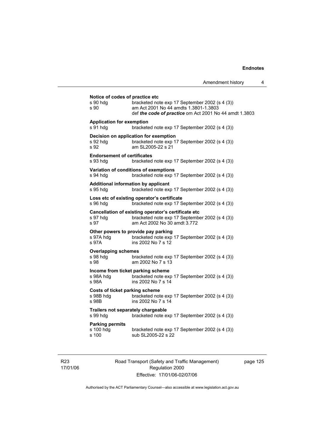| s 90 hdq<br>s 90                                            | Notice of codes of practice etc<br>bracketed note exp 17 September 2002 (s 4 (3))<br>am Act 2001 No 44 amdts 1.3801-1.3803<br>def the code of practice om Act 2001 No 44 amdt 1.3803 |
|-------------------------------------------------------------|--------------------------------------------------------------------------------------------------------------------------------------------------------------------------------------|
| <b>Application for exemption</b><br>s 91 hdg                | bracketed note exp 17 September 2002 (s 4 (3))                                                                                                                                       |
| s 92 hdq<br>s 92                                            | Decision on application for exemption<br>bracketed note exp 17 September 2002 (s 4 (3))<br>am SL2005-22 s 21                                                                         |
| <b>Endorsement of certificates</b><br>s 93 hdg              | bracketed note exp 17 September 2002 (s 4 (3))                                                                                                                                       |
| s 94 hda                                                    | Variation of conditions of exemptions<br>bracketed note exp 17 September 2002 (s 4 (3))                                                                                              |
| s 95 hdg                                                    | <b>Additional information by applicant</b><br>bracketed note exp 17 September 2002 (s 4 (3))                                                                                         |
| s 96 hdq                                                    | Loss etc of existing operator's certificate<br>bracketed note exp 17 September 2002 (s 4 (3))                                                                                        |
| s 97 hdq<br>s 97                                            | Cancellation of existing operator's certificate etc<br>bracketed note exp 17 September 2002 (s 4 (3))<br>am Act 2002 No 30 amdt 3.772                                                |
| s 97A hdg<br>s 97A                                          | Other powers to provide pay parking<br>bracketed note exp 17 September 2002 (s 4 (3))<br>ins 2002 No 7 s 12                                                                          |
| <b>Overlapping schemes</b><br>s 98 hdg<br>s 98              | bracketed note exp 17 September 2002 (s 4 (3))<br>am 2002 No 7 s 13                                                                                                                  |
| s 98A hdg<br>s 98A                                          | Income from ticket parking scheme<br>bracketed note exp 17 September 2002 (s 4 (3))<br>ins 2002 No 7 s 14                                                                            |
| <b>Costs of ticket parking scheme</b><br>s 98B hdg<br>s 98B | bracketed note exp 17 September 2002 (s 4 (3))<br>ins 2002 No 7 s 14                                                                                                                 |
| Trailers not separately chargeable<br>s 99 hdg              | bracketed note exp 17 September 2002 (s 4 (3))                                                                                                                                       |
| <b>Parking permits</b><br>s 100 hdq<br>s 100                | bracketed note exp 17 September 2002 (s 4 (3))<br>sub SL2005-22 s 22                                                                                                                 |

R23 17/01/06 Road Transport (Safety and Traffic Management) Regulation 2000 Effective: 17/01/06-02/07/06

page 125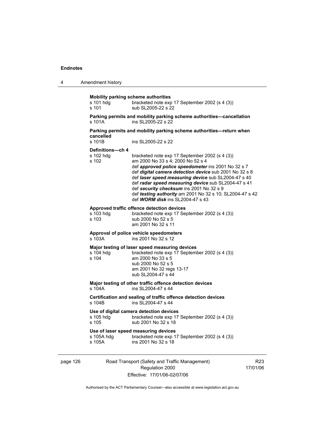| 4 | Amendment history |
|---|-------------------|
|---|-------------------|

| s 101 hdq<br>s 101                     | bracketed note exp 17 September 2002 (s 4 (3))<br>sub SL2005-22 s 22                                                                                                                                                                                                                                                                                                                                                                                                 |
|----------------------------------------|----------------------------------------------------------------------------------------------------------------------------------------------------------------------------------------------------------------------------------------------------------------------------------------------------------------------------------------------------------------------------------------------------------------------------------------------------------------------|
| s 101A                                 | Parking permits and mobility parking scheme authorities-cancellation<br>ins SL2005-22 s 22                                                                                                                                                                                                                                                                                                                                                                           |
| cancelled                              | Parking permits and mobility parking scheme authorities—return when                                                                                                                                                                                                                                                                                                                                                                                                  |
| s 101B                                 | ins SL2005-22 s 22                                                                                                                                                                                                                                                                                                                                                                                                                                                   |
| Definitions-ch 4<br>s 102 hdg<br>s 102 | bracketed note exp 17 September 2002 (s 4 (3))<br>am 2000 No 33 s 4; 2000 No 52 s 4<br>def approved police speedometer ins 2001 No 32 s 7<br>def digital camera detection device sub 2001 No 32 s 8<br>def laser speed measuring device sub SL2004-47 s 40<br>def radar speed measuring device sub SL2004-47 s 41<br>def security checksum ins 2001 No 32 s 9<br>def testing authority am 2001 No 32 s 10; SL2004-47 s 42<br>def <b>WORM disk</b> ins SL2004-47 s 43 |
| s 103 hdg<br>s 103                     | Approved traffic offence detection devices<br>bracketed note exp 17 September 2002 (s 4 (3))<br>sub 2000 No 52 s 5<br>am 2001 No 32 s 11                                                                                                                                                                                                                                                                                                                             |
| s 103A                                 | Approval of police vehicle speedometers<br>ins 2001 No 32 s 12                                                                                                                                                                                                                                                                                                                                                                                                       |
| s 104 hda<br>s 104                     | Major testing of laser speed measuring devices<br>bracketed note exp 17 September 2002 (s 4 (3))<br>am 2000 No 33 s 5<br>sub 2000 No 52 s 5<br>am 2001 No 32 regs 13-17<br>sub SL2004-47 s 44                                                                                                                                                                                                                                                                        |
| $s$ 104 $A$                            | Major testing of other traffic offence detection devices<br>ins SI 2004-47 s 44                                                                                                                                                                                                                                                                                                                                                                                      |
| s 104B                                 | Certification and sealing of traffic offence detection devices<br>ins SI 2004-47 s 44                                                                                                                                                                                                                                                                                                                                                                                |
| s 105 hdq<br>s 105                     | Use of digital camera detection devices<br>bracketed note exp 17 September 2002 (s 4 (3))<br>sub 2001 No 32 s 18                                                                                                                                                                                                                                                                                                                                                     |
| s 105A hdg<br>s 105A                   | Use of laser speed measuring devices<br>bracketed note exp 17 September 2002 (s 4 (3))<br>ins 2001 No 32 s 18                                                                                                                                                                                                                                                                                                                                                        |
|                                        |                                                                                                                                                                                                                                                                                                                                                                                                                                                                      |

page 126 Road Transport (Safety and Traffic Management) Regulation 2000 Effective: 17/01/06-02/07/06

R23 17/01/06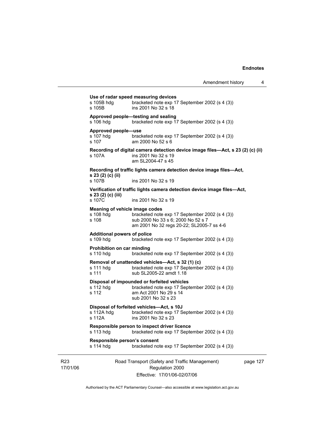|                             | s 105B hdg<br>s 105B                                 | Use of radar speed measuring devices<br>bracketed note exp 17 September 2002 (s 4 (3))<br>ins 2001 No 32 s 18                                  |          |
|-----------------------------|------------------------------------------------------|------------------------------------------------------------------------------------------------------------------------------------------------|----------|
|                             | s 106 hdg                                            | Approved people-testing and sealing<br>bracketed note exp 17 September 2002 (s 4 (3))                                                          |          |
|                             | Approved people-use<br>s 107 hdq<br>s 107            | bracketed note exp 17 September 2002 (s 4 (3))<br>am 2000 No 52 s 6                                                                            |          |
|                             | s 107A                                               | Recording of digital camera detection device image files—Act, s 23 (2) (c) (ii)<br>ins 2001 No 32 s 19<br>am SL2004-47 s 45                    |          |
|                             |                                                      | Recording of traffic lights camera detection device image files-Act,                                                                           |          |
|                             | s 23 (2) (c) (ii)<br>s 107B                          | ins 2001 No 32 s 19                                                                                                                            |          |
|                             |                                                      | Verification of traffic lights camera detection device image files—Act,                                                                        |          |
|                             | s 23 (2) (c) (iii)<br>s 107C                         | ins 2001 No 32 s 19                                                                                                                            |          |
|                             | Meaning of vehicle image codes<br>s 108 hda<br>s 108 | bracketed note exp 17 September 2002 (s 4 (3))<br>sub 2000 No 33 s 6; 2000 No 52 s 7<br>am 2001 No 32 regs 20-22; SL2005-7 ss 4-6              |          |
|                             | <b>Additional powers of police</b><br>s 109 hdg      | bracketed note exp 17 September 2002 (s 4 (3))                                                                                                 |          |
|                             | Prohibition on car minding<br>s 110 hdg              | bracketed note exp 17 September 2002 (s 4 (3))                                                                                                 |          |
|                             | s 111 hdg<br>s 111                                   | Removal of unattended vehicles—Act, s 32 (1) (c)<br>bracketed note exp 17 September 2002 (s 4 (3))<br>sub SL2005-22 amdt 1.18                  |          |
|                             | s 112 hdg<br>s 112                                   | Disposal of impounded or forfeited vehicles<br>bracketed note exp 17 September 2002 (s 4 (3))<br>am Act 2001 No 29 s 14<br>sub 2001 No 32 s 23 |          |
|                             | s 112A hdg<br>s 112A                                 | Disposal of forfeited vehicles-Act, s 10J<br>bracketed note exp 17 September 2002 (s 4 (3))<br>ins 2001 No 32 s 23                             |          |
|                             | s 113 hdg                                            | Responsible person to inspect driver licence<br>bracketed note exp 17 September 2002 (s 4 (3))                                                 |          |
|                             | Responsible person's consent<br>s 114 hdg            | bracketed note exp 17 September 2002 (s 4 (3))                                                                                                 |          |
| R <sub>23</sub><br>17/01/06 |                                                      | Road Transport (Safety and Traffic Management)<br>Regulation 2000<br>Effective: 17/01/06-02/07/06                                              | page 127 |

Authorised by the ACT Parliamentary Counsel—also accessible at www.legislation.act.gov.au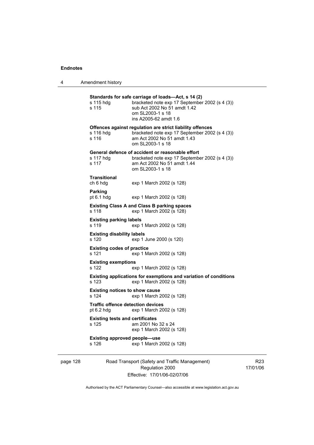4 Amendment history

page 128 Road Transport (Safety and Traffic Management) **Standards for safe carriage of loads—Act, s 14 (2)**  s 115 hdg bracketed note exp 17 September 2002 (s 4 (3)) s 115 sub Act 2002 No 51 amdt 1.42 om SL2003-1 s 18 ins A2005-62 amdt 1.6 **Offences against regulation are strict liability offences**  s 116 hdg bracketed note exp 17 September 2002 (s 4 (3))<br>s 116 am Act 2002 No 51 amdt 1.43 am Act 2002 No 51 amdt 1.43 om SL2003-1 s 18 **General defence of accident or reasonable effort**  s 117 hdg bracketed note exp 17 September 2002 (s 4 (3)) s 117 am Act 2002 No 51 amdt 1.44 om SL2003-1 s 18 **Transitional**  ch 6 hdg exp 1 March 2002 (s 128) **Parking**  pt 6.1 hdg exp 1 March 2002 (s 128) **Existing Class A and Class B parking spaces**  s 118 exp 1 March 2002 (s 128) **Existing parking labels**  s 119 exp 1 March 2002 (s 128) **Existing disability labels**  s 120 exp 1 June 2000 (s 120) **Existing codes of practice**  s 121 exp 1 March 2002 (s 128) **Existing exemptions**  s 122 exp 1 March 2002 (s 128) **Existing applications for exemptions and variation of conditions**  s 123 exp 1 March 2002 (s 128) **Existing notices to show cause**  s 124 exp 1 March 2002 (s 128) **Traffic offence detection devices**  pt 6.2 hdg exp 1 March 2002 (s 128) **Existing tests and certificates**  s 125 am 2001 No 32 s 24 exp 1 March 2002 (s 128) **Existing approved people—use**  s 126 exp 1 March 2002 (s 128)

Regulation 2000 Effective: 17/01/06-02/07/06

R23 17/01/06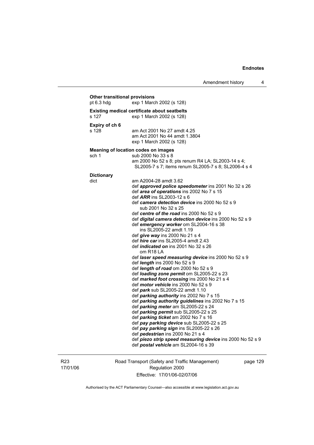### **Other transitional provisions**  pt 6.3 hdg exp 1 March 2002 (s 128) **Existing medical certificate about seatbelts**  s 127 exp 1 March 2002 (s 128) **Expiry of ch 6**  am Act 2001 No 27 amdt 4.25 am Act 2001 No 44 amdt 1.3804 exp 1 March 2002 (s 128) **Meaning of location codes on images**  sch 1 sub 2000 No 33 s 8 am 2000 No 52 s 8; pts renum R4 LA; SL2003-14 s 4; SL2005-7 s 7; items renum SL2005-7 s 8; SL2006-4 s 4 **Dictionary**  dict am A2004-28 amdt 3.62 def *approved police speedometer* ins 2001 No 32 s 26 def *area of operations* ins 2002 No 7 s 15 def *ARR* ins SL2003-12 s 6 def *camera detection device* ins 2000 No 52 s 9 sub 2001 No 32 s 25 def *centre of the road* ins 2000 No 52 s 9 def *digital camera detection device* ins 2000 No 52 s 9 def *emergency worker* om SL2004-16 s 38 ins SL2005-22 amdt 1.19 def *give way* ins 2000 No 21 s 4 def *hire car* ins SL2005-4 amdt 2.43 def *indicated on* ins 2001 No 32 s 26 om R18 LA def *laser speed measuring device* ins 2000 No 52 s 9 def *length* ins 2000 No 52 s 9 def *length of road* om 2000 No 52 s 9 def *loading zone permit* om SL2005-22 s 23 def *marked foot crossing* ins 2000 No 21 s 4 def *motor vehicle* ins 2000 No 52 s 9 def *park* sub SL2005-22 amdt 1.10 def *parking authority* ins 2002 No 7 s 15 def *parking authority guidelines* ins 2002 No 7 s 15 def *parking meter* am SL2005-22 s 24 def *parking permit* sub SL2005-22 s 25 def *parking ticket* am 2002 No 7 s 16 def *pay parking device* sub SL2005-22 s 25 def *pay parking sign* ins SL2005-22 s 26 def *pedestrian* ins 2000 No 21 s 4 def *piezo strip speed measuring device* ins 2000 No 52 s 9 def *postal vehicle* am SL2004-16 s 39

R23 17/01/06 Road Transport (Safety and Traffic Management) Regulation 2000 Effective: 17/01/06-02/07/06

page 129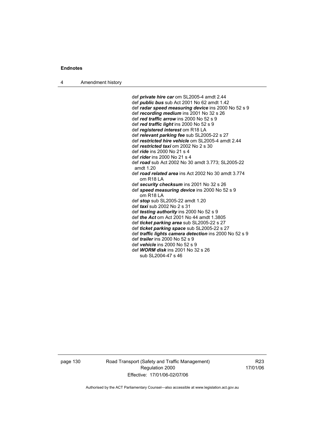4 Amendment history

 def *private hire car* om SL2005-4 amdt 2.44 def *public bus* sub Act 2001 No 62 amdt 1.42 def *radar speed measuring device* ins 2000 No 52 s 9 def *recording medium* ins 2001 No 32 s 26 def *red traffic arrow* ins 2000 No 52 s 9 def *red traffic light* ins 2000 No 52 s 9 def *registered interest* om R18 LA def *relevant parking fee* sub SL2005-22 s 27 def *restricted hire vehicle* om SL2005-4 amdt 2.44 def *restricted taxi* om 2002 No 2 s 30 def *ride* ins 2000 No 21 s 4 def *rider* ins 2000 No 21 s 4 def *road* sub Act 2002 No 30 amdt 3.773; SL2005-22 amdt 1.20 def *road related area* ins Act 2002 No 30 amdt 3.774 om R18 LA def *security checksum* ins 2001 No 32 s 26 def *speed measuring device* ins 2000 No 52 s 9 om R18 LA def *stop* sub SL2005-22 amdt 1.20 def *taxi* sub 2002 No 2 s 31 def *testing authority* ins 2000 No 52 s 9 def *the Act* om Act 2001 No 44 amdt 1.3805 def *ticket parking area* sub SL2005-22 s 27 def *ticket parking space* sub SL2005-22 s 27 def *traffic lights camera detection* ins 2000 No 52 s 9 def *trailer* ins 2000 No 52 s 9 def *vehicle* ins 2000 No 52 s 9 def *WORM disk* ins 2001 No 32 s 26 sub SL2004-47 s 46

page 130 Road Transport (Safety and Traffic Management) Regulation 2000 Effective: 17/01/06-02/07/06

R23 17/01/06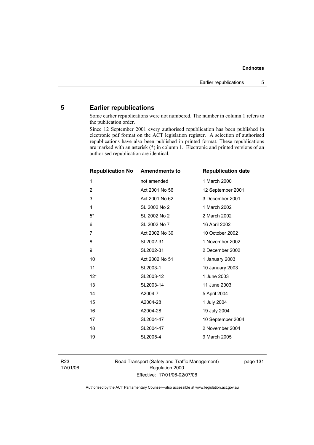### **5 Earlier republications**

Some earlier republications were not numbered. The number in column 1 refers to the publication order.

Since 12 September 2001 every authorised republication has been published in electronic pdf format on the ACT legislation register. A selection of authorised republications have also been published in printed format. These republications are marked with an asterisk (\*) in column 1. Electronic and printed versions of an authorised republication are identical.

| <b>Republication No</b> | <b>Amendments to</b> | <b>Republication date</b> |
|-------------------------|----------------------|---------------------------|
| 1                       | not amended          | 1 March 2000              |
| $\overline{2}$          | Act 2001 No 56       | 12 September 2001         |
| 3                       | Act 2001 No 62       | 3 December 2001           |
| 4                       | SL 2002 No 2         | 1 March 2002              |
| $5*$                    | SL 2002 No 2         | 2 March 2002              |
| 6                       | SL 2002 No 7         | 16 April 2002             |
| $\overline{7}$          | Act 2002 No 30       | 10 October 2002           |
| 8                       | SL2002-31            | 1 November 2002           |
| 9                       | SL2002-31            | 2 December 2002           |
| 10                      | Act 2002 No 51       | 1 January 2003            |
| 11                      | SL2003-1             | 10 January 2003           |
| $12*$                   | SL2003-12            | 1 June 2003               |
| 13                      | SL2003-14            | 11 June 2003              |
| 14                      | A2004-7              | 5 April 2004              |
| 15                      | A2004-28             | 1 July 2004               |
| 16                      | A2004-28             | 19 July 2004              |
| 17                      | SL2004-47            | 10 September 2004         |
| 18                      | SL2004-47            | 2 November 2004           |
| 19                      | SL2005-4             | 9 March 2005              |
|                         |                      |                           |

R23 17/01/06 Road Transport (Safety and Traffic Management) Regulation 2000 Effective: 17/01/06-02/07/06

page 131